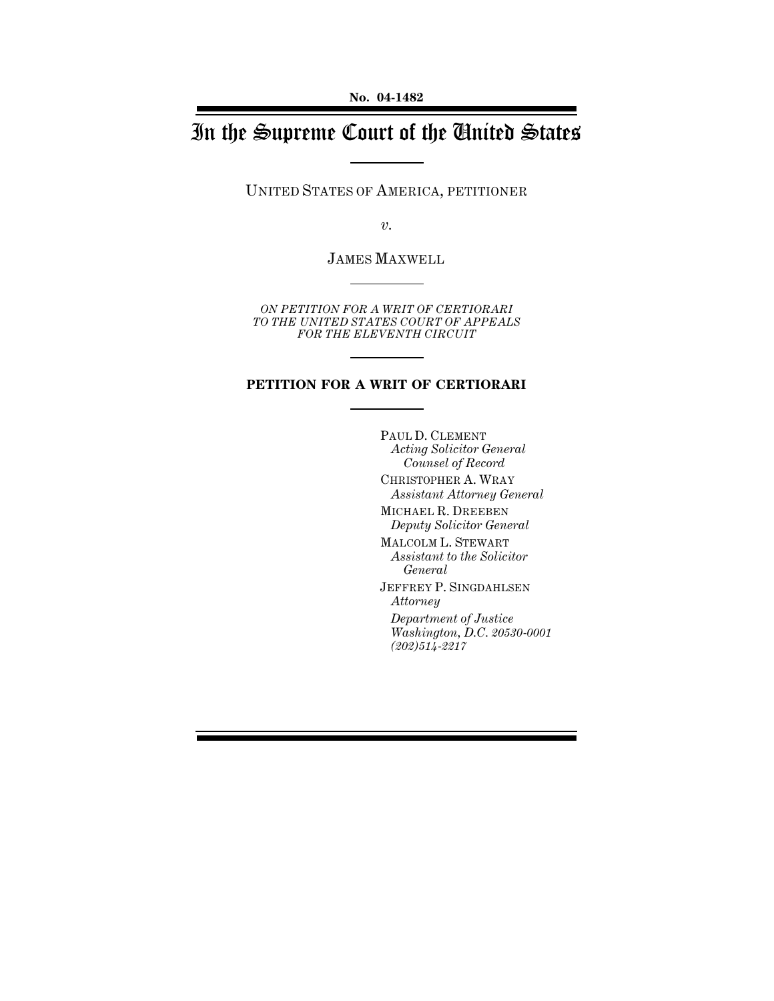# In the Supreme Court of the United States

UNITED STATES OF AMERICA, PETITIONER

*v.*

JAMES MAXWELL

*ON PETITION FOR A WRIT OF CERTIORARI TO THE UNITED STATES COURT OF APPEALS FOR THE ELEVENTH CIRCUIT*

#### **PETITION FOR A WRIT OF CERTIORARI**

PAUL D. CLEMENT *Acting Solicitor General Counsel of Record* CHRISTOPHER A. WRAY *Assistant Attorney General* MICHAEL R. DREEBEN *Deputy Solicitor General* MALCOLM L. STEWART *Assistant to the Solicitor General* JEFFREY P. SINGDAHLSEN *Attorney Department of Justice Washington, D.C. 20530-0001 (202)514-2217*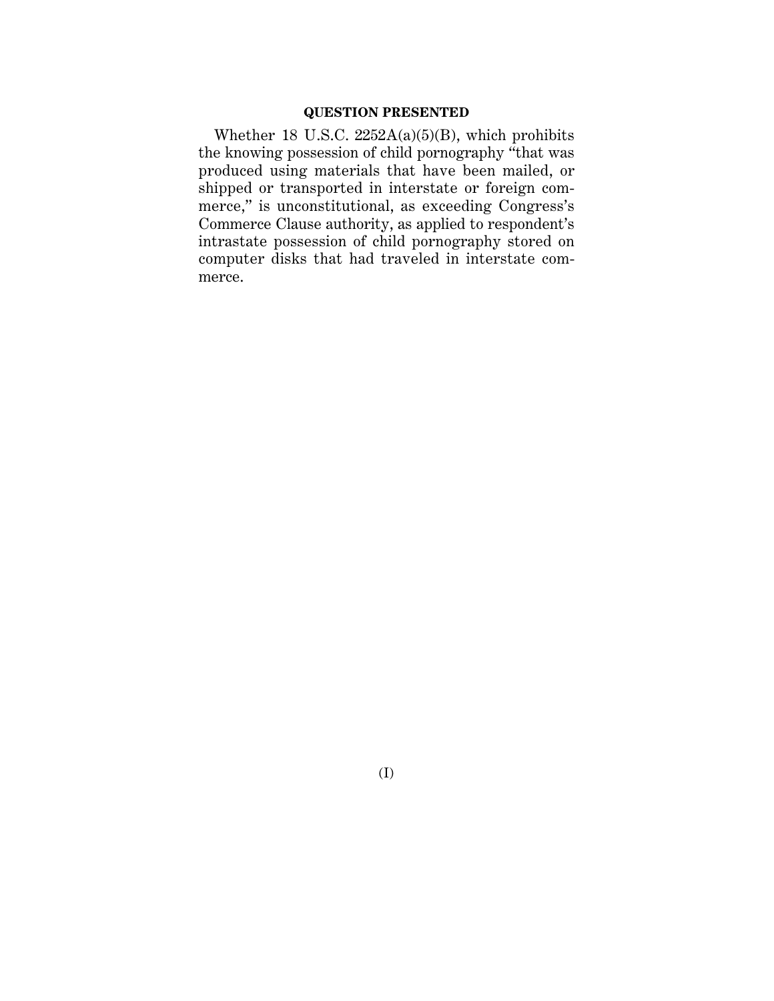#### **QUESTION PRESENTED**

Whether 18 U.S.C.  $2252A(a)(5)(B)$ , which prohibits the knowing possession of child pornography "that was produced using materials that have been mailed, or shipped or transported in interstate or foreign commerce," is unconstitutional, as exceeding Congress's Commerce Clause authority, as applied to respondent's intrastate possession of child pornography stored on computer disks that had traveled in interstate commerce.

(I)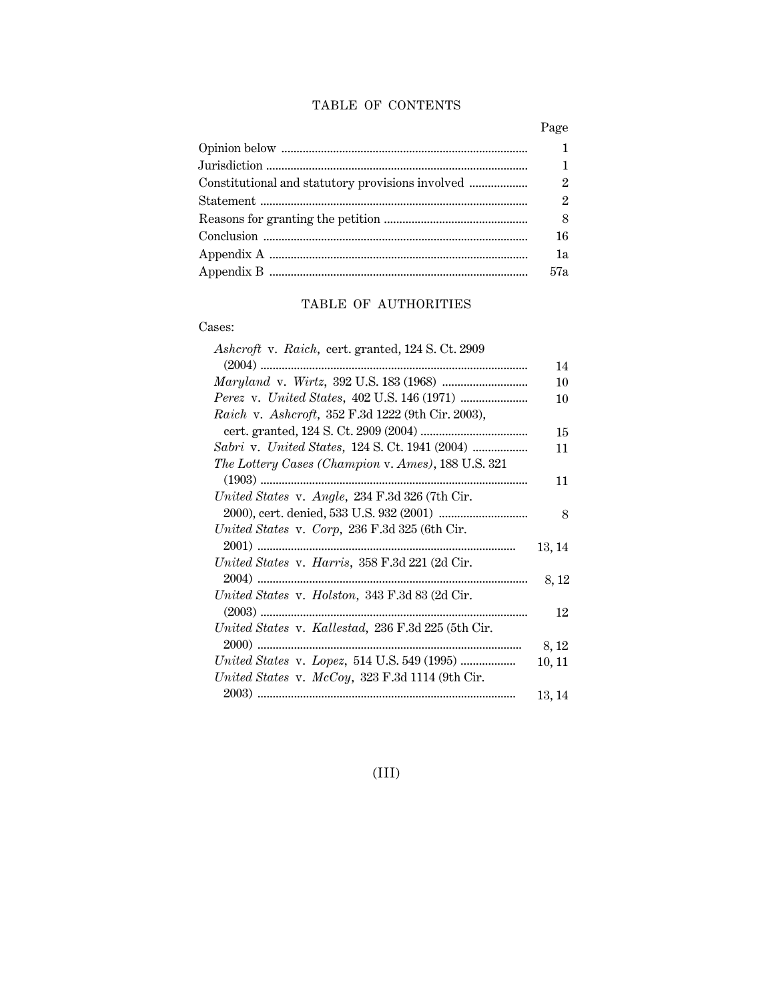#### TABLE OF CONTENTS

| 1             |
|---------------|
| $\mathbf{1}$  |
| $\mathcal{P}$ |
| $\mathcal{P}$ |
| 8             |
| 16            |
| 1a            |
| 57a           |

### TABLE OF AUTHORITIES

#### Cases:

| Ashcroft v. Raich, cert. granted, 124 S. Ct. 2909  |        |
|----------------------------------------------------|--------|
|                                                    | 14     |
|                                                    | 10     |
|                                                    | 10     |
| Raich v. Ashcroft, 352 F.3d 1222 (9th Cir. 2003),  |        |
|                                                    | 15     |
|                                                    | 11     |
| The Lottery Cases (Champion v. Ames), 188 U.S. 321 |        |
|                                                    | 11     |
| United States v. Angle, 234 F.3d 326 (7th Cir.     |        |
|                                                    | 8      |
| United States v. Corp, 236 F.3d 325 (6th Cir.      |        |
| 2001)                                              | 13, 14 |
| United States v. Harris, 358 F.3d 221 (2d Cir.     |        |
|                                                    | 8, 12  |
| United States v. Holston, 343 F.3d 83 (2d Cir.     |        |
|                                                    | 12     |
| United States v. Kallestad, 236 F.3d 225 (5th Cir. |        |
|                                                    | 8, 12  |
|                                                    | 10, 11 |
| United States v. $McCoy$ , 323 F.3d 1114 (9th Cir. |        |
|                                                    | 13, 14 |

(III)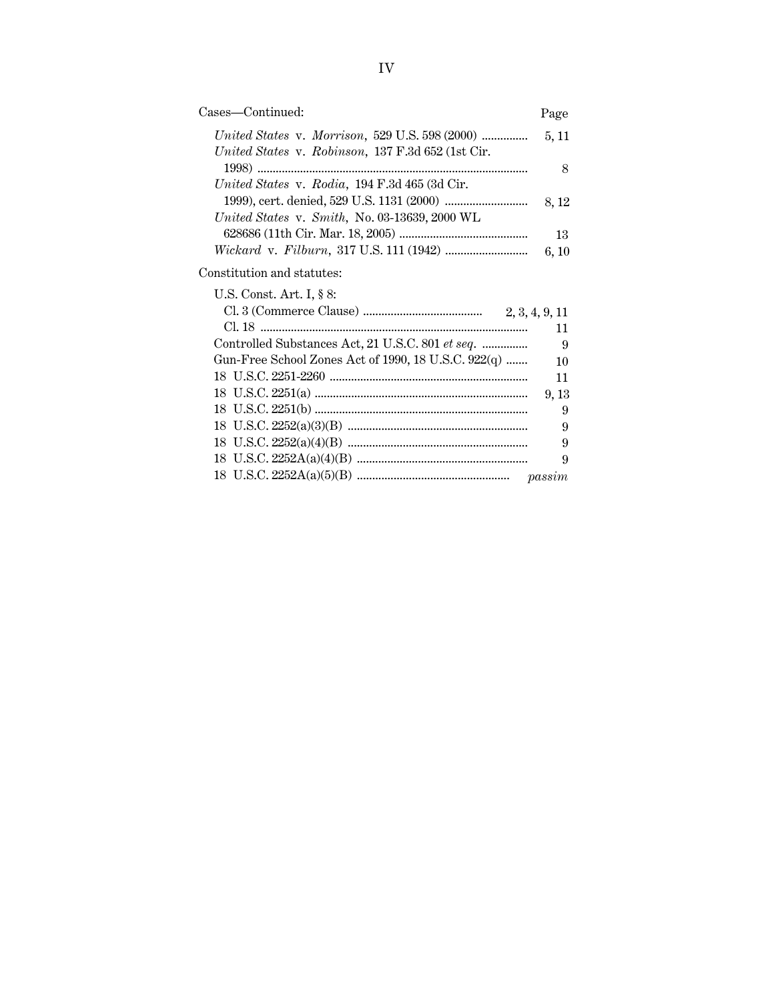| Cases—Continued:                                    | Page  |
|-----------------------------------------------------|-------|
| United States v. Robinson, 137 F.3d 652 (1st Cir.   | 5, 11 |
| United States v. Rodia, 194 F.3d 465 (3d Cir.       | 8     |
| United States v. Smith, No. 03-13639, 2000 WL       | 8, 12 |
|                                                     | 13    |
|                                                     | 6, 10 |
| Constitution and statutes:                          |       |
| U.S. Const. Art. I, § 8:                            |       |
|                                                     |       |
|                                                     | 11    |
| Controlled Substances Act, 21 U.S.C. 801 et seq.    | 9     |
| Gun-Free School Zones Act of 1990, 18 U.S.C. 922(q) | 10    |
|                                                     | 11    |
|                                                     | 9, 13 |
|                                                     | 9     |
|                                                     | 9     |

18 U.S.C. 2252(a)(4)(B) ........................................................... 9 18 U.S.C. 2252A(a)(4)(B) ........................................................ 9 18 U.S.C. 2252A(a)(5)(B) .................................................. *passim*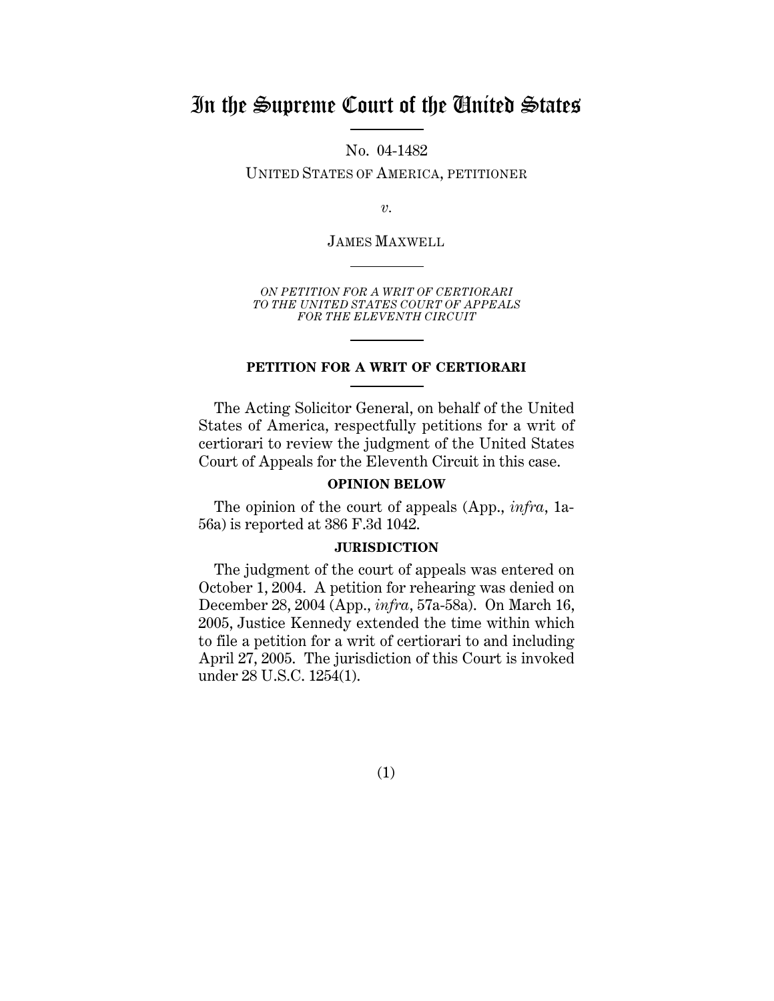## In the Supreme Court of the United States

No. 04-1482

UNITED STATES OF AMERICA, PETITIONER

*v.*

JAMES MAXWELL

*ON PETITION FOR A WRIT OF CERTIORARI TO THE UNITED STATES COURT OF APPEALS FOR THE ELEVENTH CIRCUIT*

#### **PETITION FOR A WRIT OF CERTIORARI**

The Acting Solicitor General, on behalf of the United States of America, respectfully petitions for a writ of certiorari to review the judgment of the United States Court of Appeals for the Eleventh Circuit in this case.

#### **OPINION BELOW**

The opinion of the court of appeals (App., *infra*, 1a-56a) is reported at 386 F.3d 1042.

#### **JURISDICTION**

The judgment of the court of appeals was entered on October 1, 2004. A petition for rehearing was denied on December 28, 2004 (App., *infra*, 57a-58a). On March 16, 2005, Justice Kennedy extended the time within which to file a petition for a writ of certiorari to and including April 27, 2005. The jurisdiction of this Court is invoked under 28 U.S.C. 1254(1).

(1)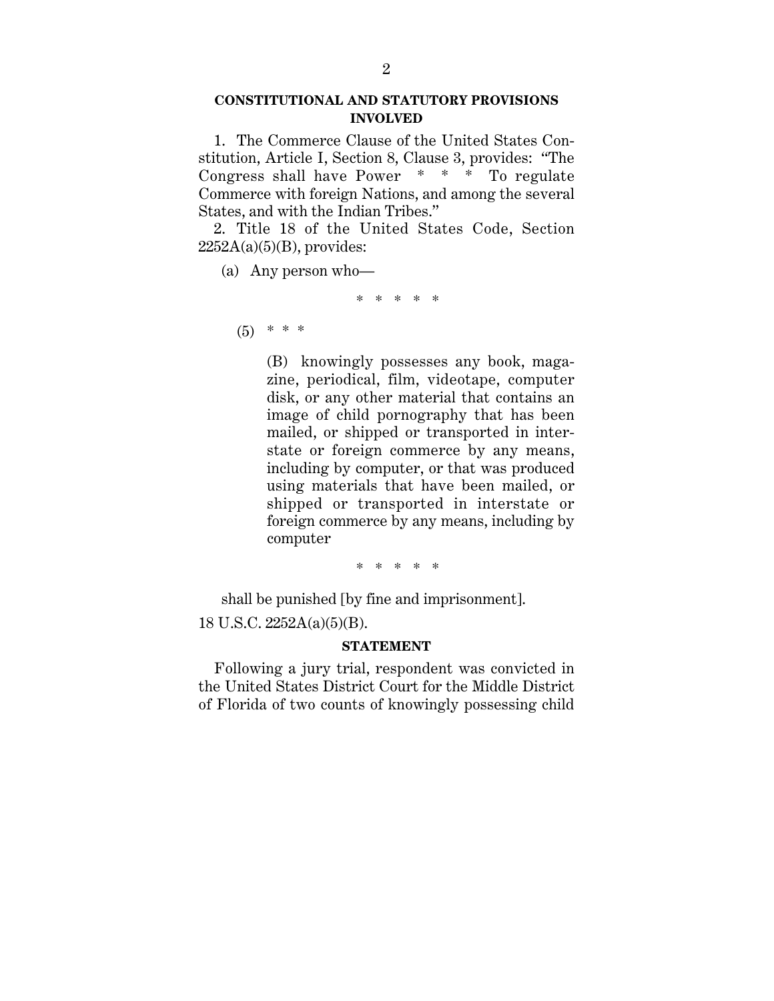#### **CONSTITUTIONAL AND STATUTORY PROVISIONS INVOLVED**

1. The Commerce Clause of the United States Constitution, Article I, Section 8, Clause 3, provides: "The Congress shall have Power \* \* \* To regulate Commerce with foreign Nations, and among the several States, and with the Indian Tribes."

2. Title 18 of the United States Code, Section  $2252A(a)(5)(B)$ , provides:

(a) Any person who—

\* \* \* \* \*

 $(5)$  \* \* \*

(B) knowingly possesses any book, magazine, periodical, film, videotape, computer disk, or any other material that contains an image of child pornography that has been mailed, or shipped or transported in interstate or foreign commerce by any means, including by computer, or that was produced using materials that have been mailed, or shipped or transported in interstate or foreign commerce by any means, including by computer

\* \* \* \* \*

shall be punished [by fine and imprisonment].

18 U.S.C. 2252A(a)(5)(B).

#### **STATEMENT**

Following a jury trial, respondent was convicted in the United States District Court for the Middle District of Florida of two counts of knowingly possessing child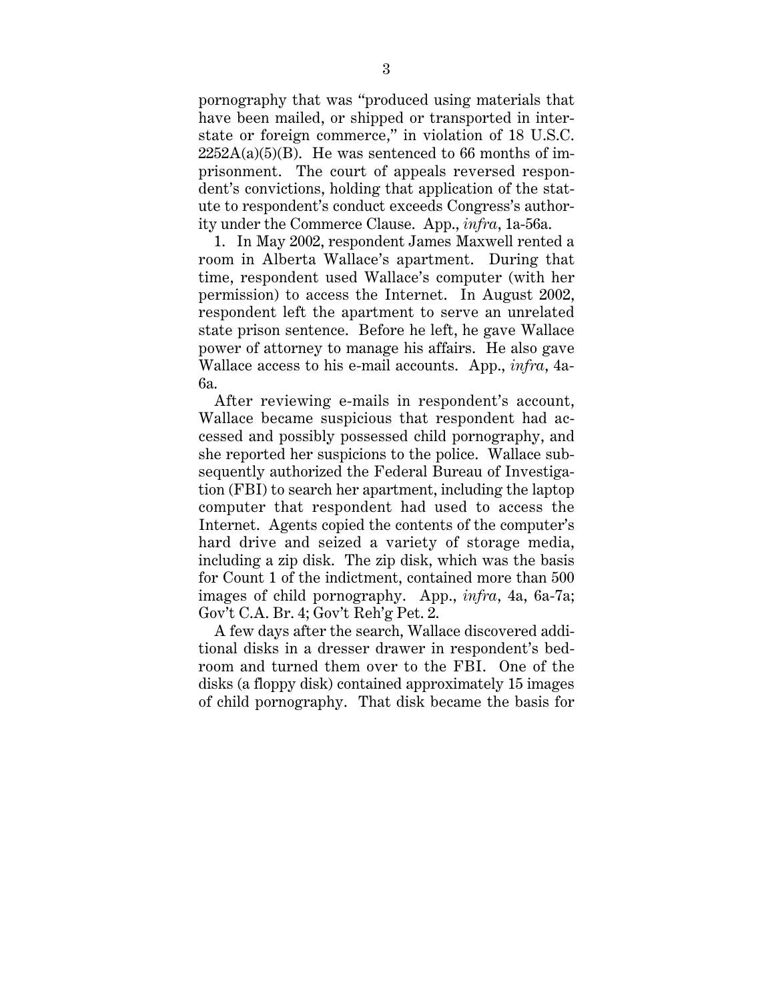pornography that was "produced using materials that have been mailed, or shipped or transported in interstate or foreign commerce," in violation of 18 U.S.C.  $2252A(a)(5)(B)$ . He was sentenced to 66 months of imprisonment. The court of appeals reversed respondent's convictions, holding that application of the statute to respondent's conduct exceeds Congress's authority under the Commerce Clause. App., *infra*, 1a-56a.

1. In May 2002, respondent James Maxwell rented a room in Alberta Wallace's apartment. During that time, respondent used Wallace's computer (with her permission) to access the Internet. In August 2002, respondent left the apartment to serve an unrelated state prison sentence. Before he left, he gave Wallace power of attorney to manage his affairs. He also gave Wallace access to his e-mail accounts. App., *infra*, 4a-6a.

After reviewing e-mails in respondent's account, Wallace became suspicious that respondent had accessed and possibly possessed child pornography, and she reported her suspicions to the police. Wallace subsequently authorized the Federal Bureau of Investigation (FBI) to search her apartment, including the laptop computer that respondent had used to access the Internet. Agents copied the contents of the computer's hard drive and seized a variety of storage media, including a zip disk. The zip disk, which was the basis for Count 1 of the indictment, contained more than 500 images of child pornography. App., *infra*, 4a, 6a-7a; Gov't C.A. Br. 4; Gov't Reh'g Pet. 2.

A few days after the search, Wallace discovered additional disks in a dresser drawer in respondent's bedroom and turned them over to the FBI. One of the disks (a floppy disk) contained approximately 15 images of child pornography. That disk became the basis for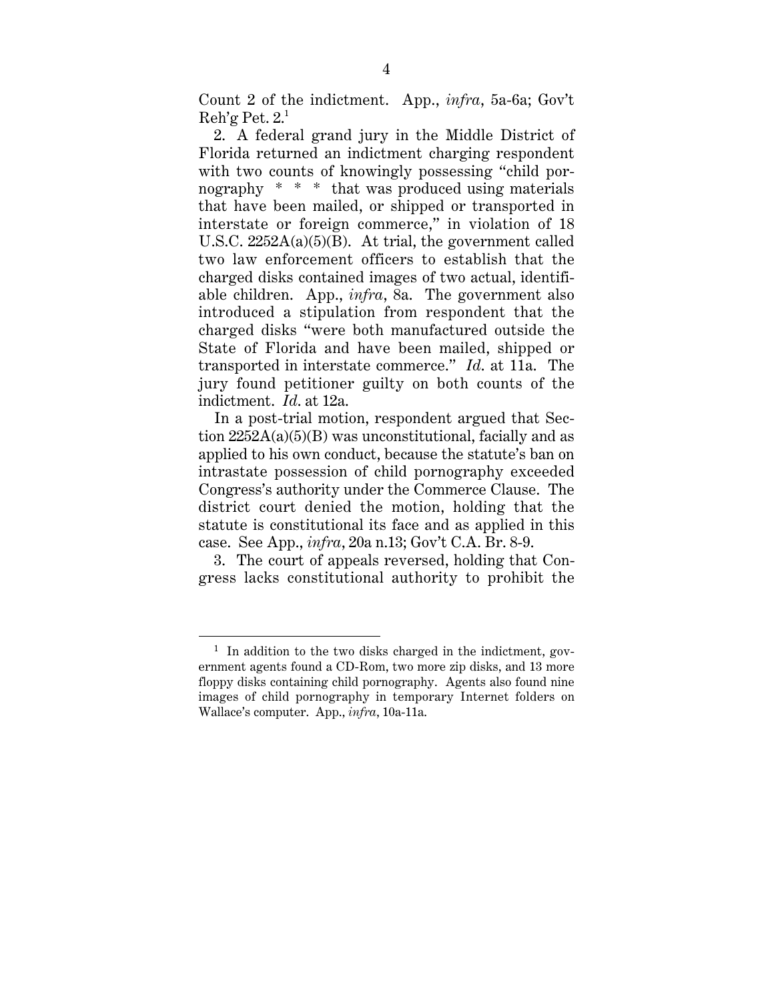Count 2 of the indictment. App., *infra*, 5a-6a; Gov't  $\text{Reh'g}$  Pet.  $2^1$ 

2. A federal grand jury in the Middle District of Florida returned an indictment charging respondent with two counts of knowingly possessing "child pornography \* \* \* that was produced using materials that have been mailed, or shipped or transported in interstate or foreign commerce," in violation of 18 U.S.C. 2252A(a)(5)(B). At trial, the government called two law enforcement officers to establish that the charged disks contained images of two actual, identifiable children. App., *infra*, 8a. The government also introduced a stipulation from respondent that the charged disks "were both manufactured outside the State of Florida and have been mailed, shipped or transported in interstate commerce." *Id*. at 11a. The jury found petitioner guilty on both counts of the indictment. *Id*. at 12a.

In a post-trial motion, respondent argued that Section  $2252A(a)(5)(B)$  was unconstitutional, facially and as applied to his own conduct, because the statute's ban on intrastate possession of child pornography exceeded Congress's authority under the Commerce Clause. The district court denied the motion, holding that the statute is constitutional its face and as applied in this case. See App., *infra*, 20a n.13; Gov't C.A. Br. 8-9.

3. The court of appeals reversed, holding that Congress lacks constitutional authority to prohibit the

<sup>&</sup>lt;sup>1</sup> In addition to the two disks charged in the indictment, government agents found a CD-Rom, two more zip disks, and 13 more floppy disks containing child pornography. Agents also found nine images of child pornography in temporary Internet folders on Wallace's computer. App., *infra*, 10a-11a.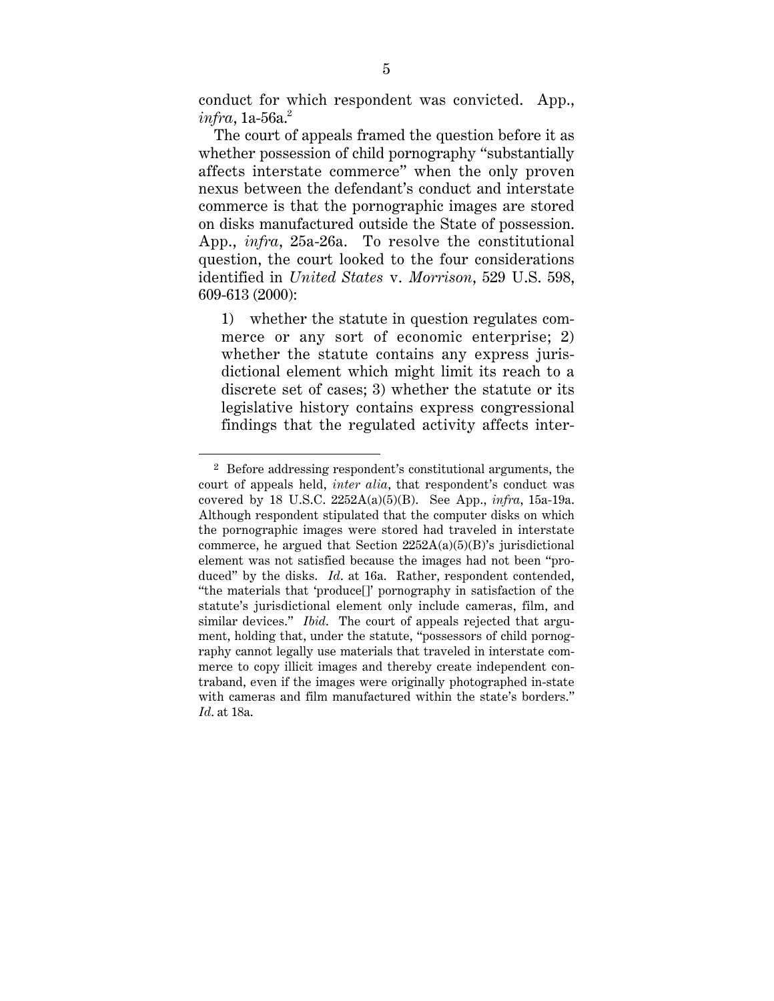conduct for which respondent was convicted. App.,  $\textit{infra}$ , 1a-56a.<sup>2</sup>

The court of appeals framed the question before it as whether possession of child pornography "substantially affects interstate commerce" when the only proven nexus between the defendant's conduct and interstate commerce is that the pornographic images are stored on disks manufactured outside the State of possession. App., *infra*, 25a-26a. To resolve the constitutional question, the court looked to the four considerations identified in *United States* v. *Morrison*, 529 U.S. 598, 609-613 (2000):

1) whether the statute in question regulates commerce or any sort of economic enterprise; 2) whether the statute contains any express jurisdictional element which might limit its reach to a discrete set of cases; 3) whether the statute or its legislative history contains express congressional findings that the regulated activity affects inter-

 <sup>2</sup> Before addressing respondent's constitutional arguments, the court of appeals held, *inter alia*, that respondent's conduct was covered by 18 U.S.C. 2252A(a)(5)(B). See App., *infra*, 15a-19a. Although respondent stipulated that the computer disks on which the pornographic images were stored had traveled in interstate commerce, he argued that Section  $2252A(a)(5)(B)$ 's jurisdictional element was not satisfied because the images had not been "produced" by the disks. *Id*. at 16a. Rather, respondent contended, "the materials that 'produce[]' pornography in satisfaction of the statute's jurisdictional element only include cameras, film, and similar devices." *Ibid*. The court of appeals rejected that argument, holding that, under the statute, "possessors of child pornography cannot legally use materials that traveled in interstate commerce to copy illicit images and thereby create independent contraband, even if the images were originally photographed in-state with cameras and film manufactured within the state's borders." *Id*. at 18a.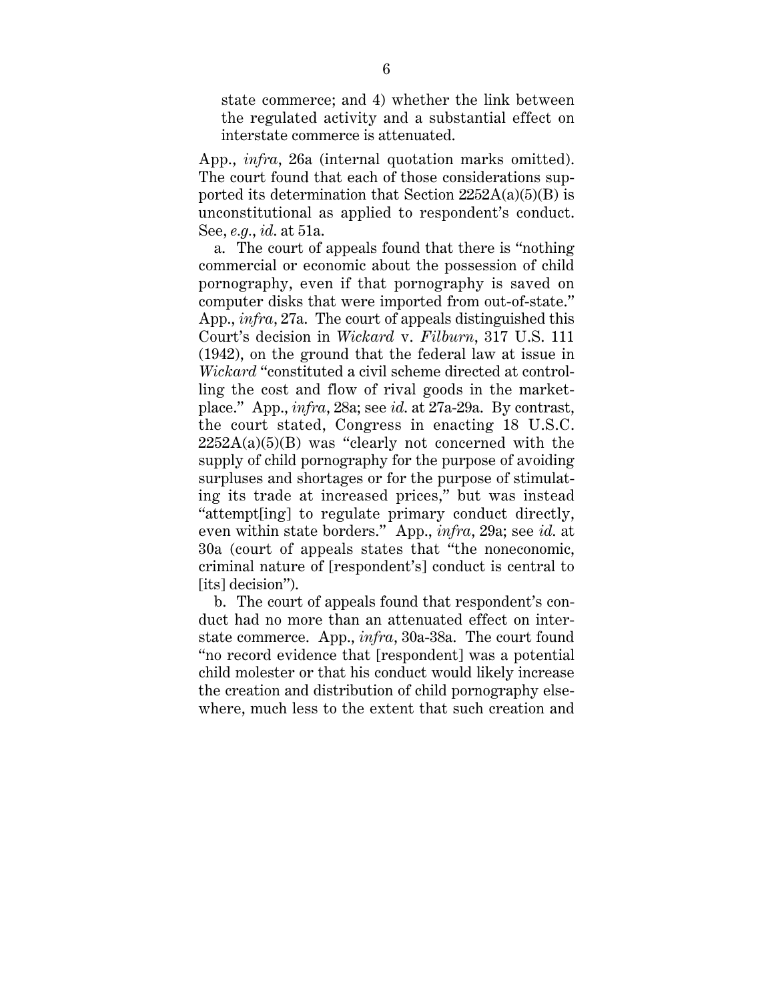state commerce; and 4) whether the link between the regulated activity and a substantial effect on interstate commerce is attenuated.

App., *infra*, 26a (internal quotation marks omitted). The court found that each of those considerations supported its determination that Section  $2252A(a)(5)(B)$  is unconstitutional as applied to respondent's conduct. See, *e.g.*, *id*. at 51a.

a. The court of appeals found that there is "nothing commercial or economic about the possession of child pornography, even if that pornography is saved on computer disks that were imported from out-of-state." App., *infra*, 27a. The court of appeals distinguished this Court's decision in *Wickard* v. *Filburn*, 317 U.S. 111 (1942), on the ground that the federal law at issue in *Wickard* "constituted a civil scheme directed at controlling the cost and flow of rival goods in the marketplace." App., *infra*, 28a; see *id*. at 27a-29a. By contrast, the court stated, Congress in enacting 18 U.S.C.  $2252A(a)(5)(B)$  was "clearly not concerned with the supply of child pornography for the purpose of avoiding surpluses and shortages or for the purpose of stimulating its trade at increased prices," but was instead "attempt[ing] to regulate primary conduct directly, even within state borders." App., *infra*, 29a; see *id*. at 30a (court of appeals states that "the noneconomic, criminal nature of [respondent's] conduct is central to [its] decision").

b. The court of appeals found that respondent's conduct had no more than an attenuated effect on interstate commerce. App., *infra*, 30a-38a. The court found "no record evidence that [respondent] was a potential child molester or that his conduct would likely increase the creation and distribution of child pornography elsewhere, much less to the extent that such creation and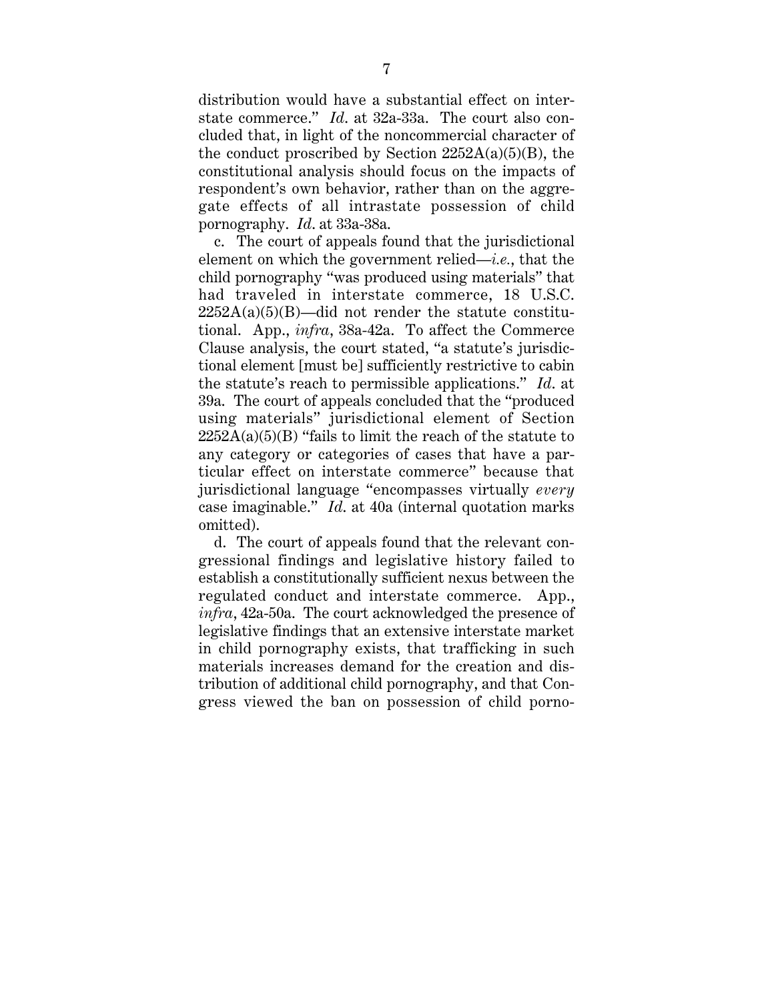distribution would have a substantial effect on interstate commerce." *Id*. at 32a-33a. The court also concluded that, in light of the noncommercial character of the conduct proscribed by Section  $2252A(a)(5)(B)$ , the constitutional analysis should focus on the impacts of respondent's own behavior, rather than on the aggregate effects of all intrastate possession of child pornography. *Id*. at 33a-38a.

c. The court of appeals found that the jurisdictional element on which the government relied—*i.e.*, that the child pornography "was produced using materials" that had traveled in interstate commerce, 18 U.S.C.  $2252A(a)(5)(B)$ —did not render the statute constitutional. App., *infra*, 38a-42a. To affect the Commerce Clause analysis, the court stated, "a statute's jurisdictional element [must be] sufficiently restrictive to cabin the statute's reach to permissible applications." *Id*. at 39a. The court of appeals concluded that the "produced using materials" jurisdictional element of Section  $2252A(a)(5)(B)$  "fails to limit the reach of the statute to any category or categories of cases that have a particular effect on interstate commerce" because that jurisdictional language "encompasses virtually *every* case imaginable." *Id*. at 40a (internal quotation marks omitted).

d. The court of appeals found that the relevant congressional findings and legislative history failed to establish a constitutionally sufficient nexus between the regulated conduct and interstate commerce. App., *infra*, 42a-50a. The court acknowledged the presence of legislative findings that an extensive interstate market in child pornography exists, that trafficking in such materials increases demand for the creation and distribution of additional child pornography, and that Congress viewed the ban on possession of child porno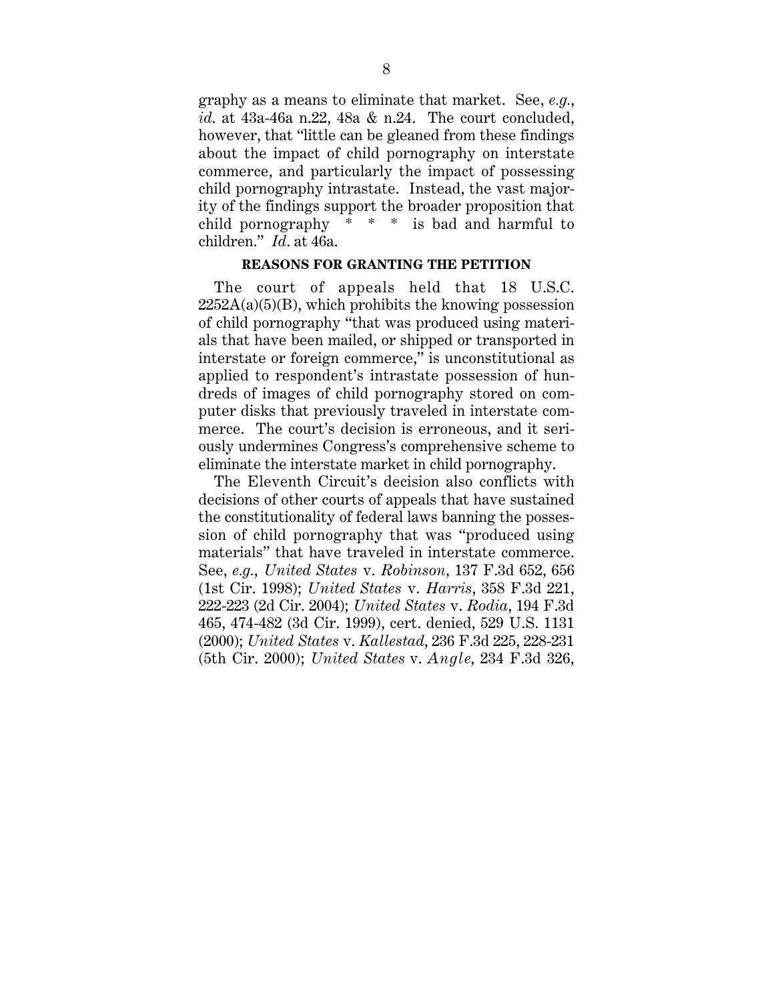graphy as a means to eliminate that market. See, *e.g.*, *id*. at 43a-46a n.22, 48a & n.24. The court concluded, however, that "little can be gleaned from these findings about the impact of child pornography on interstate commerce, and particularly the impact of possessing child pornography intrastate. Instead, the vast majority of the findings support the broader proposition that child pornography \* \* \* is bad and harmful to children." *Id*. at 46a.

#### **REASONS FOR GRANTING THE PETITION**

The court of appeals held that 18 U.S.C.  $2252A(a)(5)(B)$ , which prohibits the knowing possession of child pornography "that was produced using materials that have been mailed, or shipped or transported in interstate or foreign commerce," is unconstitutional as applied to respondent's intrastate possession of hundreds of images of child pornography stored on computer disks that previously traveled in interstate commerce. The court's decision is erroneous, and it seriously undermines Congress's comprehensive scheme to eliminate the interstate market in child pornography.

The Eleventh Circuit's decision also conflicts with decisions of other courts of appeals that have sustained the constitutionality of federal laws banning the possession of child pornography that was "produced using materials" that have traveled in interstate commerce. See, *e.g.*, *United States* v. *Robinson*, 137 F.3d 652, 656 (1st Cir. 1998); *United States* v. *Harris*, 358 F.3d 221, 222-223 (2d Cir. 2004); *United States* v. *Rodia*, 194 F.3d 465, 474-482 (3d Cir. 1999), cert. denied, 529 U.S. 1131 (2000); *United States* v. *Kallestad*, 236 F.3d 225, 228-231 (5th Cir. 2000); *United States* v. *Angle*, 234 F.3d 326,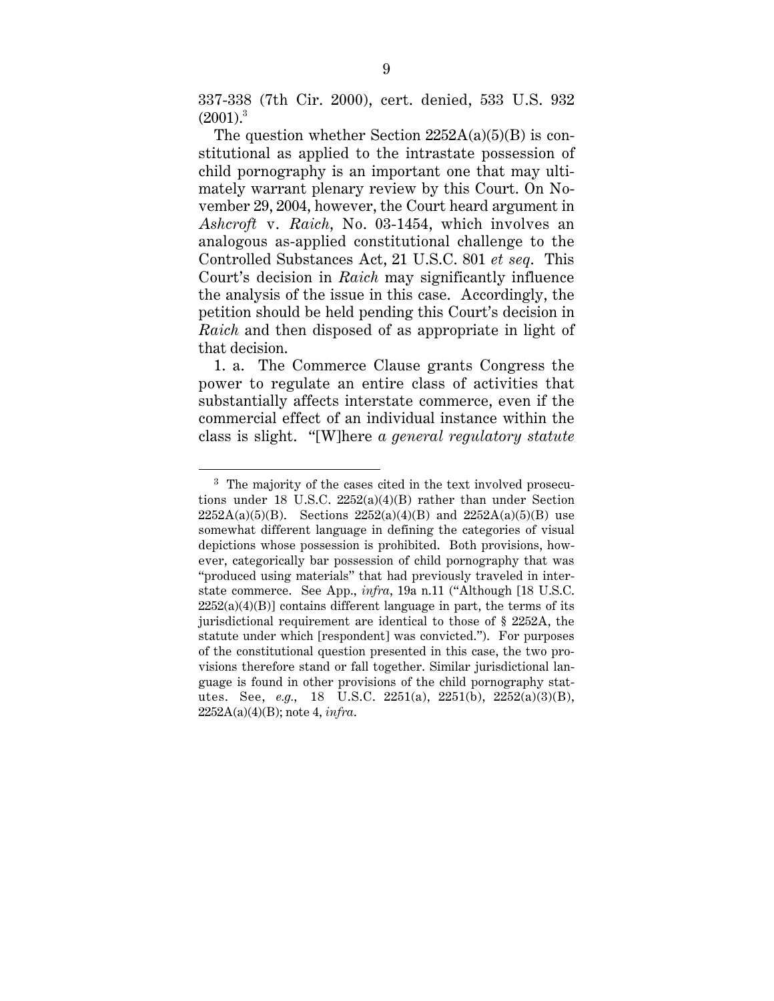337-338 (7th Cir. 2000), cert. denied, 533 U.S. 932  $(2001)^3$ 

The question whether Section  $2252A(a)(5)(B)$  is constitutional as applied to the intrastate possession of child pornography is an important one that may ultimately warrant plenary review by this Court. On November 29, 2004, however, the Court heard argument in *Ashcroft* v. *Raich*, No. 03-1454, which involves an analogous as-applied constitutional challenge to the Controlled Substances Act, 21 U.S.C. 801 *et seq*. This Court's decision in *Raich* may significantly influence the analysis of the issue in this case. Accordingly, the petition should be held pending this Court's decision in *Raich* and then disposed of as appropriate in light of that decision.

1. a. The Commerce Clause grants Congress the power to regulate an entire class of activities that substantially affects interstate commerce, even if the commercial effect of an individual instance within the class is slight. "[W]here *a general regulatory statute*

<sup>&</sup>lt;sup>3</sup> The majority of the cases cited in the text involved prosecutions under 18 U.S.C. 2252(a)(4)(B) rather than under Section  $2252A(a)(5)(B)$ . Sections  $2252(a)(4)(B)$  and  $2252A(a)(5)(B)$  use somewhat different language in defining the categories of visual depictions whose possession is prohibited. Both provisions, however, categorically bar possession of child pornography that was "produced using materials" that had previously traveled in interstate commerce. See App., *infra*, 19a n.11 ("Although [18 U.S.C.  $2252(a)(4)(B)$ ] contains different language in part, the terms of its jurisdictional requirement are identical to those of § 2252A, the statute under which [respondent] was convicted."). For purposes of the constitutional question presented in this case, the two provisions therefore stand or fall together. Similar jurisdictional language is found in other provisions of the child pornography statutes. See, *e.g.*, 18 U.S.C. 2251(a), 2251(b), 2252(a)(3)(B), 2252A(a)(4)(B); note 4, *infra*.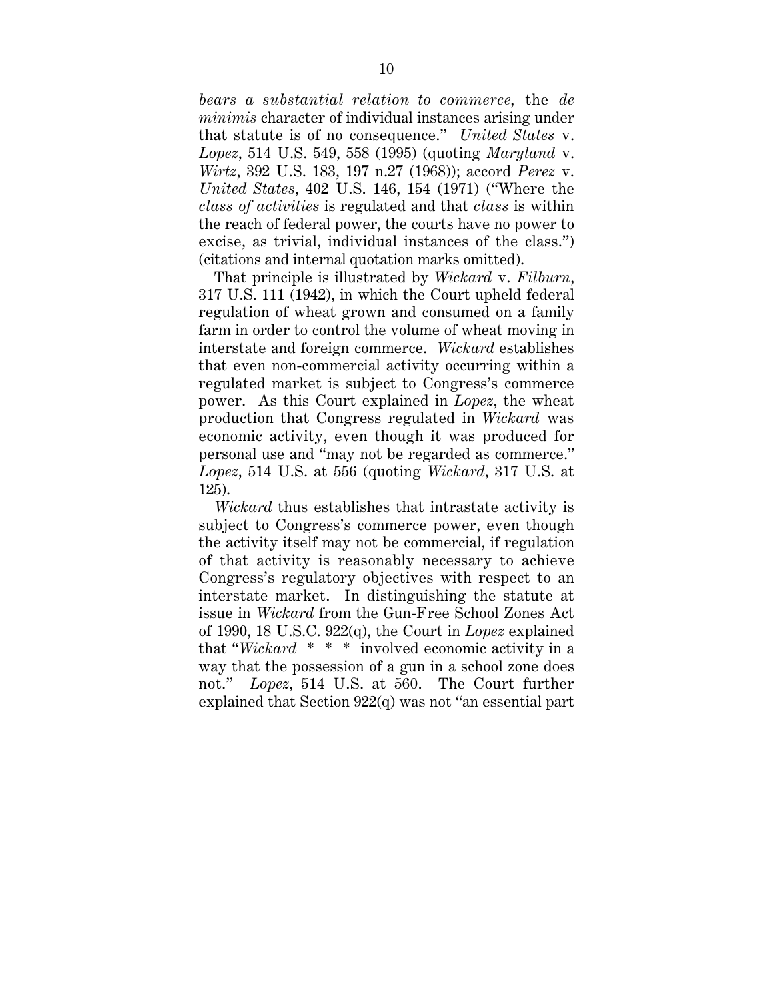*bears a substantial relation to commerce*, the *de minimis* character of individual instances arising under that statute is of no consequence." *United States* v. *Lopez*, 514 U.S. 549, 558 (1995) (quoting *Maryland* v. *Wirtz*, 392 U.S. 183, 197 n.27 (1968)); accord *Perez* v. *United States*, 402 U.S. 146, 154 (1971) ("Where the *class of activities* is regulated and that *class* is within the reach of federal power, the courts have no power to excise, as trivial, individual instances of the class.") (citations and internal quotation marks omitted).

That principle is illustrated by *Wickard* v. *Filburn*, 317 U.S. 111 (1942), in which the Court upheld federal regulation of wheat grown and consumed on a family farm in order to control the volume of wheat moving in interstate and foreign commerce. *Wickard* establishes that even non-commercial activity occurring within a regulated market is subject to Congress's commerce power. As this Court explained in *Lopez*, the wheat production that Congress regulated in *Wickard* was economic activity, even though it was produced for personal use and "may not be regarded as commerce." *Lopez*, 514 U.S. at 556 (quoting *Wickard*, 317 U.S. at 125).

*Wickard* thus establishes that intrastate activity is subject to Congress's commerce power, even though the activity itself may not be commercial, if regulation of that activity is reasonably necessary to achieve Congress's regulatory objectives with respect to an interstate market. In distinguishing the statute at issue in *Wickard* from the Gun-Free School Zones Act of 1990, 18 U.S.C. 922(q), the Court in *Lopez* explained that "*Wickard* \* \* \* involved economic activity in a way that the possession of a gun in a school zone does not." *Lopez*, 514 U.S. at 560. The Court further explained that Section 922(q) was not "an essential part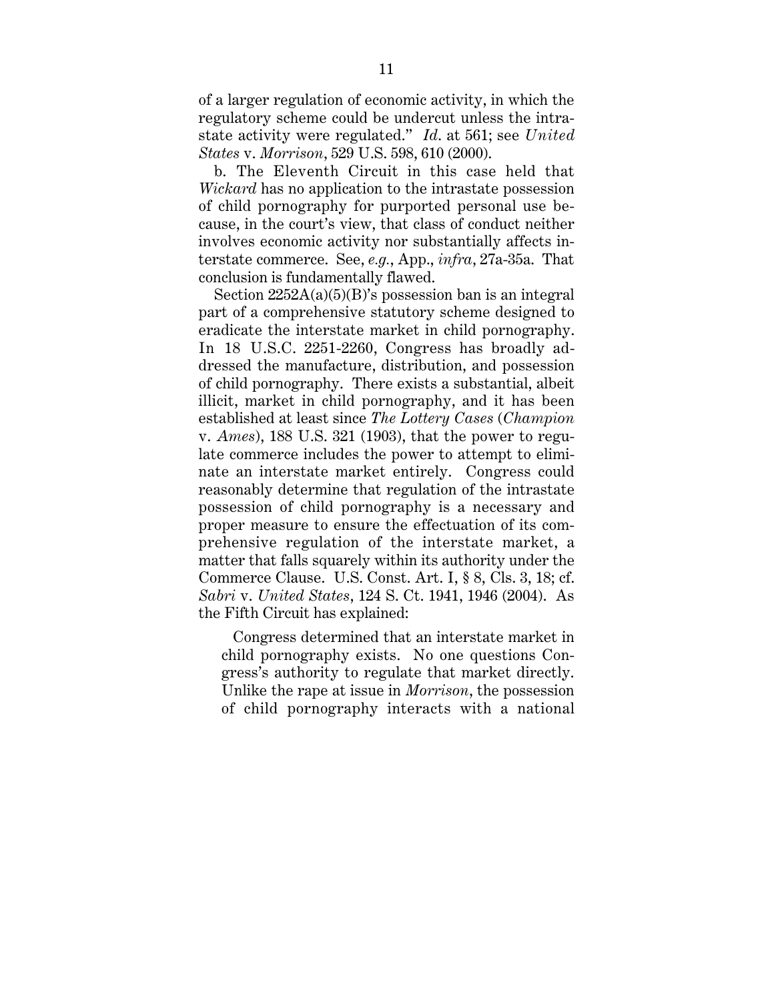of a larger regulation of economic activity, in which the regulatory scheme could be undercut unless the intrastate activity were regulated." *Id*. at 561; see *United States* v. *Morrison*, 529 U.S. 598, 610 (2000).

b. The Eleventh Circuit in this case held that *Wickard* has no application to the intrastate possession of child pornography for purported personal use because, in the court's view, that class of conduct neither involves economic activity nor substantially affects interstate commerce. See, *e.g.*, App., *infra*, 27a-35a. That conclusion is fundamentally flawed.

Section  $2252A(a)(5)(B)$ 's possession ban is an integral part of a comprehensive statutory scheme designed to eradicate the interstate market in child pornography. In 18 U.S.C. 2251-2260, Congress has broadly addressed the manufacture, distribution, and possession of child pornography. There exists a substantial, albeit illicit, market in child pornography, and it has been established at least since *The Lottery Cases* (*Champion* v. *Ames*), 188 U.S. 321 (1903), that the power to regulate commerce includes the power to attempt to eliminate an interstate market entirely. Congress could reasonably determine that regulation of the intrastate possession of child pornography is a necessary and proper measure to ensure the effectuation of its comprehensive regulation of the interstate market, a matter that falls squarely within its authority under the Commerce Clause. U.S. Const. Art. I, § 8, Cls. 3, 18; cf. *Sabri* v. *United States*, 124 S. Ct. 1941, 1946 (2004). As the Fifth Circuit has explained:

Congress determined that an interstate market in child pornography exists. No one questions Congress's authority to regulate that market directly. Unlike the rape at issue in *Morrison*, the possession of child pornography interacts with a national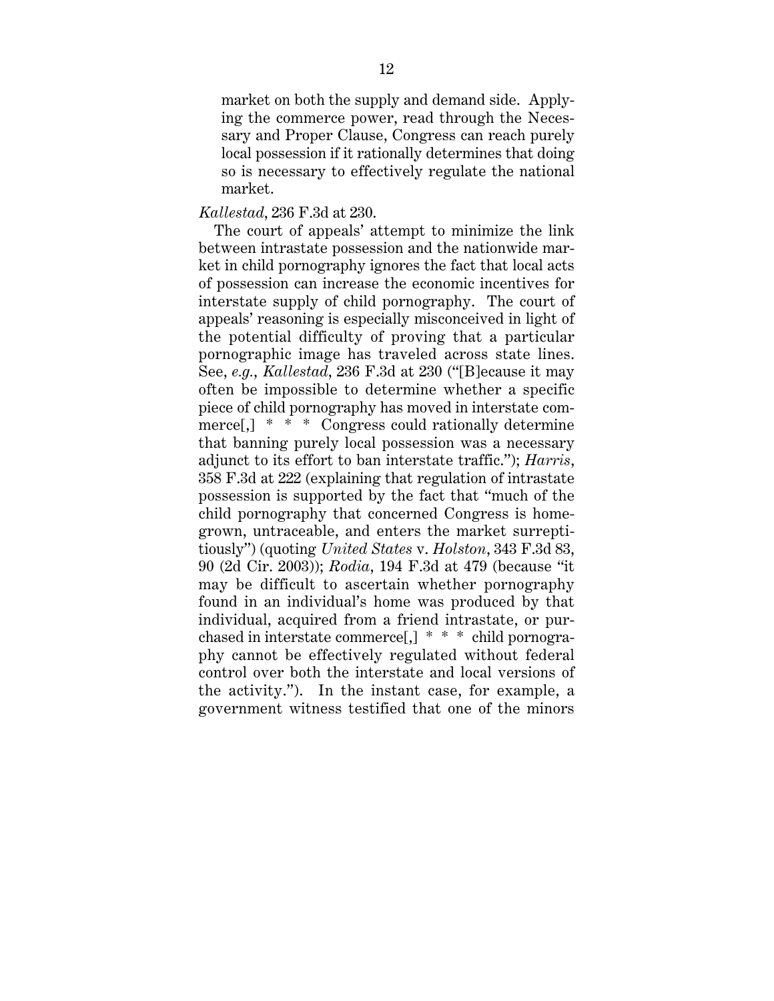market on both the supply and demand side. Applying the commerce power, read through the Necessary and Proper Clause, Congress can reach purely local possession if it rationally determines that doing so is necessary to effectively regulate the national market.

#### *Kallestad*, 236 F.3d at 230.

The court of appeals' attempt to minimize the link between intrastate possession and the nationwide market in child pornography ignores the fact that local acts of possession can increase the economic incentives for interstate supply of child pornography. The court of appeals' reasoning is especially misconceived in light of the potential difficulty of proving that a particular pornographic image has traveled across state lines. See, *e.g.*, *Kallestad*, 236 F.3d at 230 ("[B]ecause it may often be impossible to determine whether a specific piece of child pornography has moved in interstate commerce[,] \* \* \* Congress could rationally determine that banning purely local possession was a necessary adjunct to its effort to ban interstate traffic."); *Harris*, 358 F.3d at 222 (explaining that regulation of intrastate possession is supported by the fact that "much of the child pornography that concerned Congress is homegrown, untraceable, and enters the market surreptitiously") (quoting *United States* v. *Holston*, 343 F.3d 83, 90 (2d Cir. 2003)); *Rodia*, 194 F.3d at 479 (because "it may be difficult to ascertain whether pornography found in an individual's home was produced by that individual, acquired from a friend intrastate, or purchased in interstate commerce[,] \* \* \* child pornography cannot be effectively regulated without federal control over both the interstate and local versions of the activity."). In the instant case, for example, a government witness testified that one of the minors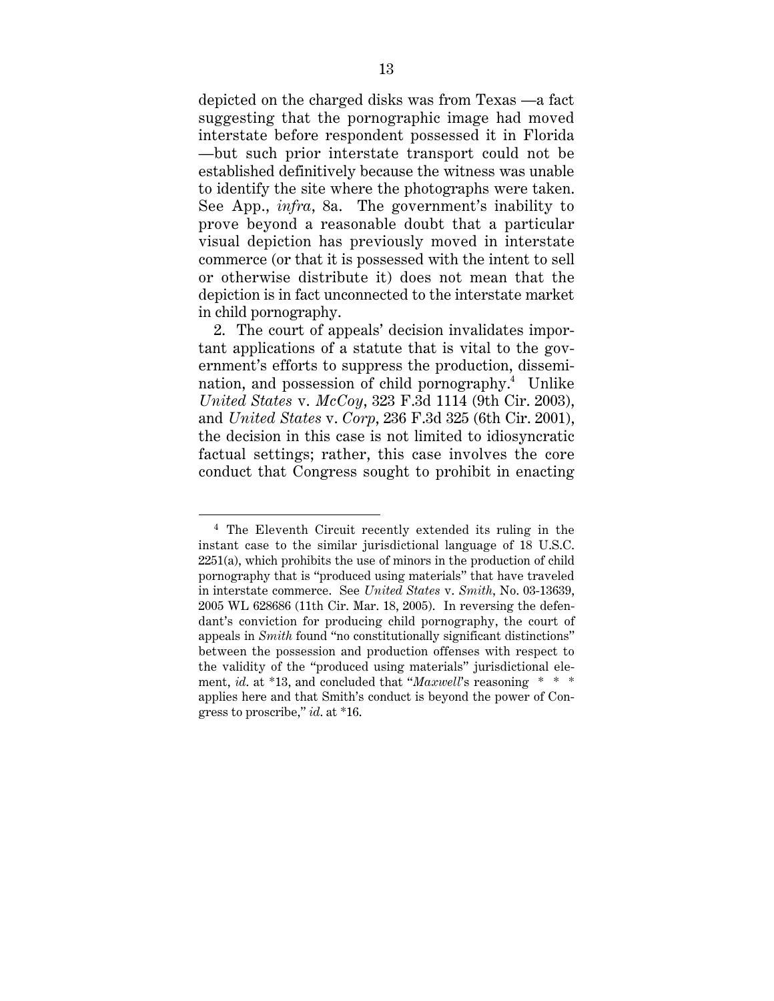depicted on the charged disks was from Texas —a fact suggesting that the pornographic image had moved interstate before respondent possessed it in Florida —but such prior interstate transport could not be established definitively because the witness was unable to identify the site where the photographs were taken. See App., *infra*, 8a. The government's inability to prove beyond a reasonable doubt that a particular visual depiction has previously moved in interstate commerce (or that it is possessed with the intent to sell or otherwise distribute it) does not mean that the depiction is in fact unconnected to the interstate market in child pornography.

2. The court of appeals' decision invalidates important applications of a statute that is vital to the government's efforts to suppress the production, dissemination, and possession of child pornography.<sup>4</sup> Unlike *United States* v. *McCoy*, 323 F.3d 1114 (9th Cir. 2003), and *United States* v. *Corp*, 236 F.3d 325 (6th Cir. 2001), the decision in this case is not limited to idiosyncratic factual settings; rather, this case involves the core conduct that Congress sought to prohibit in enacting

<sup>4</sup> The Eleventh Circuit recently extended its ruling in the instant case to the similar jurisdictional language of 18 U.S.C. 2251(a), which prohibits the use of minors in the production of child pornography that is "produced using materials" that have traveled in interstate commerce. See *United States* v. *Smith*, No. 03-13639, 2005 WL 628686 (11th Cir. Mar. 18, 2005). In reversing the defendant's conviction for producing child pornography, the court of appeals in *Smith* found "no constitutionally significant distinctions" between the possession and production offenses with respect to the validity of the "produced using materials" jurisdictional element, *id*. at \*13, and concluded that "*Maxwell*'s reasoning \* \* \* applies here and that Smith's conduct is beyond the power of Congress to proscribe," *id*. at \*16.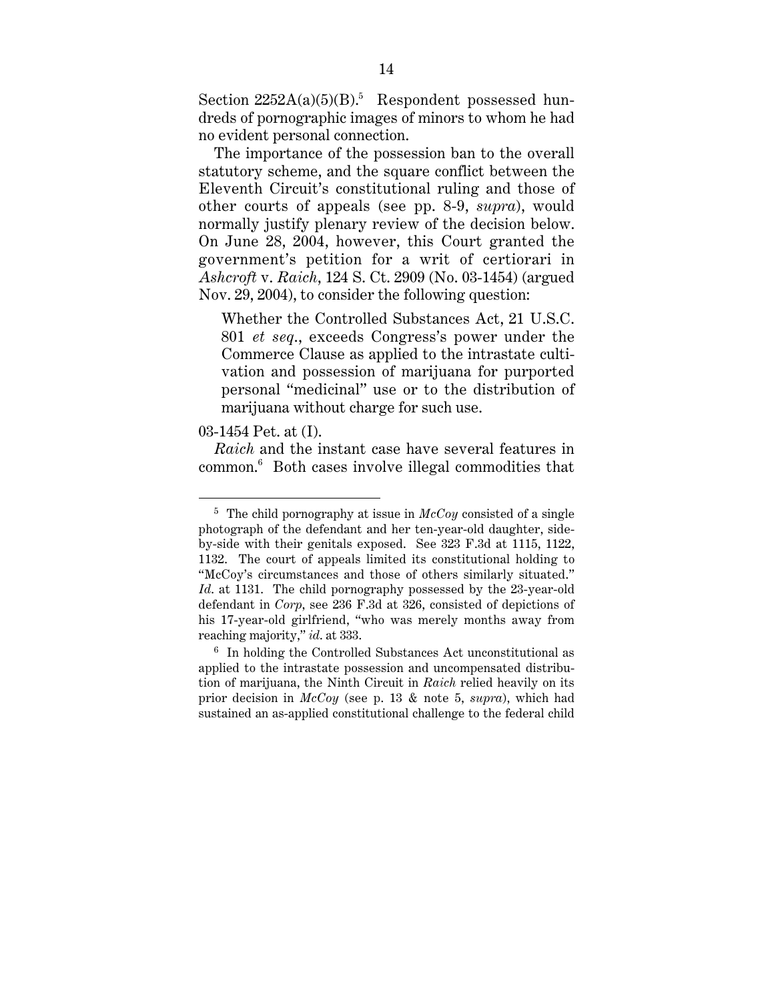Section  $2252A(a)(5)(B)$ .<sup>5</sup> Respondent possessed hundreds of pornographic images of minors to whom he had no evident personal connection.

The importance of the possession ban to the overall statutory scheme, and the square conflict between the Eleventh Circuit's constitutional ruling and those of other courts of appeals (see pp. 8-9, *supra*), would normally justify plenary review of the decision below. On June 28, 2004, however, this Court granted the government's petition for a writ of certiorari in *Ashcroft* v. *Raich*, 124 S. Ct. 2909 (No. 03-1454) (argued Nov. 29, 2004), to consider the following question:

Whether the Controlled Substances Act, 21 U.S.C. 801 *et seq*., exceeds Congress's power under the Commerce Clause as applied to the intrastate cultivation and possession of marijuana for purported personal "medicinal" use or to the distribution of marijuana without charge for such use.

03-1454 Pet. at (I).

*Raich* and the instant case have several features in common.6 Both cases involve illegal commodities that

 <sup>5</sup> The child pornography at issue in *McCoy* consisted of a single photograph of the defendant and her ten-year-old daughter, sideby-side with their genitals exposed. See 323 F.3d at 1115, 1122, 1132. The court of appeals limited its constitutional holding to "McCoy's circumstances and those of others similarly situated." *Id*. at 1131. The child pornography possessed by the 23-year-old defendant in *Corp*, see 236 F.3d at 326, consisted of depictions of his 17-year-old girlfriend, "who was merely months away from reaching majority," *id*. at 333.

<sup>6</sup> In holding the Controlled Substances Act unconstitutional as applied to the intrastate possession and uncompensated distribution of marijuana, the Ninth Circuit in *Raich* relied heavily on its prior decision in *McCoy* (see p. 13 & note 5, *supra*), which had sustained an as-applied constitutional challenge to the federal child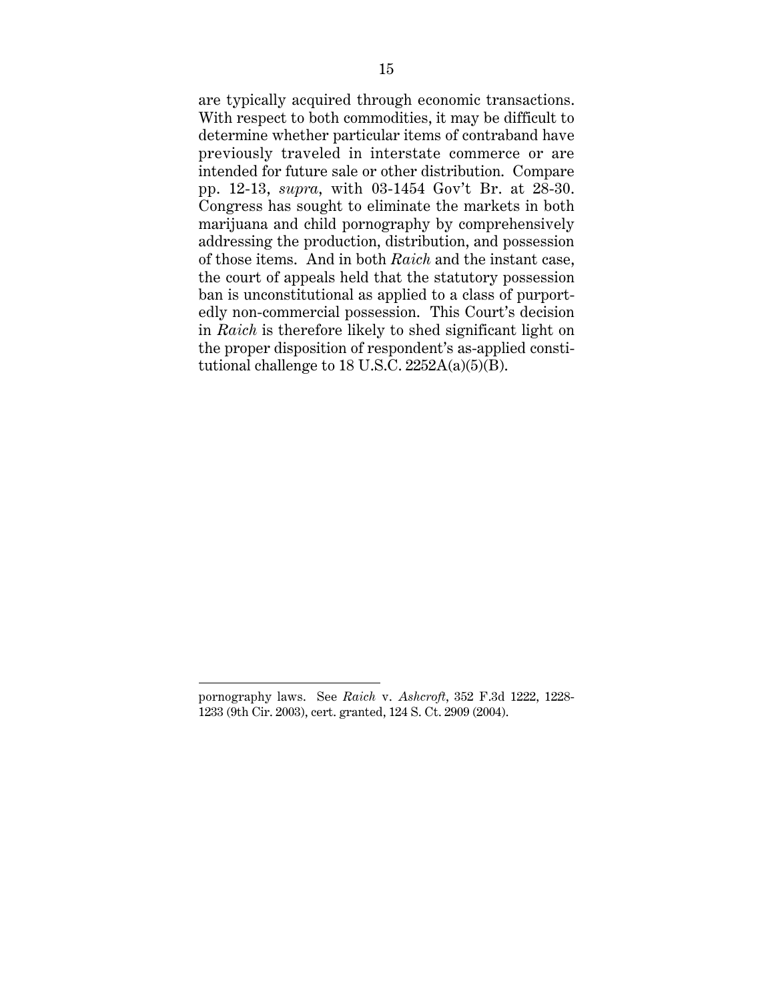are typically acquired through economic transactions. With respect to both commodities, it may be difficult to determine whether particular items of contraband have previously traveled in interstate commerce or are intended for future sale or other distribution. Compare pp. 12-13, *supra*, with 03-1454 Gov't Br. at 28-30. Congress has sought to eliminate the markets in both marijuana and child pornography by comprehensively addressing the production, distribution, and possession of those items. And in both *Raich* and the instant case, the court of appeals held that the statutory possession ban is unconstitutional as applied to a class of purportedly non-commercial possession. This Court's decision in *Raich* is therefore likely to shed significant light on the proper disposition of respondent's as-applied constitutional challenge to 18 U.S.C.  $2252A(a)(5)(B)$ .

pornography laws. See *Raich* v. *Ashcroft*, 352 F.3d 1222, 1228- 1233 (9th Cir. 2003), cert. granted, 124 S. Ct. 2909 (2004).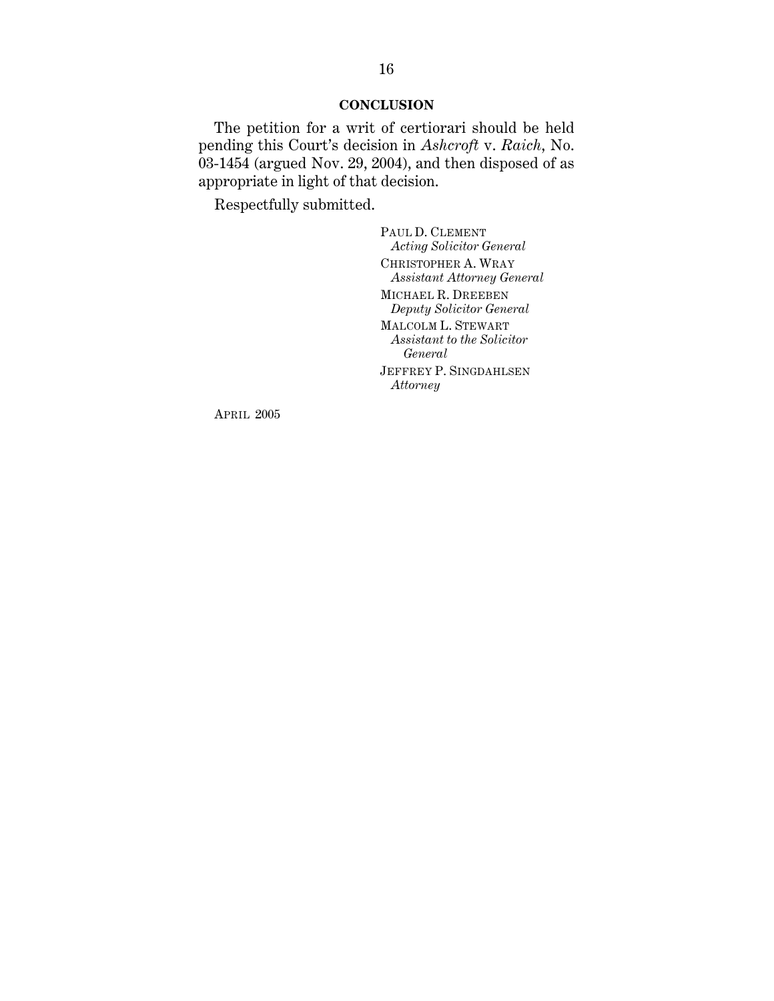#### **CONCLUSION**

The petition for a writ of certiorari should be held pending this Court's decision in *Ashcroft* v. *Raich*, No.  $03-1454$  (argued Nov. 29, 2004), and then disposed of as appropriate in light of that decision.

Respectfully submitted.

PAUL D. CLEMENT *Acting Solicitor General* CHRISTOPHER A. WRAY *Assistant Attorney General* MICHAEL R. DREEBEN *Deputy Solicitor General* MALCOLM L. STEWART *Assistant to the Solicitor General* JEFFREY P. SINGDAHLSEN *Attorney*

APRIL 2005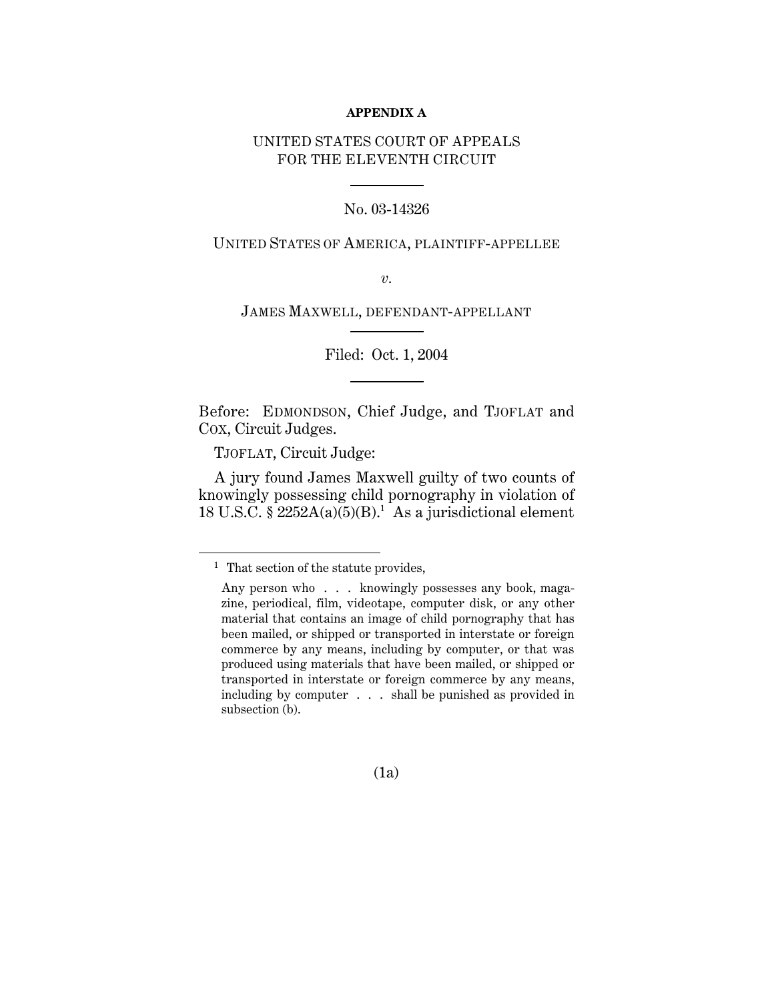#### **APPENDIX A**

#### UNITED STATES COURT OF APPEALS FOR THE ELEVENTH CIRCUIT

#### No. 03-14326

#### UNITED STATES OF AMERICA, PLAINTIFF-APPELLEE

*v.*

JAMES MAXWELL, DEFENDANT-APPELLANT

Filed: Oct. 1, 2004

Before: EDMONDSON, Chief Judge, and TJOFLAT and COX, Circuit Judges.

TJOFLAT, Circuit Judge:

 $\overline{a}$ 

A jury found James Maxwell guilty of two counts of knowingly possessing child pornography in violation of 18 U.S.C. §  $2252A(a)(5)(B)$ .<sup>1</sup> As a jurisdictional element

(1a)

<sup>&</sup>lt;sup>1</sup> That section of the statute provides,

Any person who . . . knowingly possesses any book, magazine, periodical, film, videotape, computer disk, or any other material that contains an image of child pornography that has been mailed, or shipped or transported in interstate or foreign commerce by any means, including by computer, or that was produced using materials that have been mailed, or shipped or transported in interstate or foreign commerce by any means, including by computer . . . shall be punished as provided in subsection (b).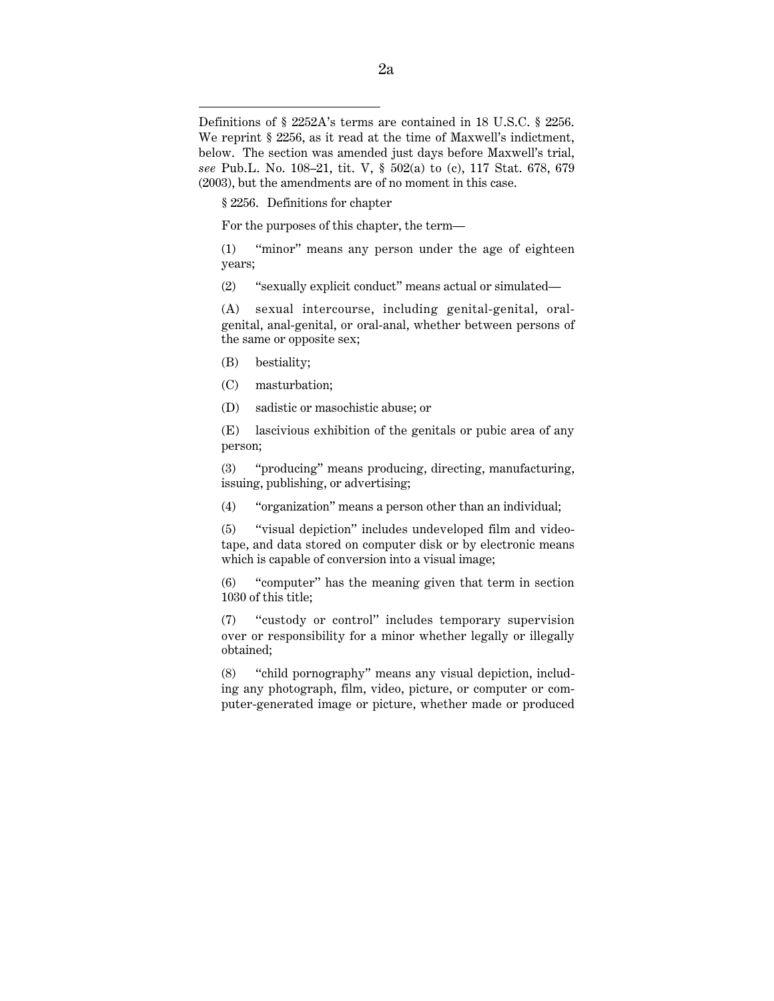§ 2256. Definitions for chapter

For the purposes of this chapter, the term—

(1) ''minor'' means any person under the age of eighteen years;

(2) ''sexually explicit conduct'' means actual or simulated—

(A) sexual intercourse, including genital-genital, oralgenital, anal-genital, or oral-anal, whether between persons of the same or opposite sex;

(B) bestiality;

 $\overline{a}$ 

- (C) masturbation;
- (D) sadistic or masochistic abuse; or

(E) lascivious exhibition of the genitals or pubic area of any person;

(3) "producing'' means producing, directing, manufacturing, issuing, publishing, or advertising;

(4) ''organization'' means a person other than an individual;

(5) ''visual depiction'' includes undeveloped film and videotape, and data stored on computer disk or by electronic means which is capable of conversion into a visual image;

(6) "computer'' has the meaning given that term in section 1030 of this title;

(7) ''custody or control'' includes temporary supervision over or responsibility for a minor whether legally or illegally obtained;

(8) ''child pornography'' means any visual depiction, including any photograph, film, video, picture, or computer or computer-generated image or picture, whether made or produced

Definitions of § 2252A's terms are contained in 18 U.S.C. § 2256. We reprint § 2256, as it read at the time of Maxwell's indictment, below. The section was amended just days before Maxwell's trial, *see* Pub.L. No. 108–21, tit. V, § 502(a) to (c), 117 Stat. 678, 679 (2003), but the amendments are of no moment in this case.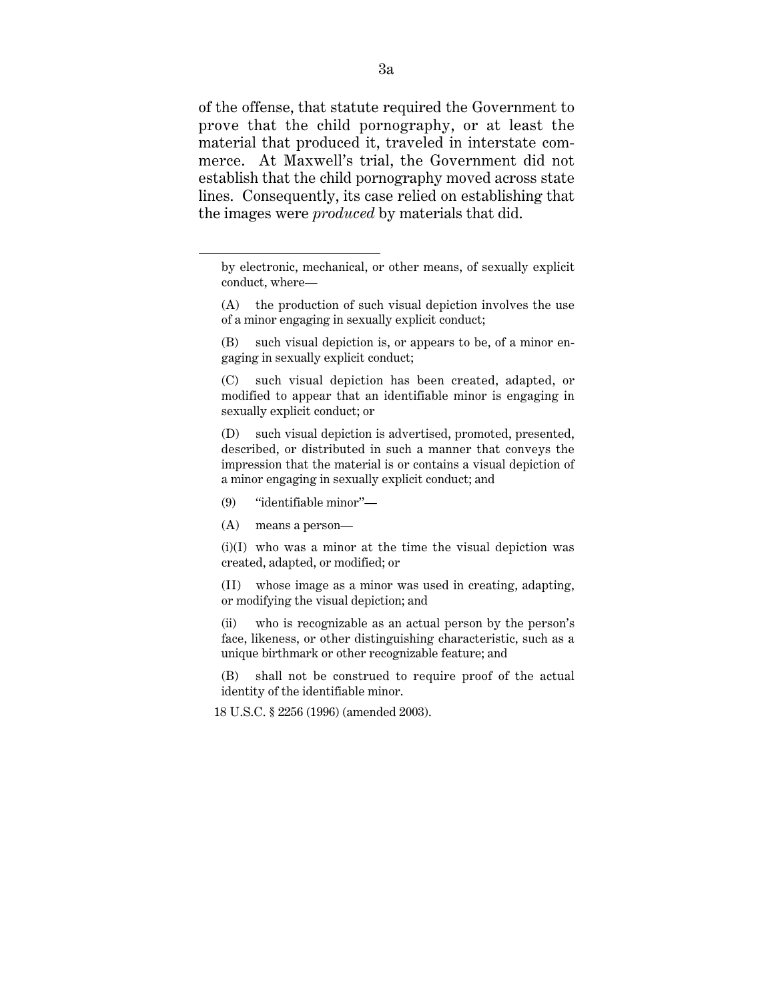of the offense, that statute required the Government to prove that the child pornography, or at least the material that produced it, traveled in interstate commerce. At Maxwell's trial, the Government did not establish that the child pornography moved across state lines. Consequently, its case relied on establishing that the images were *produced* by materials that did.

- (A) the production of such visual depiction involves the use of a minor engaging in sexually explicit conduct;
- (B) such visual depiction is, or appears to be, of a minor engaging in sexually explicit conduct;

(C) such visual depiction has been created, adapted, or modified to appear that an identifiable minor is engaging in sexually explicit conduct; or

(D) such visual depiction is advertised, promoted, presented, described, or distributed in such a manner that conveys the impression that the material is or contains a visual depiction of a minor engaging in sexually explicit conduct; and

- (9) "identifiable minor''—
- (A) means a person—

 $\overline{a}$ 

 $(i)(I)$  who was a minor at the time the visual depiction was created, adapted, or modified; or

(II) whose image as a minor was used in creating, adapting, or modifying the visual depiction; and

(ii) who is recognizable as an actual person by the person's face, likeness, or other distinguishing characteristic, such as a unique birthmark or other recognizable feature; and

(B) shall not be construed to require proof of the actual identity of the identifiable minor.

18 U.S.C. § 2256 (1996) (amended 2003).

by electronic, mechanical, or other means, of sexually explicit conduct, where—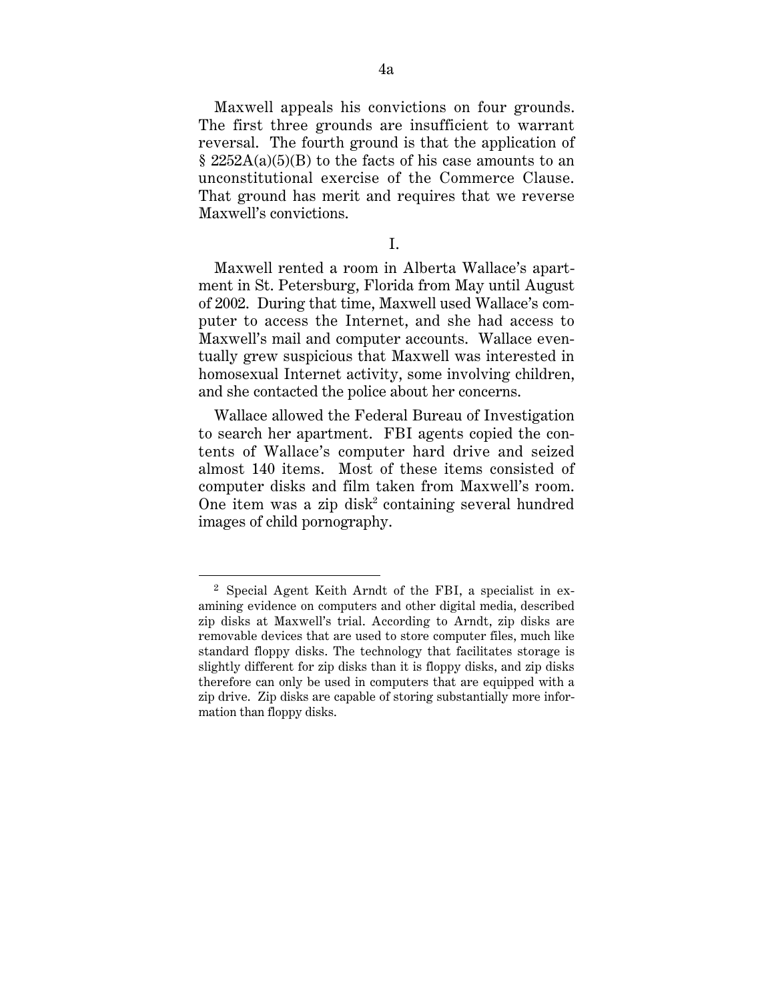Maxwell appeals his convictions on four grounds. The first three grounds are insufficient to warrant reversal. The fourth ground is that the application of  $\S$  2252A(a)(5)(B) to the facts of his case amounts to an unconstitutional exercise of the Commerce Clause. That ground has merit and requires that we reverse Maxwell's convictions.

I.

Maxwell rented a room in Alberta Wallace's apartment in St. Petersburg, Florida from May until August of 2002. During that time, Maxwell used Wallace's computer to access the Internet, and she had access to Maxwell's mail and computer accounts. Wallace eventually grew suspicious that Maxwell was interested in homosexual Internet activity, some involving children, and she contacted the police about her concerns.

Wallace allowed the Federal Bureau of Investigation to search her apartment. FBI agents copied the contents of Wallace's computer hard drive and seized almost 140 items. Most of these items consisted of computer disks and film taken from Maxwell's room. One item was a zip disk<sup>2</sup> containing several hundred images of child pornography.

<sup>2</sup> Special Agent Keith Arndt of the FBI, a specialist in examining evidence on computers and other digital media, described zip disks at Maxwell's trial. According to Arndt, zip disks are removable devices that are used to store computer files, much like standard floppy disks. The technology that facilitates storage is slightly different for zip disks than it is floppy disks, and zip disks therefore can only be used in computers that are equipped with a zip drive. Zip disks are capable of storing substantially more information than floppy disks.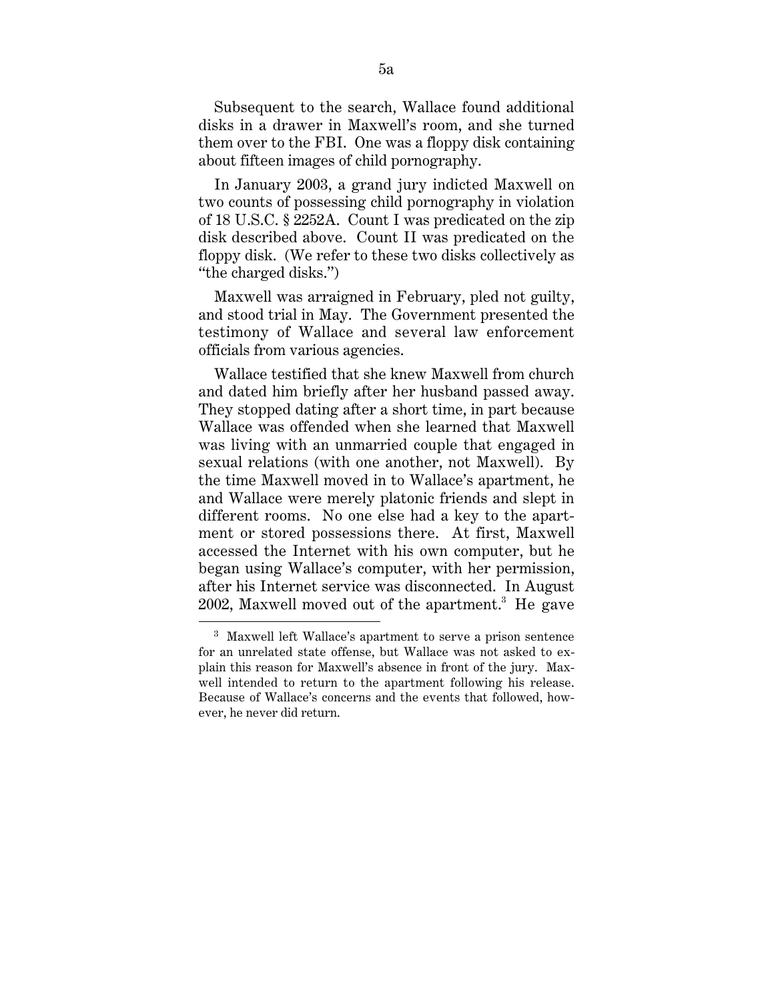Subsequent to the search, Wallace found additional disks in a drawer in Maxwell's room, and she turned them over to the FBI. One was a floppy disk containing about fifteen images of child pornography.

In January 2003, a grand jury indicted Maxwell on two counts of possessing child pornography in violation of 18 U.S.C. § 2252A. Count I was predicated on the zip disk described above. Count II was predicated on the floppy disk. (We refer to these two disks collectively as ''the charged disks.'')

Maxwell was arraigned in February, pled not guilty, and stood trial in May. The Government presented the testimony of Wallace and several law enforcement officials from various agencies.

Wallace testified that she knew Maxwell from church and dated him briefly after her husband passed away. They stopped dating after a short time, in part because Wallace was offended when she learned that Maxwell was living with an unmarried couple that engaged in sexual relations (with one another, not Maxwell). By the time Maxwell moved in to Wallace's apartment, he and Wallace were merely platonic friends and slept in different rooms. No one else had a key to the apartment or stored possessions there. At first, Maxwell accessed the Internet with his own computer, but he began using Wallace's computer, with her permission, after his Internet service was disconnected. In August  $2002$ , Maxwell moved out of the apartment.<sup>3</sup> He gave

<sup>3</sup> Maxwell left Wallace's apartment to serve a prison sentence for an unrelated state offense, but Wallace was not asked to explain this reason for Maxwell's absence in front of the jury. Maxwell intended to return to the apartment following his release. Because of Wallace's concerns and the events that followed, however, he never did return.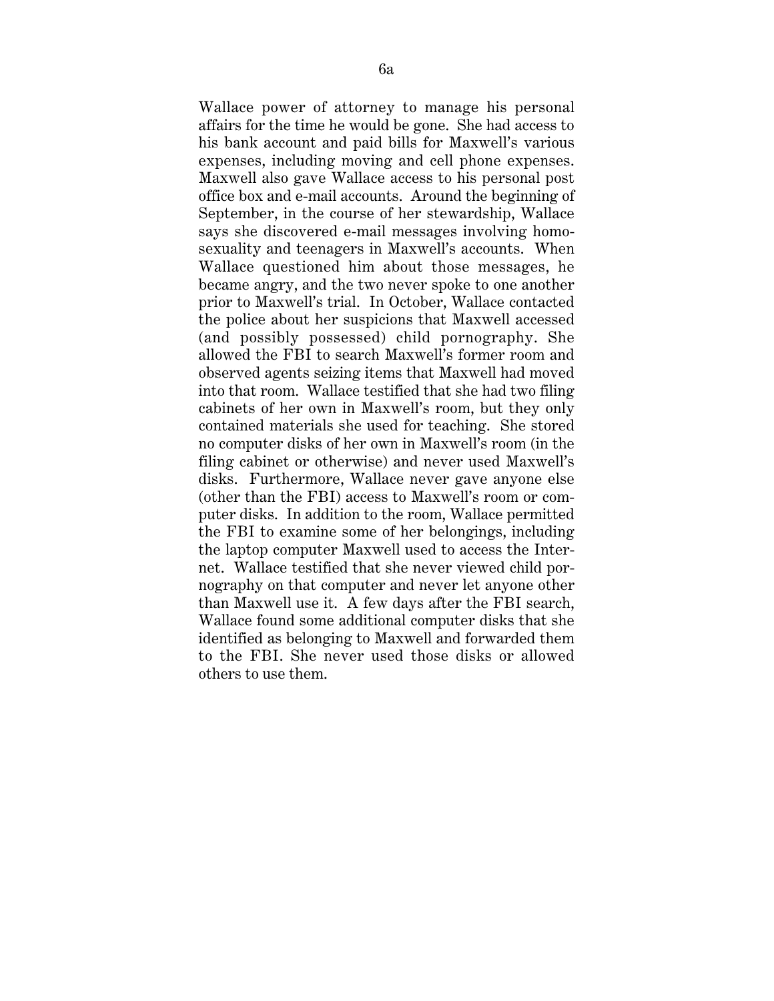Wallace power of attorney to manage his personal affairs for the time he would be gone. She had access to his bank account and paid bills for Maxwell's various expenses, including moving and cell phone expenses. Maxwell also gave Wallace access to his personal post office box and e-mail accounts. Around the beginning of September, in the course of her stewardship, Wallace says she discovered e-mail messages involving homosexuality and teenagers in Maxwell's accounts. When Wallace questioned him about those messages, he became angry, and the two never spoke to one another prior to Maxwell's trial. In October, Wallace contacted the police about her suspicions that Maxwell accessed (and possibly possessed) child pornography. She allowed the FBI to search Maxwell's former room and observed agents seizing items that Maxwell had moved into that room. Wallace testified that she had two filing cabinets of her own in Maxwell's room, but they only contained materials she used for teaching. She stored no computer disks of her own in Maxwell's room (in the filing cabinet or otherwise) and never used Maxwell's disks. Furthermore, Wallace never gave anyone else (other than the FBI) access to Maxwell's room or computer disks. In addition to the room, Wallace permitted the FBI to examine some of her belongings, including the laptop computer Maxwell used to access the Internet. Wallace testified that she never viewed child pornography on that computer and never let anyone other than Maxwell use it. A few days after the FBI search, Wallace found some additional computer disks that she identified as belonging to Maxwell and forwarded them to the FBI. She never used those disks or allowed others to use them.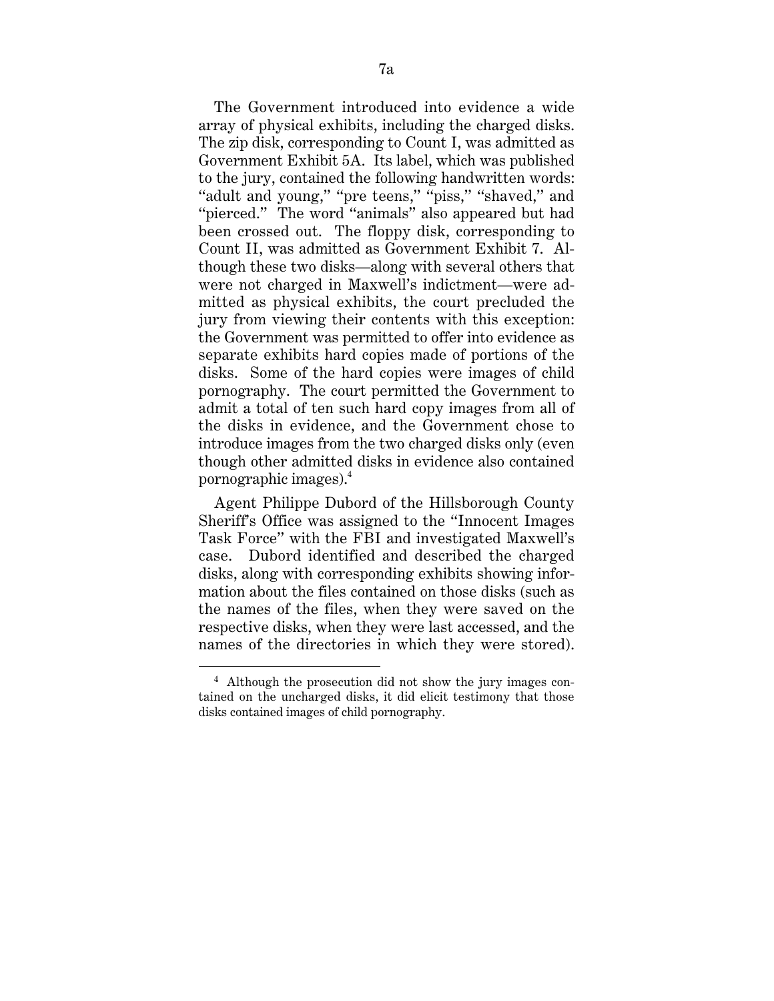The Government introduced into evidence a wide array of physical exhibits, including the charged disks. The zip disk, corresponding to Count I, was admitted as Government Exhibit 5A. Its label, which was published to the jury, contained the following handwritten words: "adult and young," "pre teens," "piss," "shaved," and "pierced." The word "animals" also appeared but had been crossed out. The floppy disk, corresponding to Count II, was admitted as Government Exhibit 7. Although these two disks—along with several others that were not charged in Maxwell's indictment—were admitted as physical exhibits, the court precluded the jury from viewing their contents with this exception: the Government was permitted to offer into evidence as separate exhibits hard copies made of portions of the disks. Some of the hard copies were images of child pornography. The court permitted the Government to admit a total of ten such hard copy images from all of the disks in evidence, and the Government chose to introduce images from the two charged disks only (even though other admitted disks in evidence also contained pornographic images).4

Agent Philippe Dubord of the Hillsborough County Sheriff's Office was assigned to the ''Innocent Images Task Force'' with the FBI and investigated Maxwell's case. Dubord identified and described the charged disks, along with corresponding exhibits showing information about the files contained on those disks (such as the names of the files, when they were saved on the respective disks, when they were last accessed, and the names of the directories in which they were stored).

 <sup>4</sup> Although the prosecution did not show the jury images contained on the uncharged disks, it did elicit testimony that those disks contained images of child pornography.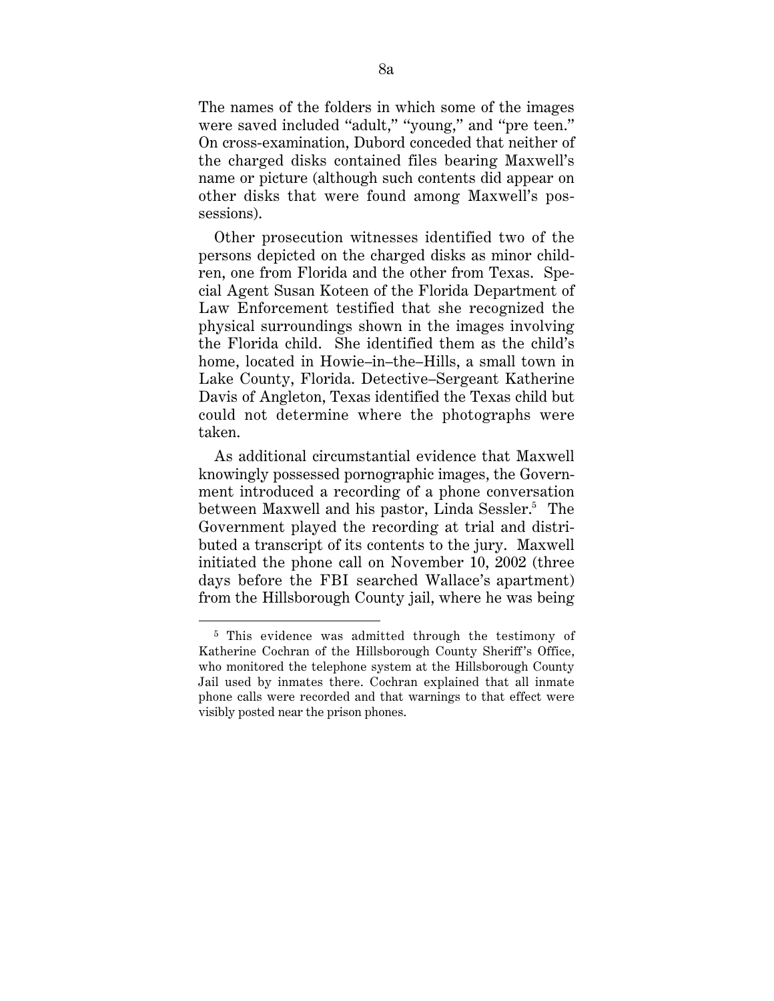The names of the folders in which some of the images were saved included "adult," "young," and "pre teen." On cross-examination, Dubord conceded that neither of the charged disks contained files bearing Maxwell's name or picture (although such contents did appear on other disks that were found among Maxwell's possessions).

Other prosecution witnesses identified two of the persons depicted on the charged disks as minor children, one from Florida and the other from Texas. Special Agent Susan Koteen of the Florida Department of Law Enforcement testified that she recognized the physical surroundings shown in the images involving the Florida child. She identified them as the child's home, located in Howie–in–the–Hills, a small town in Lake County, Florida. Detective–Sergeant Katherine Davis of Angleton, Texas identified the Texas child but could not determine where the photographs were taken.

As additional circumstantial evidence that Maxwell knowingly possessed pornographic images, the Government introduced a recording of a phone conversation between Maxwell and his pastor, Linda Sessler.<sup>5</sup> The Government played the recording at trial and distributed a transcript of its contents to the jury. Maxwell initiated the phone call on November 10, 2002 (three days before the FBI searched Wallace's apartment) from the Hillsborough County jail, where he was being

<sup>5</sup> This evidence was admitted through the testimony of Katherine Cochran of the Hillsborough County Sheriff's Office, who monitored the telephone system at the Hillsborough County Jail used by inmates there. Cochran explained that all inmate phone calls were recorded and that warnings to that effect were visibly posted near the prison phones.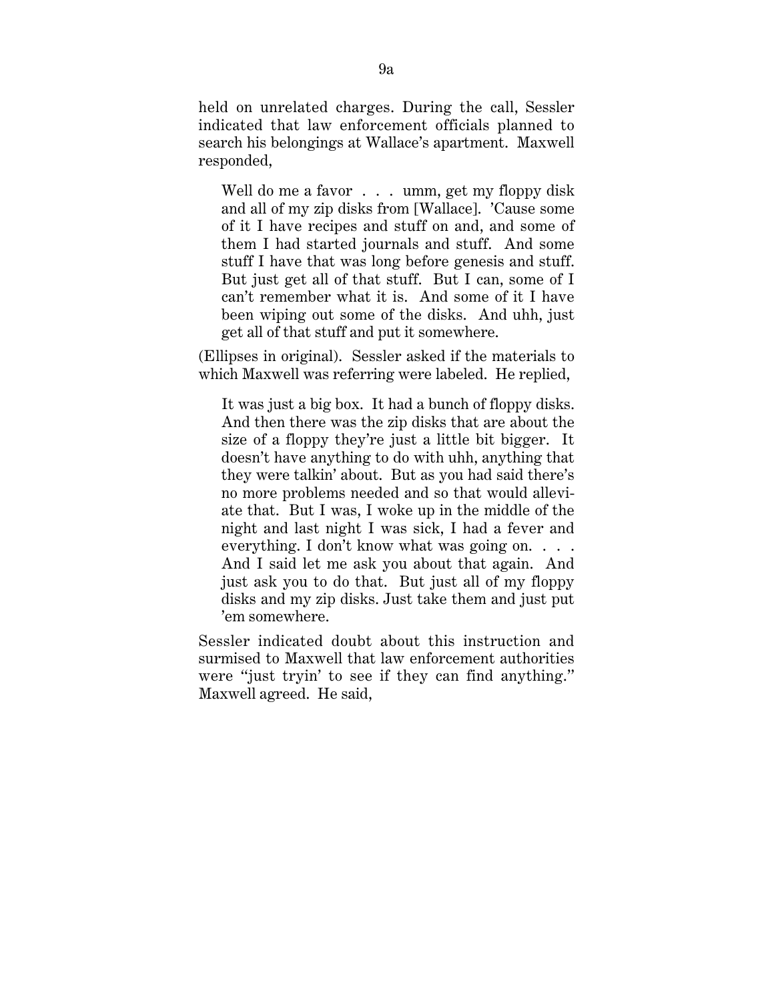held on unrelated charges. During the call, Sessler indicated that law enforcement officials planned to search his belongings at Wallace's apartment. Maxwell responded,

Well do me a favor . . . umm, get my floppy disk and all of my zip disks from [Wallace]. 'Cause some of it I have recipes and stuff on and, and some of them I had started journals and stuff. And some stuff I have that was long before genesis and stuff. But just get all of that stuff. But I can, some of I can't remember what it is. And some of it I have been wiping out some of the disks. And uhh, just get all of that stuff and put it somewhere.

(Ellipses in original). Sessler asked if the materials to which Maxwell was referring were labeled. He replied,

It was just a big box. It had a bunch of floppy disks. And then there was the zip disks that are about the size of a floppy they're just a little bit bigger. It doesn't have anything to do with uhh, anything that they were talkin' about. But as you had said there's no more problems needed and so that would alleviate that. But I was, I woke up in the middle of the night and last night I was sick, I had a fever and everything. I don't know what was going on. . . . And I said let me ask you about that again. And just ask you to do that. But just all of my floppy disks and my zip disks. Just take them and just put 'em somewhere.

Sessler indicated doubt about this instruction and surmised to Maxwell that law enforcement authorities were "just tryin' to see if they can find anything." Maxwell agreed. He said,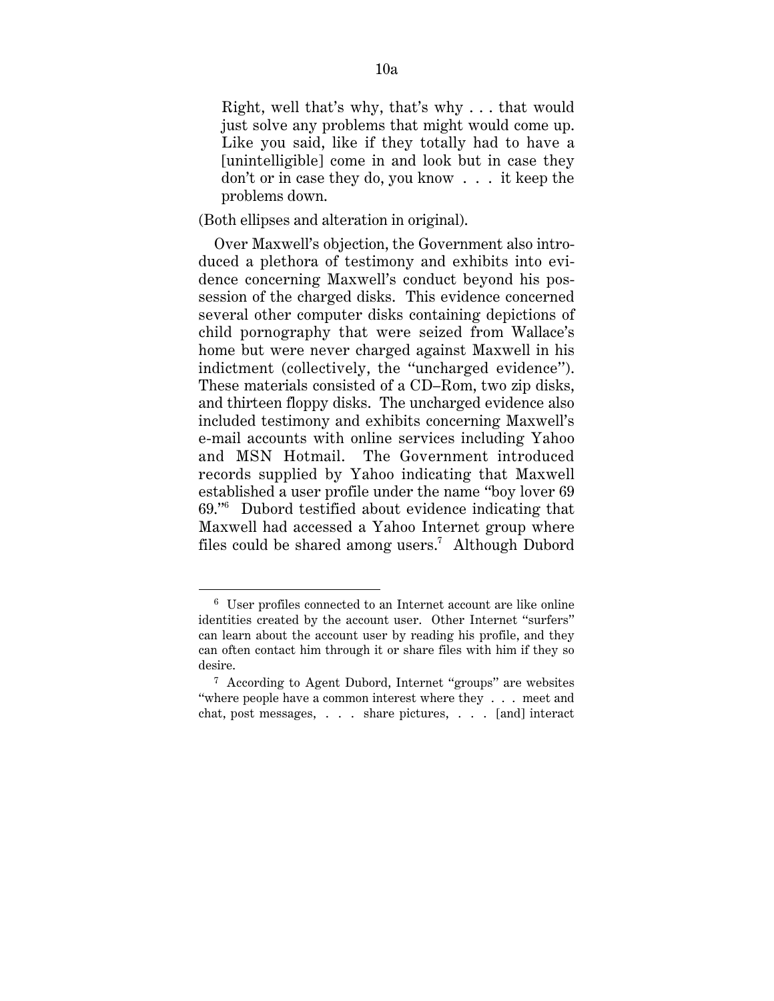Right, well that's why, that's why . . . that would just solve any problems that might would come up. Like you said, like if they totally had to have a [unintelligible] come in and look but in case they don't or in case they do, you know . . . it keep the problems down.

(Both ellipses and alteration in original).

Over Maxwell's objection, the Government also introduced a plethora of testimony and exhibits into evidence concerning Maxwell's conduct beyond his possession of the charged disks. This evidence concerned several other computer disks containing depictions of child pornography that were seized from Wallace's home but were never charged against Maxwell in his indictment (collectively, the ''uncharged evidence''). These materials consisted of a CD–Rom, two zip disks, and thirteen floppy disks. The uncharged evidence also included testimony and exhibits concerning Maxwell's e-mail accounts with online services including Yahoo and MSN Hotmail. The Government introduced records supplied by Yahoo indicating that Maxwell established a user profile under the name ''boy lover 69 69.''6 Dubord testified about evidence indicating that Maxwell had accessed a Yahoo Internet group where files could be shared among users.<sup>7</sup> Although Dubord

 <sup>6</sup> User profiles connected to an Internet account are like online identities created by the account user. Other Internet ''surfers'' can learn about the account user by reading his profile, and they can often contact him through it or share files with him if they so desire.

<sup>7</sup> According to Agent Dubord, Internet ''groups'' are websites ''where people have a common interest where they . . . meet and chat, post messages, . . . share pictures, . . . [and] interact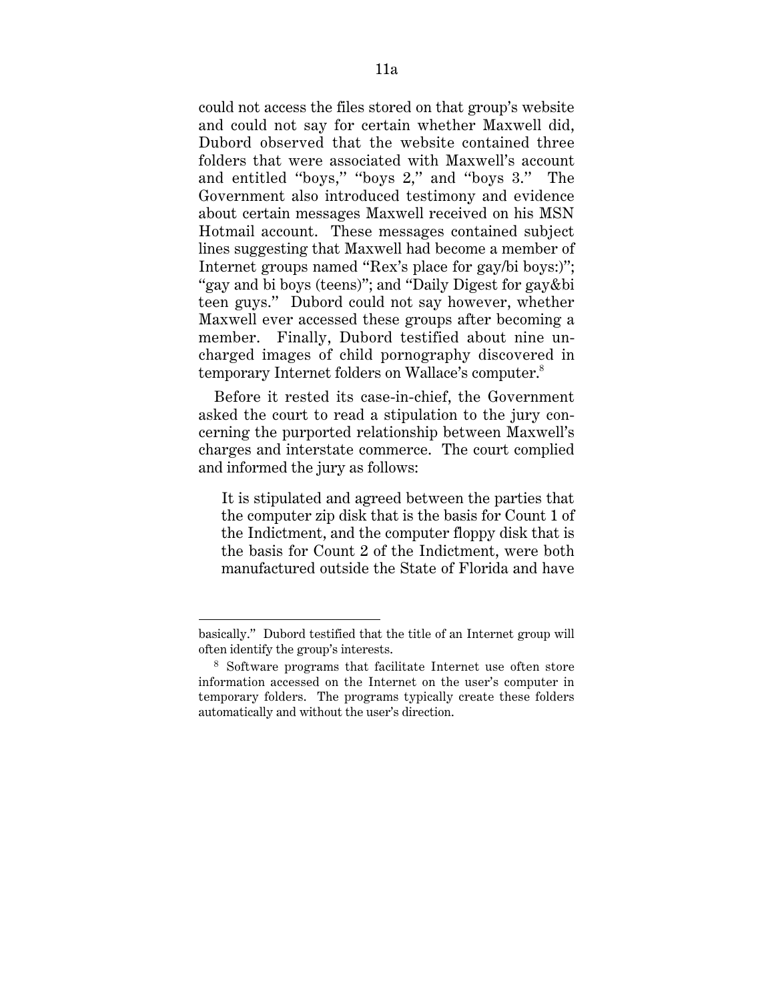could not access the files stored on that group's website and could not say for certain whether Maxwell did, Dubord observed that the website contained three folders that were associated with Maxwell's account and entitled ''boys,'' ''boys 2,'' and ''boys 3.'' The Government also introduced testimony and evidence about certain messages Maxwell received on his MSN Hotmail account. These messages contained subject lines suggesting that Maxwell had become a member of Internet groups named ''Rex's place for gay/bi boys:)''; "gay and bi boys (teens)"; and "Daily Digest for gay&bi teen guys.'' Dubord could not say however, whether Maxwell ever accessed these groups after becoming a member. Finally, Dubord testified about nine uncharged images of child pornography discovered in temporary Internet folders on Wallace's computer.8

Before it rested its case-in-chief, the Government asked the court to read a stipulation to the jury concerning the purported relationship between Maxwell's charges and interstate commerce. The court complied and informed the jury as follows:

It is stipulated and agreed between the parties that the computer zip disk that is the basis for Count 1 of the Indictment, and the computer floppy disk that is the basis for Count 2 of the Indictment, were both manufactured outside the State of Florida and have

basically.'' Dubord testified that the title of an Internet group will often identify the group's interests.

<sup>8</sup> Software programs that facilitate Internet use often store information accessed on the Internet on the user's computer in temporary folders. The programs typically create these folders automatically and without the user's direction.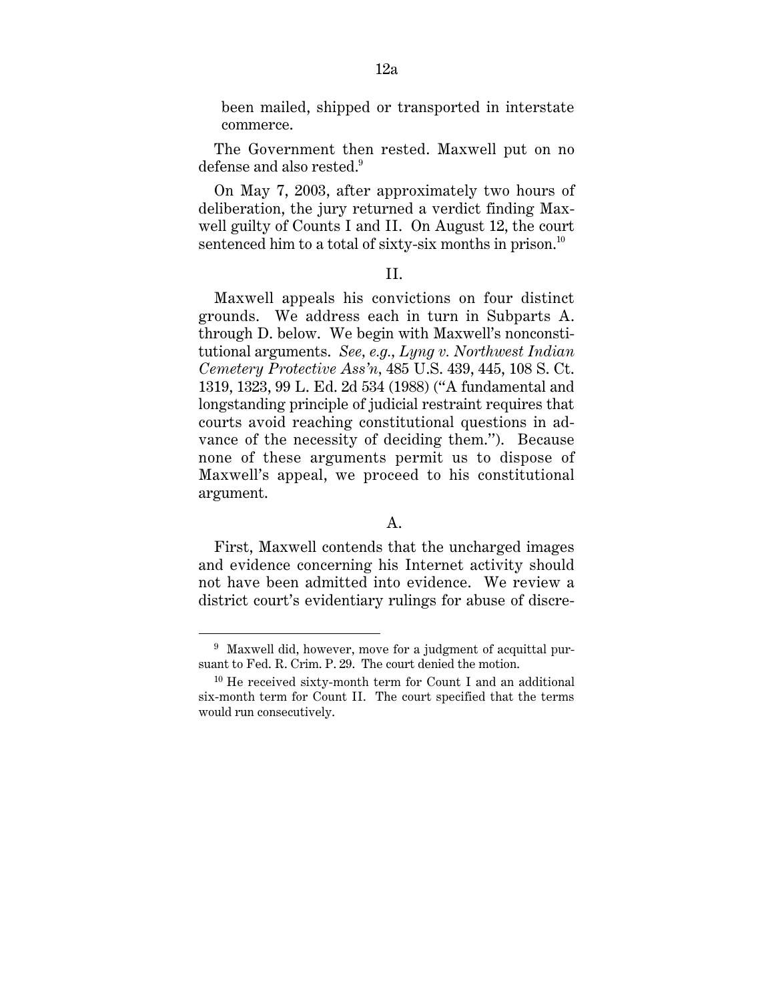been mailed, shipped or transported in interstate commerce.

The Government then rested. Maxwell put on no defense and also rested.<sup>9</sup>

On May 7, 2003, after approximately two hours of deliberation, the jury returned a verdict finding Maxwell guilty of Counts I and II. On August 12, the court sentenced him to a total of sixty-six months in prison.<sup>10</sup>

#### II.

Maxwell appeals his convictions on four distinct grounds. We address each in turn in Subparts A. through D. below. We begin with Maxwell's nonconstitutional arguments. *See, e.g., Lyng v. Northwest Indian Cemetery Protective Ass'n,* 485 U.S. 439, 445, 108 S. Ct. 1319, 1323, 99 L. Ed. 2d 534 (1988) (''A fundamental and longstanding principle of judicial restraint requires that courts avoid reaching constitutional questions in advance of the necessity of deciding them.''). Because none of these arguments permit us to dispose of Maxwell's appeal, we proceed to his constitutional argument.

#### A.

First, Maxwell contends that the uncharged images and evidence concerning his Internet activity should not have been admitted into evidence. We review a district court's evidentiary rulings for abuse of discre-

<sup>&</sup>lt;sup>9</sup> Maxwell did, however, move for a judgment of acquittal pursuant to Fed. R. Crim. P. 29. The court denied the motion.

 $10$  He received sixty-month term for Count I and an additional six-month term for Count II. The court specified that the terms would run consecutively.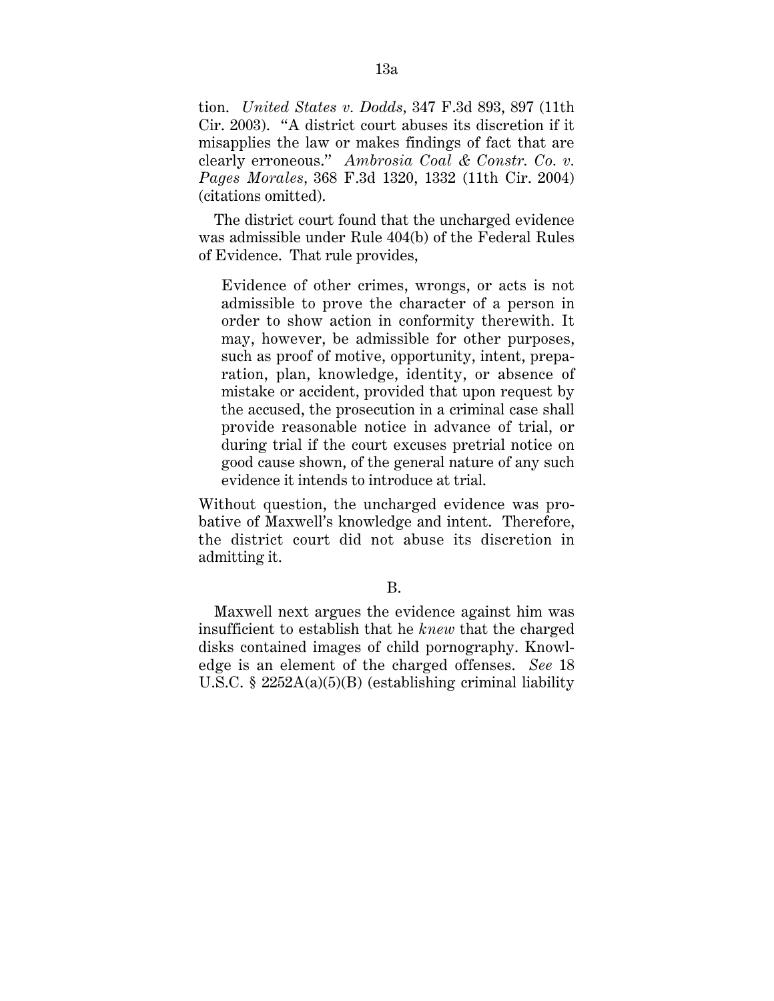tion. *United States v. Dodds,* 347 F.3d 893, 897 (11th Cir. 2003). ''A district court abuses its discretion if it misapplies the law or makes findings of fact that are clearly erroneous.'' *Ambrosia Coal & Constr. Co. v. Pages Morales,* 368 F.3d 1320, 1332 (11th Cir. 2004) (citations omitted).

The district court found that the uncharged evidence was admissible under Rule 404(b) of the Federal Rules of Evidence. That rule provides,

Evidence of other crimes, wrongs, or acts is not admissible to prove the character of a person in order to show action in conformity therewith. It may, however, be admissible for other purposes, such as proof of motive, opportunity, intent, preparation, plan, knowledge, identity, or absence of mistake or accident, provided that upon request by the accused, the prosecution in a criminal case shall provide reasonable notice in advance of trial, or during trial if the court excuses pretrial notice on good cause shown, of the general nature of any such evidence it intends to introduce at trial.

Without question, the uncharged evidence was probative of Maxwell's knowledge and intent. Therefore, the district court did not abuse its discretion in admitting it.

B.

Maxwell next argues the evidence against him was insufficient to establish that he *knew* that the charged disks contained images of child pornography. Knowledge is an element of the charged offenses. *See* 18 U.S.C. § 2252A(a)(5)(B) (establishing criminal liability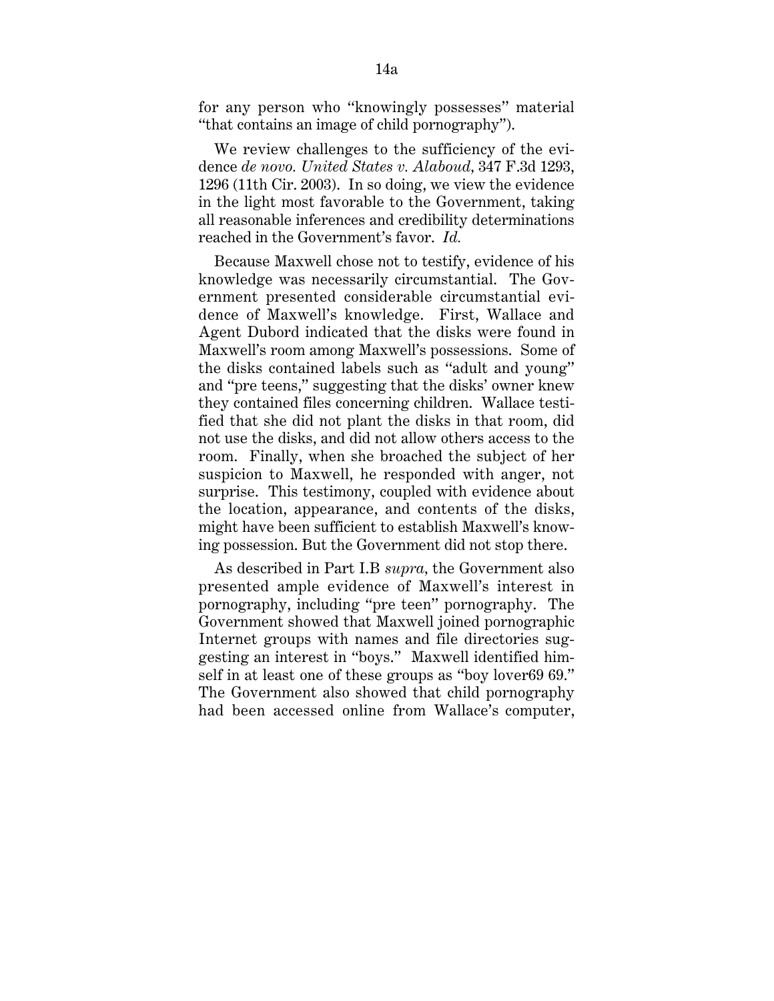for any person who ''knowingly possesses'' material ''that contains an image of child pornography'').

We review challenges to the sufficiency of the evidence *de novo. United States v. Alaboud,* 347 F.3d 1293, 1296 (11th Cir. 2003). In so doing, we view the evidence in the light most favorable to the Government, taking all reasonable inferences and credibility determinations reached in the Government's favor. *Id.*

Because Maxwell chose not to testify, evidence of his knowledge was necessarily circumstantial. The Government presented considerable circumstantial evidence of Maxwell's knowledge. First, Wallace and Agent Dubord indicated that the disks were found in Maxwell's room among Maxwell's possessions. Some of the disks contained labels such as ''adult and young'' and ''pre teens,'' suggesting that the disks' owner knew they contained files concerning children. Wallace testified that she did not plant the disks in that room, did not use the disks, and did not allow others access to the room. Finally, when she broached the subject of her suspicion to Maxwell, he responded with anger, not surprise. This testimony, coupled with evidence about the location, appearance, and contents of the disks, might have been sufficient to establish Maxwell's knowing possession. But the Government did not stop there.

As described in Part I.B *supra,* the Government also presented ample evidence of Maxwell's interest in pornography, including ''pre teen'' pornography. The Government showed that Maxwell joined pornographic Internet groups with names and file directories suggesting an interest in ''boys.'' Maxwell identified himself in at least one of these groups as ''boy lover69 69.'' The Government also showed that child pornography had been accessed online from Wallace's computer,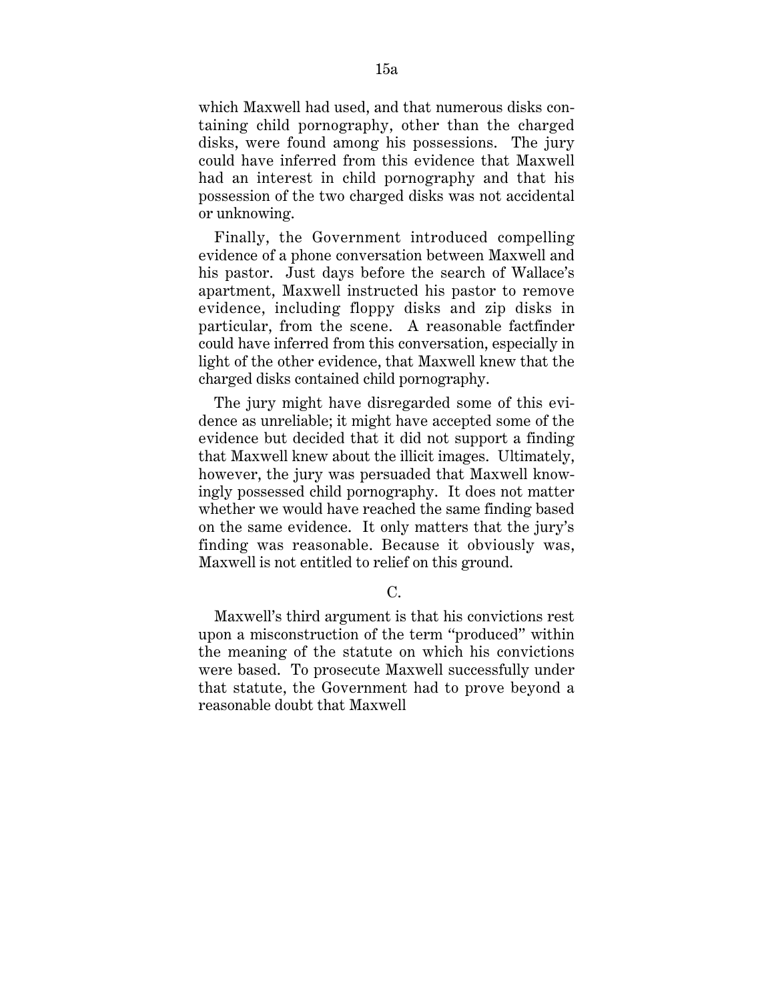which Maxwell had used, and that numerous disks containing child pornography, other than the charged disks, were found among his possessions. The jury could have inferred from this evidence that Maxwell had an interest in child pornography and that his possession of the two charged disks was not accidental or unknowing.

Finally, the Government introduced compelling evidence of a phone conversation between Maxwell and his pastor. Just days before the search of Wallace's apartment, Maxwell instructed his pastor to remove evidence, including floppy disks and zip disks in particular, from the scene. A reasonable factfinder could have inferred from this conversation, especially in light of the other evidence, that Maxwell knew that the charged disks contained child pornography.

The jury might have disregarded some of this evidence as unreliable; it might have accepted some of the evidence but decided that it did not support a finding that Maxwell knew about the illicit images. Ultimately, however, the jury was persuaded that Maxwell knowingly possessed child pornography. It does not matter whether we would have reached the same finding based on the same evidence. It only matters that the jury's finding was reasonable. Because it obviously was, Maxwell is not entitled to relief on this ground.

#### C.

Maxwell's third argument is that his convictions rest upon a misconstruction of the term ''produced'' within the meaning of the statute on which his convictions were based. To prosecute Maxwell successfully under that statute, the Government had to prove beyond a reasonable doubt that Maxwell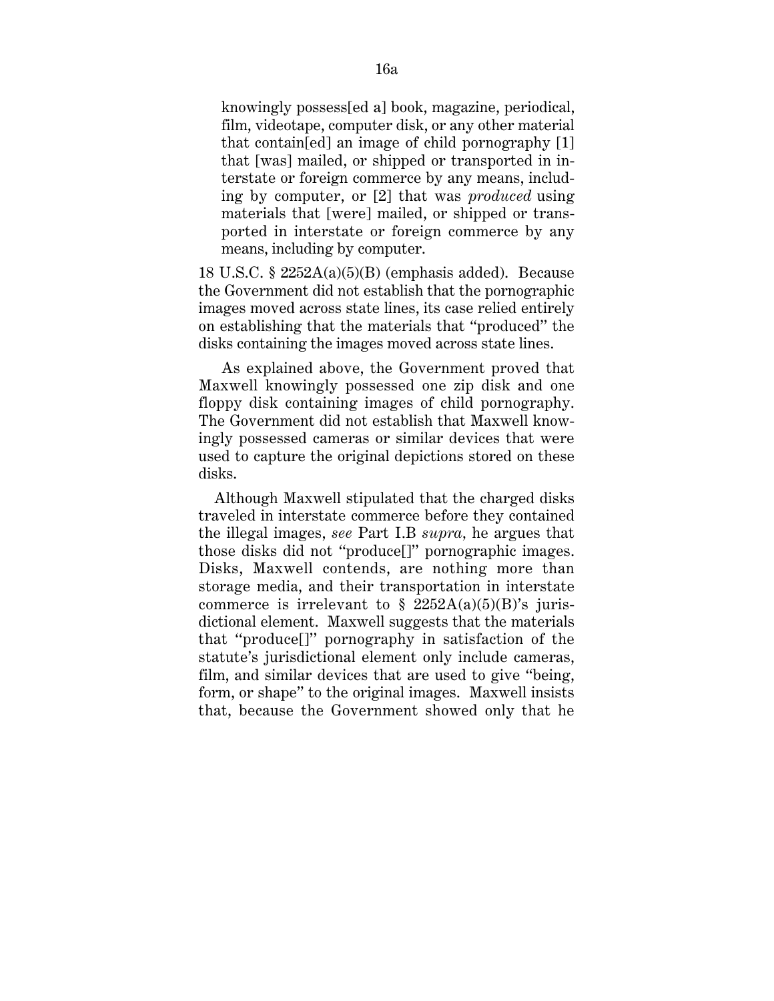knowingly possess[ed a] book, magazine, periodical, film, videotape, computer disk, or any other material that contain[ed] an image of child pornography [1] that [was] mailed, or shipped or transported in interstate or foreign commerce by any means, including by computer, or [2] that was *produced* using materials that [were] mailed, or shipped or transported in interstate or foreign commerce by any means, including by computer.

18 U.S.C.  $\S$  2252A(a)(5)(B) (emphasis added). Because the Government did not establish that the pornographic images moved across state lines, its case relied entirely on establishing that the materials that ''produced'' the disks containing the images moved across state lines.

As explained above, the Government proved that Maxwell knowingly possessed one zip disk and one floppy disk containing images of child pornography. The Government did not establish that Maxwell knowingly possessed cameras or similar devices that were used to capture the original depictions stored on these disks.

Although Maxwell stipulated that the charged disks traveled in interstate commerce before they contained the illegal images, *see* Part I.B *supra,* he argues that those disks did not ''produce[]'' pornographic images. Disks, Maxwell contends, are nothing more than storage media, and their transportation in interstate commerce is irrelevant to  $\S$  2252A(a)(5)(B)'s jurisdictional element. Maxwell suggests that the materials that ''produce[]'' pornography in satisfaction of the statute's jurisdictional element only include cameras, film, and similar devices that are used to give ''being, form, or shape'' to the original images. Maxwell insists that, because the Government showed only that he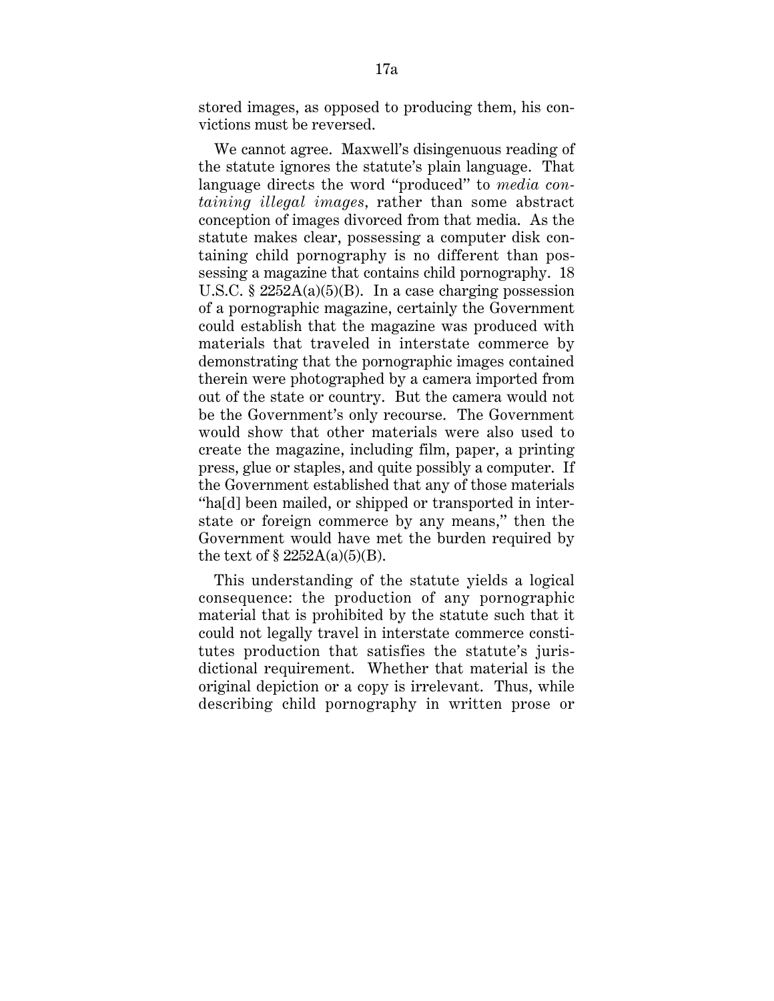stored images, as opposed to producing them, his convictions must be reversed.

We cannot agree. Maxwell's disingenuous reading of the statute ignores the statute's plain language. That language directs the word ''produced'' to *media containing illegal images,* rather than some abstract conception of images divorced from that media. As the statute makes clear, possessing a computer disk containing child pornography is no different than possessing a magazine that contains child pornography. 18 U.S.C. §  $2252A(a)(5)(B)$ . In a case charging possession of a pornographic magazine, certainly the Government could establish that the magazine was produced with materials that traveled in interstate commerce by demonstrating that the pornographic images contained therein were photographed by a camera imported from out of the state or country. But the camera would not be the Government's only recourse. The Government would show that other materials were also used to create the magazine, including film, paper, a printing press, glue or staples, and quite possibly a computer. If the Government established that any of those materials ''ha[d] been mailed, or shipped or transported in interstate or foreign commerce by any means,'' then the Government would have met the burden required by the text of  $\S$  2252A(a)(5)(B).

This understanding of the statute yields a logical consequence: the production of any pornographic material that is prohibited by the statute such that it could not legally travel in interstate commerce constitutes production that satisfies the statute's jurisdictional requirement. Whether that material is the original depiction or a copy is irrelevant. Thus, while describing child pornography in written prose or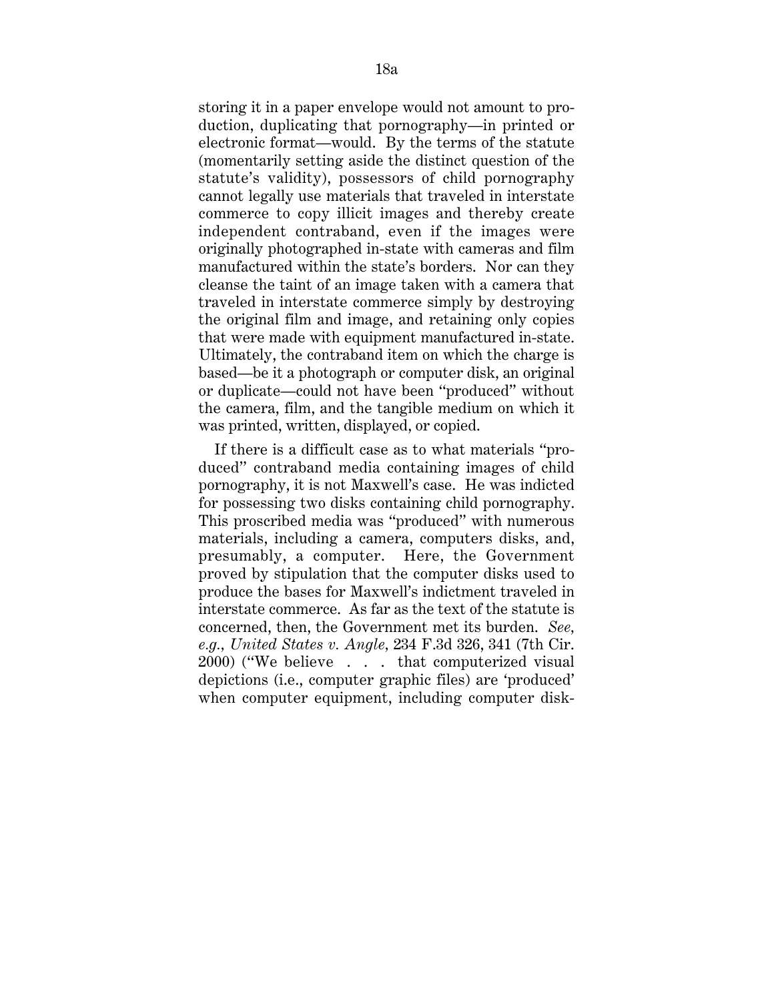storing it in a paper envelope would not amount to production, duplicating that pornography—in printed or electronic format—would. By the terms of the statute (momentarily setting aside the distinct question of the statute's validity), possessors of child pornography cannot legally use materials that traveled in interstate commerce to copy illicit images and thereby create independent contraband, even if the images were originally photographed in-state with cameras and film manufactured within the state's borders. Nor can they cleanse the taint of an image taken with a camera that traveled in interstate commerce simply by destroying the original film and image, and retaining only copies that were made with equipment manufactured in-state. Ultimately, the contraband item on which the charge is based—be it a photograph or computer disk, an original or duplicate—could not have been ''produced'' without the camera, film, and the tangible medium on which it was printed, written, displayed, or copied.

If there is a difficult case as to what materials ''produced'' contraband media containing images of child pornography, it is not Maxwell's case. He was indicted for possessing two disks containing child pornography. This proscribed media was ''produced'' with numerous materials, including a camera, computers disks, and, presumably, a computer. Here, the Government proved by stipulation that the computer disks used to produce the bases for Maxwell's indictment traveled in interstate commerce. As far as the text of the statute is concerned, then, the Government met its burden. *See, e.g., United States v. Angle,* 234 F.3d 326, 341 (7th Cir. 2000) (''We believe . . . that computerized visual depictions (i.e., computer graphic files) are 'produced' when computer equipment, including computer disk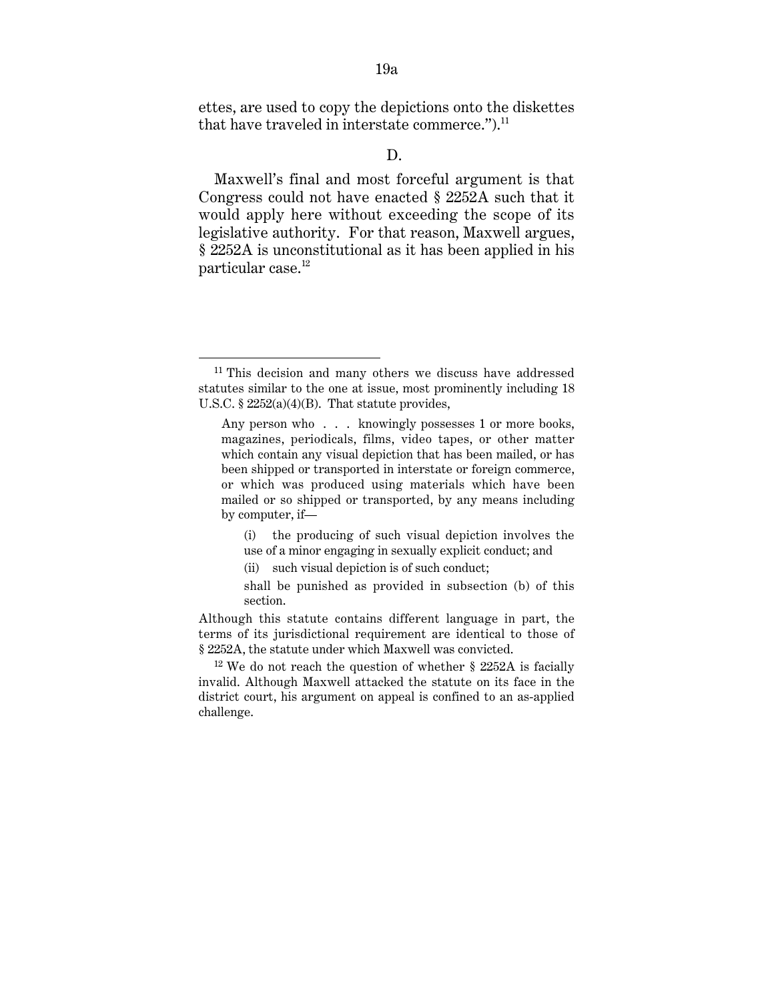ettes, are used to copy the depictions onto the diskettes that have traveled in interstate commerce."). $^{11}$ 

## D.

Maxwell's final and most forceful argument is that Congress could not have enacted § 2252A such that it would apply here without exceeding the scope of its legislative authority. For that reason, Maxwell argues, § 2252A is unconstitutional as it has been applied in his particular case.<sup>12</sup>

<sup>&</sup>lt;sup>11</sup> This decision and many others we discuss have addressed statutes similar to the one at issue, most prominently including 18 U.S.C. § 2252(a)(4)(B). That statute provides,

Any person who . . . knowingly possesses 1 or more books, magazines, periodicals, films, video tapes, or other matter which contain any visual depiction that has been mailed, or has been shipped or transported in interstate or foreign commerce, or which was produced using materials which have been mailed or so shipped or transported, by any means including by computer, if—

<sup>(</sup>i) the producing of such visual depiction involves the use of a minor engaging in sexually explicit conduct; and

<sup>(</sup>ii) such visual depiction is of such conduct;

shall be punished as provided in subsection (b) of this section.

Although this statute contains different language in part, the terms of its jurisdictional requirement are identical to those of § 2252A, the statute under which Maxwell was convicted.

 $12$  We do not reach the question of whether § 2252A is facially invalid. Although Maxwell attacked the statute on its face in the district court, his argument on appeal is confined to an as-applied challenge.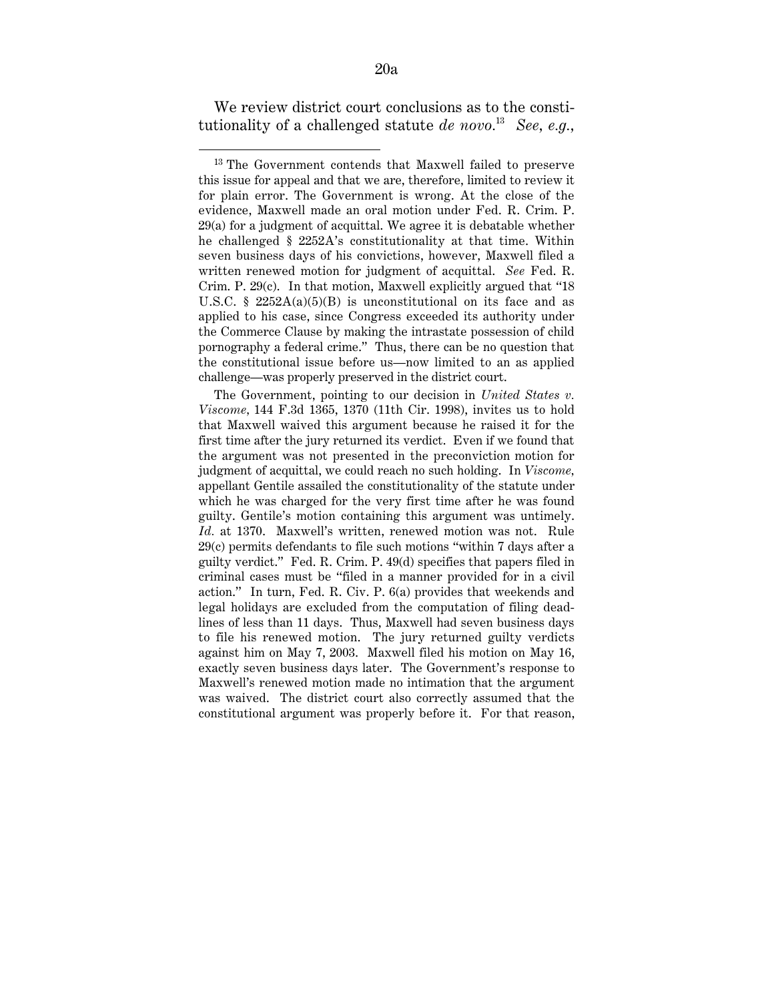We review district court conclusions as to the constitutionality of a challenged statute *de novo.*13 *See, e.g.,*

1

The Government, pointing to our decision in *United States v. Viscome,* 144 F.3d 1365, 1370 (11th Cir. 1998), invites us to hold that Maxwell waived this argument because he raised it for the first time after the jury returned its verdict. Even if we found that the argument was not presented in the preconviction motion for judgment of acquittal, we could reach no such holding. In *Viscome,* appellant Gentile assailed the constitutionality of the statute under which he was charged for the very first time after he was found guilty. Gentile's motion containing this argument was untimely. *Id.* at 1370. Maxwell's written, renewed motion was not. Rule 29(c) permits defendants to file such motions ''within 7 days after a guilty verdict.'' Fed. R. Crim. P. 49(d) specifies that papers filed in criminal cases must be ''filed in a manner provided for in a civil action.'' In turn, Fed. R. Civ. P. 6(a) provides that weekends and legal holidays are excluded from the computation of filing deadlines of less than 11 days. Thus, Maxwell had seven business days to file his renewed motion. The jury returned guilty verdicts against him on May 7, 2003. Maxwell filed his motion on May 16, exactly seven business days later. The Government's response to Maxwell's renewed motion made no intimation that the argument was waived. The district court also correctly assumed that the constitutional argument was properly before it. For that reason,

<sup>13</sup> The Government contends that Maxwell failed to preserve this issue for appeal and that we are, therefore, limited to review it for plain error. The Government is wrong. At the close of the evidence, Maxwell made an oral motion under Fed. R. Crim. P. 29(a) for a judgment of acquittal. We agree it is debatable whether he challenged § 2252A's constitutionality at that time. Within seven business days of his convictions, however, Maxwell filed a written renewed motion for judgment of acquittal. *See* Fed. R. Crim. P. 29(c). In that motion, Maxwell explicitly argued that ''18 U.S.C. §  $2252A(a)(5)(B)$  is unconstitutional on its face and as applied to his case, since Congress exceeded its authority under the Commerce Clause by making the intrastate possession of child pornography a federal crime.'' Thus, there can be no question that the constitutional issue before us—now limited to an as applied challenge—was properly preserved in the district court.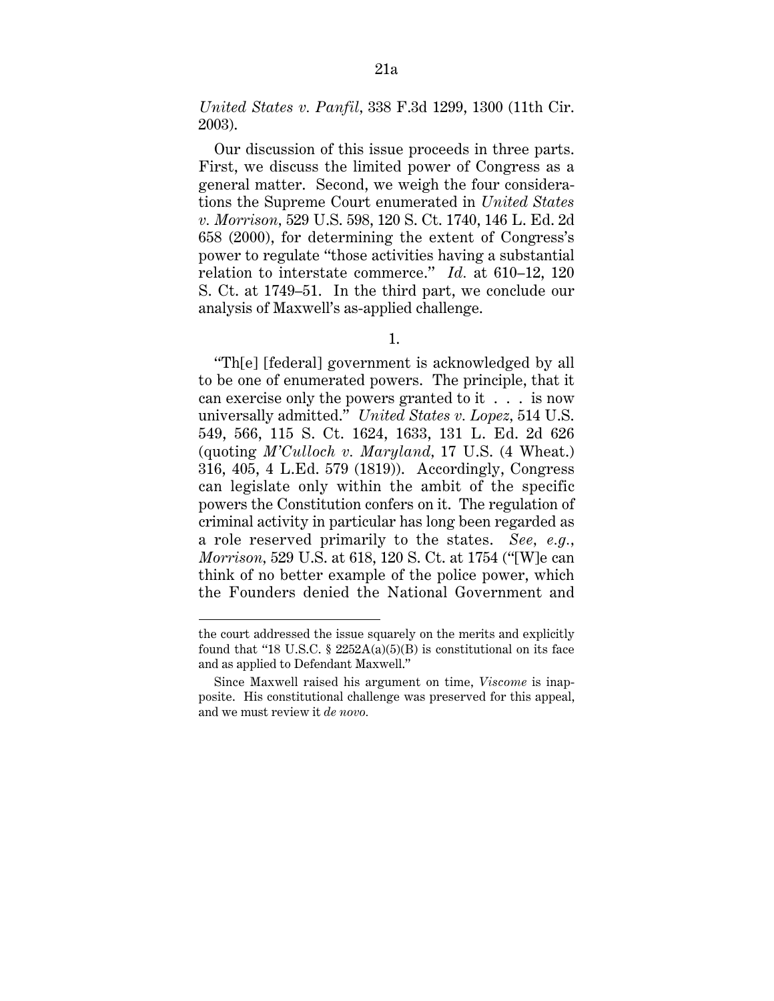*United States v. Panfil,* 338 F.3d 1299, 1300 (11th Cir. 2003).

Our discussion of this issue proceeds in three parts. First, we discuss the limited power of Congress as a general matter. Second, we weigh the four considerations the Supreme Court enumerated in *United States v. Morrison,* 529 U.S. 598, 120 S. Ct. 1740, 146 L. Ed. 2d 658 (2000), for determining the extent of Congress's power to regulate ''those activities having a substantial relation to interstate commerce.'' *Id.* at 610–12, 120 S. Ct. at 1749–51. In the third part, we conclude our analysis of Maxwell's as-applied challenge.

1.

''Th[e] [federal] government is acknowledged by all to be one of enumerated powers. The principle, that it can exercise only the powers granted to it . . . is now universally admitted.'' *United States v. Lopez,* 514 U.S. 549, 566, 115 S. Ct. 1624, 1633, 131 L. Ed. 2d 626 (quoting *M'Culloch v. Maryland,* 17 U.S. (4 Wheat.) 316, 405, 4 L.Ed. 579 (1819)). Accordingly, Congress can legislate only within the ambit of the specific powers the Constitution confers on it. The regulation of criminal activity in particular has long been regarded as a role reserved primarily to the states. *See, e.g., Morrison,* 529 U.S. at 618, 120 S. Ct. at 1754 (''[W]e can think of no better example of the police power, which the Founders denied the National Government and

1

the court addressed the issue squarely on the merits and explicitly found that "18 U.S.C.  $\S$  2252A(a)(5)(B) is constitutional on its face and as applied to Defendant Maxwell.''

Since Maxwell raised his argument on time, *Viscome* is inapposite. His constitutional challenge was preserved for this appeal, and we must review it *de novo.*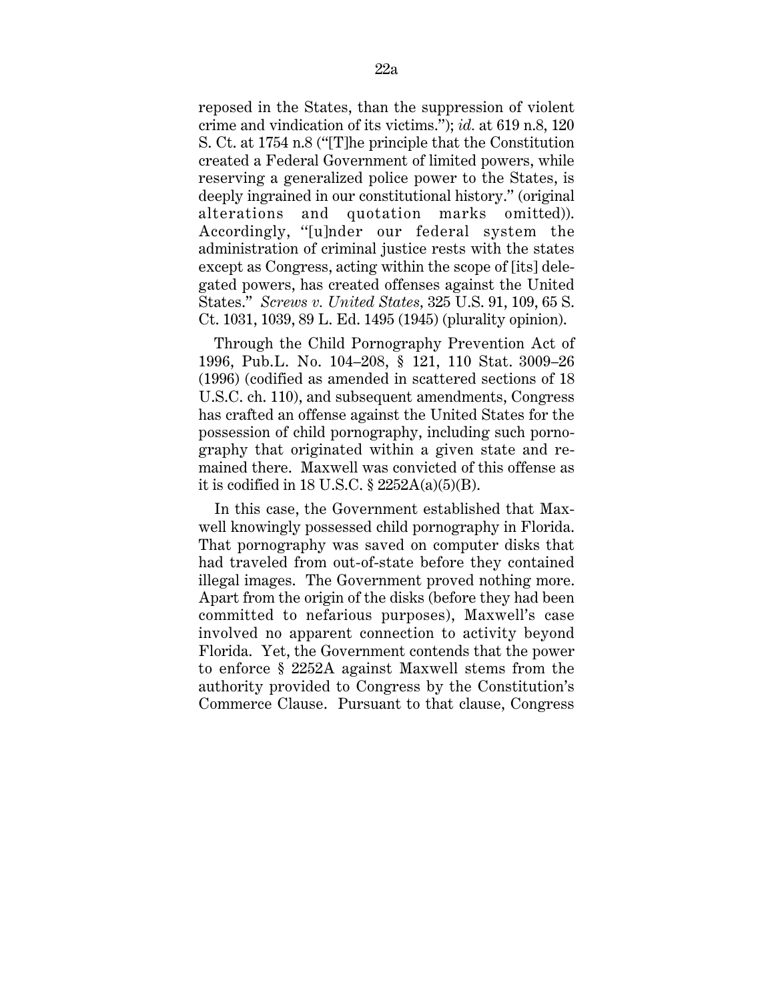reposed in the States, than the suppression of violent crime and vindication of its victims.''); *id.* at 619 n.8, 120 S. Ct. at 1754 n.8 (''[T]he principle that the Constitution created a Federal Government of limited powers, while reserving a generalized police power to the States, is deeply ingrained in our constitutional history.'' (original alterations and quotation marks omitted)). Accordingly, ''[u]nder our federal system the administration of criminal justice rests with the states except as Congress, acting within the scope of [its] delegated powers, has created offenses against the United States.'' *Screws v. United States,* 325 U.S. 91, 109, 65 S. Ct. 1031, 1039, 89 L. Ed. 1495 (1945) (plurality opinion).

Through the Child Pornography Prevention Act of 1996, Pub.L. No. 104–208, § 121, 110 Stat. 3009–26 (1996) (codified as amended in scattered sections of 18 U.S.C. ch. 110), and subsequent amendments, Congress has crafted an offense against the United States for the possession of child pornography, including such pornography that originated within a given state and remained there. Maxwell was convicted of this offense as it is codified in 18 U.S.C. § 2252A(a)(5)(B).

In this case, the Government established that Maxwell knowingly possessed child pornography in Florida. That pornography was saved on computer disks that had traveled from out-of-state before they contained illegal images. The Government proved nothing more. Apart from the origin of the disks (before they had been committed to nefarious purposes), Maxwell's case involved no apparent connection to activity beyond Florida. Yet, the Government contends that the power to enforce § 2252A against Maxwell stems from the authority provided to Congress by the Constitution's Commerce Clause. Pursuant to that clause, Congress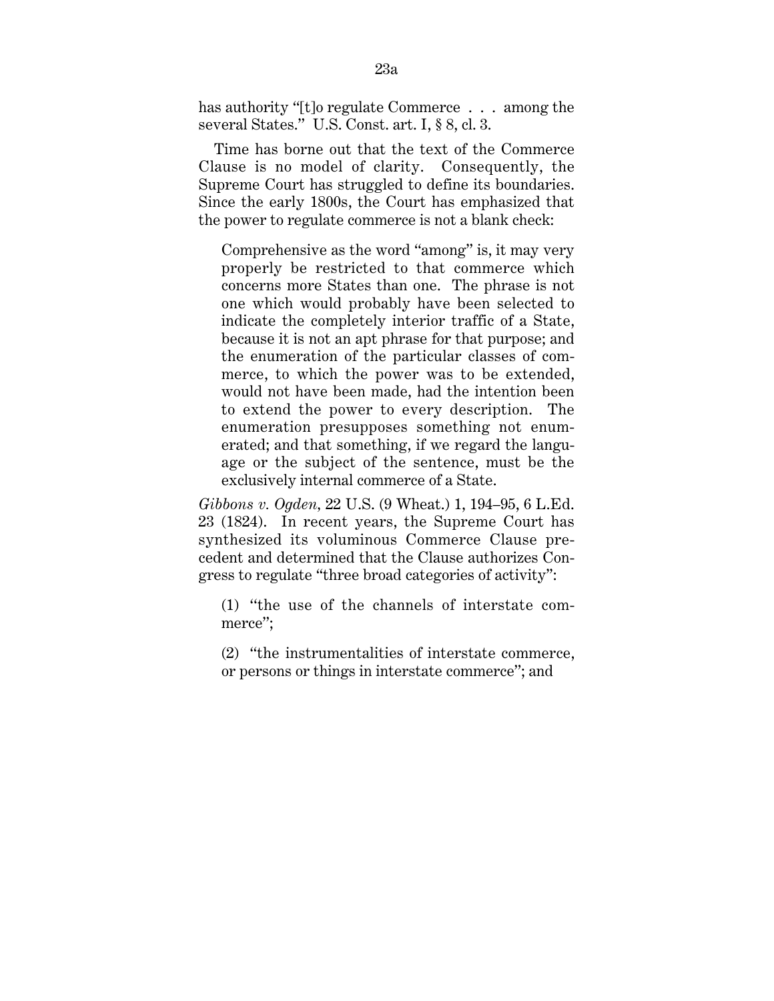has authority "[t]o regulate Commerce . . . among the several States.'' U.S. Const. art. I, § 8, cl. 3.

Time has borne out that the text of the Commerce Clause is no model of clarity. Consequently, the Supreme Court has struggled to define its boundaries. Since the early 1800s, the Court has emphasized that the power to regulate commerce is not a blank check:

Comprehensive as the word ''among'' is, it may very properly be restricted to that commerce which concerns more States than one. The phrase is not one which would probably have been selected to indicate the completely interior traffic of a State, because it is not an apt phrase for that purpose; and the enumeration of the particular classes of commerce, to which the power was to be extended, would not have been made, had the intention been to extend the power to every description. The enumeration presupposes something not enumerated; and that something, if we regard the language or the subject of the sentence, must be the exclusively internal commerce of a State.

*Gibbons v. Ogden,* 22 U.S. (9 Wheat.) 1, 194–95, 6 L.Ed. 23 (1824). In recent years, the Supreme Court has synthesized its voluminous Commerce Clause precedent and determined that the Clause authorizes Congress to regulate ''three broad categories of activity'':

(1) ''the use of the channels of interstate commerce'';

(2) ''the instrumentalities of interstate commerce, or persons or things in interstate commerce''; and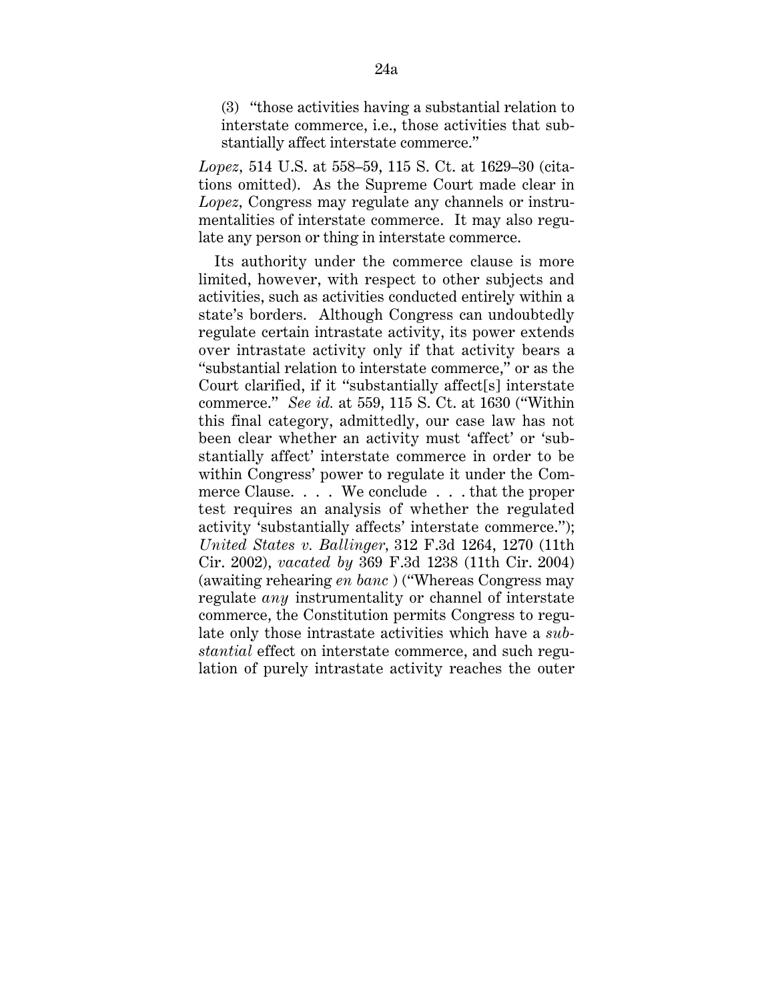(3) ''those activities having a substantial relation to interstate commerce, i.e., those activities that substantially affect interstate commerce.''

*Lopez,* 514 U.S. at 558–59, 115 S. Ct. at 1629–30 (citations omitted). As the Supreme Court made clear in *Lopez,* Congress may regulate any channels or instrumentalities of interstate commerce. It may also regulate any person or thing in interstate commerce.

Its authority under the commerce clause is more limited, however, with respect to other subjects and activities, such as activities conducted entirely within a state's borders. Although Congress can undoubtedly regulate certain intrastate activity, its power extends over intrastate activity only if that activity bears a ''substantial relation to interstate commerce,'' or as the Court clarified, if it ''substantially affect[s] interstate commerce.'' *See id.* at 559, 115 S. Ct. at 1630 (''Within this final category, admittedly, our case law has not been clear whether an activity must 'affect' or 'substantially affect' interstate commerce in order to be within Congress' power to regulate it under the Commerce Clause. . . . We conclude . . . that the proper test requires an analysis of whether the regulated activity 'substantially affects' interstate commerce.''); *United States v. Ballinger,* 312 F.3d 1264, 1270 (11th Cir. 2002), *vacated by* 369 F.3d 1238 (11th Cir. 2004) (awaiting rehearing *en banc* ) (''Whereas Congress may regulate *any* instrumentality or channel of interstate commerce, the Constitution permits Congress to regulate only those intrastate activities which have a *substantial* effect on interstate commerce, and such regulation of purely intrastate activity reaches the outer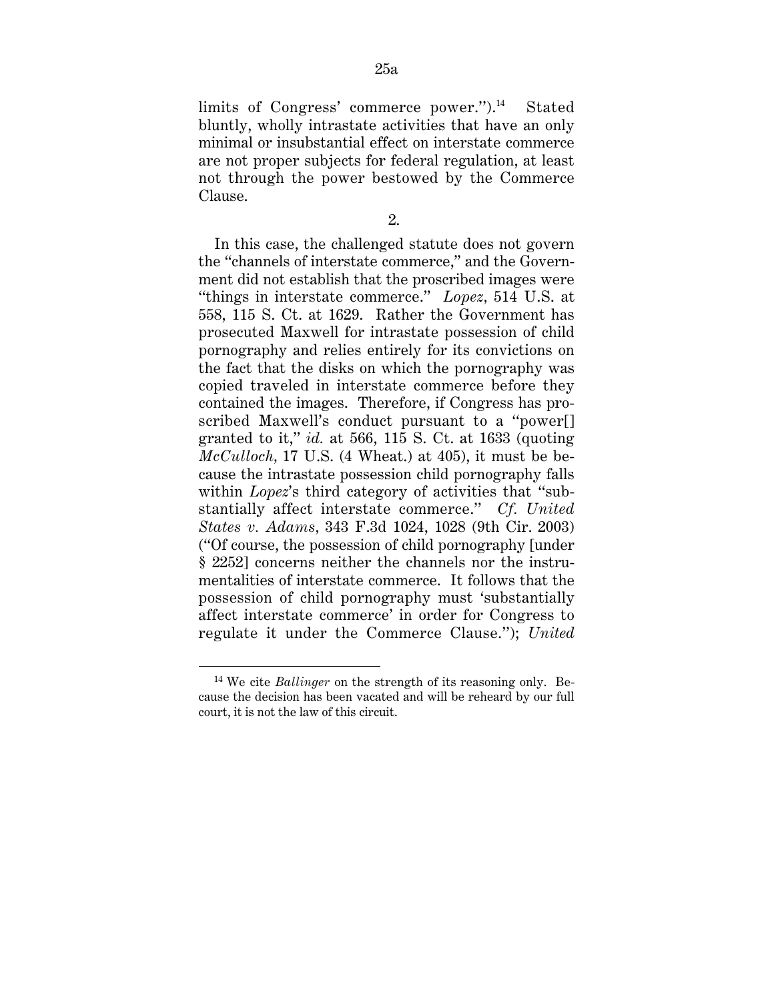limits of Congress' commerce power.").<sup>14</sup> Stated bluntly, wholly intrastate activities that have an only minimal or insubstantial effect on interstate commerce are not proper subjects for federal regulation, at least not through the power bestowed by the Commerce Clause.

2.

In this case, the challenged statute does not govern the ''channels of interstate commerce,'' and the Government did not establish that the proscribed images were ''things in interstate commerce.'' *Lopez,* 514 U.S. at 558, 115 S. Ct. at 1629. Rather the Government has prosecuted Maxwell for intrastate possession of child pornography and relies entirely for its convictions on the fact that the disks on which the pornography was copied traveled in interstate commerce before they contained the images. Therefore, if Congress has proscribed Maxwell's conduct pursuant to a ''power[] granted to it,'' *id.* at 566, 115 S. Ct. at 1633 (quoting *McCulloch,* 17 U.S. (4 Wheat.) at 405), it must be because the intrastate possession child pornography falls within *Lopez*'s third category of activities that "substantially affect interstate commerce.'' *Cf. United States v. Adams,* 343 F.3d 1024, 1028 (9th Cir. 2003) (''Of course, the possession of child pornography [under § 2252] concerns neither the channels nor the instrumentalities of interstate commerce. It follows that the possession of child pornography must 'substantially affect interstate commerce' in order for Congress to regulate it under the Commerce Clause.''); *United*

 <sup>14</sup> We cite *Ballinger* on the strength of its reasoning only. Because the decision has been vacated and will be reheard by our full court, it is not the law of this circuit.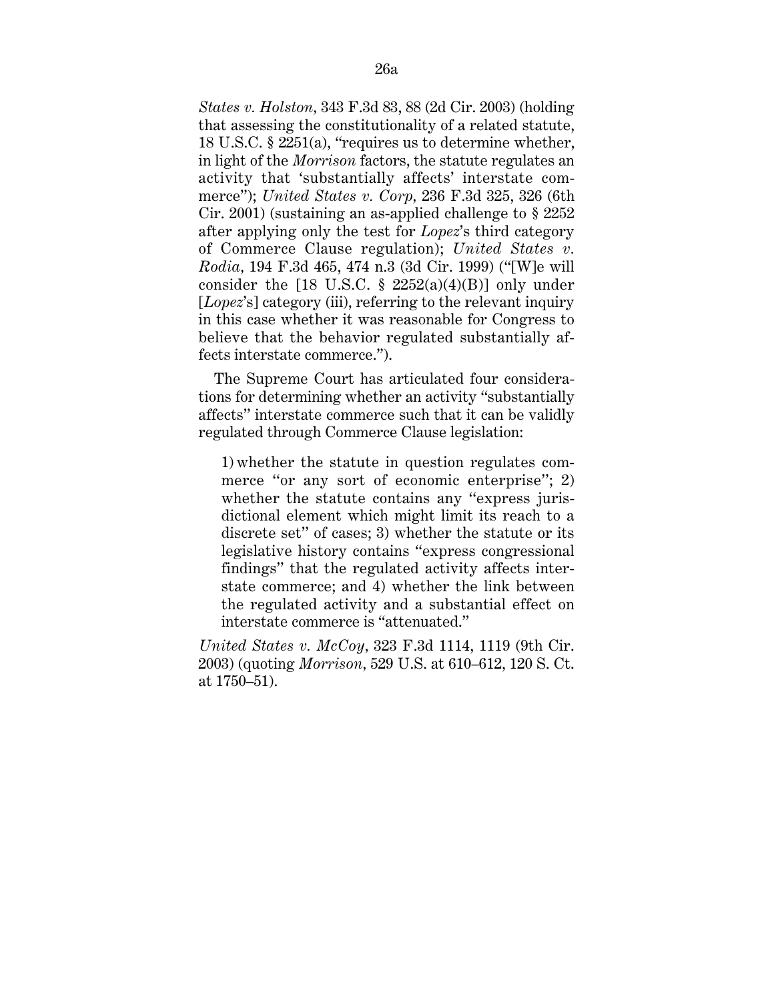*States v. Holston,* 343 F.3d 83, 88 (2d Cir. 2003) (holding that assessing the constitutionality of a related statute, 18 U.S.C. § 2251(a), ''requires us to determine whether, in light of the *Morrison* factors, the statute regulates an activity that 'substantially affects' interstate commerce''); *United States v. Corp,* 236 F.3d 325, 326 (6th Cir. 2001) (sustaining an as-applied challenge to § 2252 after applying only the test for *Lopez*'s third category of Commerce Clause regulation); *United States v. Rodia,* 194 F.3d 465, 474 n.3 (3d Cir. 1999) (''[W]e will consider the  $[18 \text{ U.S.C. } § 2252(a)(4)(B)]$  only under [*Lopez*'s] category (iii), referring to the relevant inquiry in this case whether it was reasonable for Congress to believe that the behavior regulated substantially affects interstate commerce.'').

The Supreme Court has articulated four considerations for determining whether an activity ''substantially affects'' interstate commerce such that it can be validly regulated through Commerce Clause legislation:

1) whether the statute in question regulates commerce "or any sort of economic enterprise";  $2$ ) whether the statute contains any "express jurisdictional element which might limit its reach to a discrete set'' of cases; 3) whether the statute or its legislative history contains ''express congressional findings'' that the regulated activity affects interstate commerce; and 4) whether the link between the regulated activity and a substantial effect on interstate commerce is ''attenuated.''

*United States v. McCoy,* 323 F.3d 1114, 1119 (9th Cir. 2003) (quoting *Morrison,* 529 U.S. at 610–612, 120 S. Ct. at 1750–51).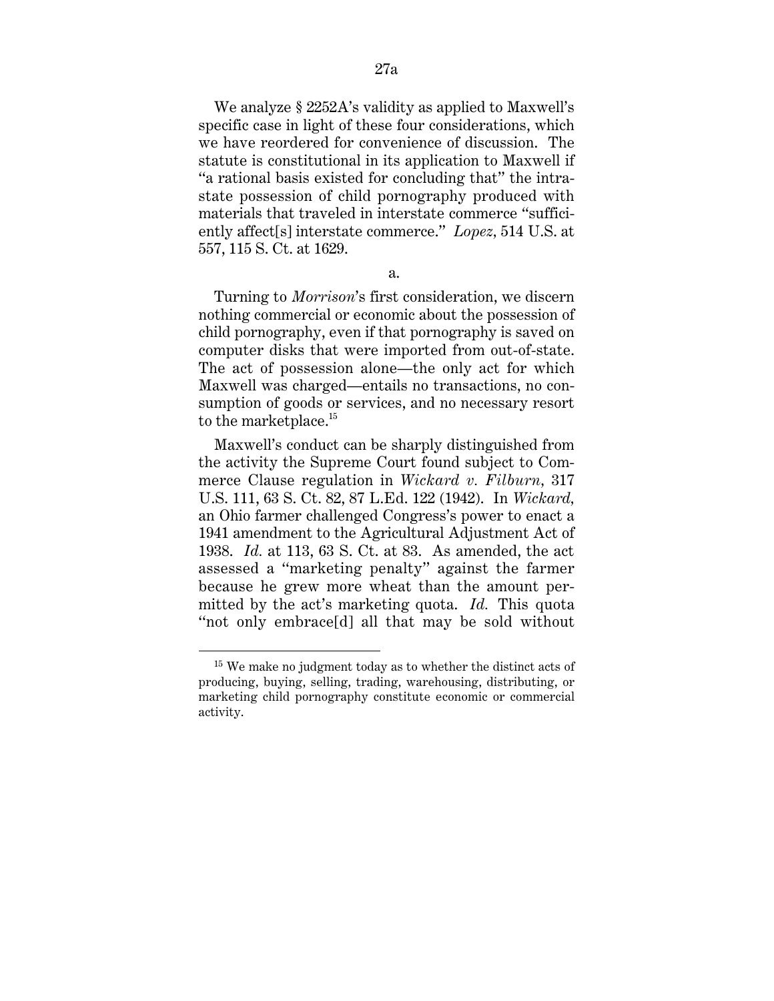We analyze § 2252A's validity as applied to Maxwell's specific case in light of these four considerations, which we have reordered for convenience of discussion. The statute is constitutional in its application to Maxwell if "a rational basis existed for concluding that" the intrastate possession of child pornography produced with materials that traveled in interstate commerce ''sufficiently affect[s] interstate commerce.'' *Lopez,* 514 U.S. at 557, 115 S. Ct. at 1629.

a.

Turning to *Morrison*'s first consideration, we discern nothing commercial or economic about the possession of child pornography, even if that pornography is saved on computer disks that were imported from out-of-state. The act of possession alone—the only act for which Maxwell was charged—entails no transactions, no consumption of goods or services, and no necessary resort to the marketplace.<sup>15</sup>

Maxwell's conduct can be sharply distinguished from the activity the Supreme Court found subject to Commerce Clause regulation in *Wickard v. Filburn,* 317 U.S. 111, 63 S. Ct. 82, 87 L.Ed. 122 (1942). In *Wickard,* an Ohio farmer challenged Congress's power to enact a 1941 amendment to the Agricultural Adjustment Act of 1938. *Id.* at 113, 63 S. Ct. at 83. As amended, the act assessed a ''marketing penalty'' against the farmer because he grew more wheat than the amount permitted by the act's marketing quota. *Id.* This quota ''not only embrace[d] all that may be sold without

 <sup>15</sup> We make no judgment today as to whether the distinct acts of producing, buying, selling, trading, warehousing, distributing, or marketing child pornography constitute economic or commercial activity.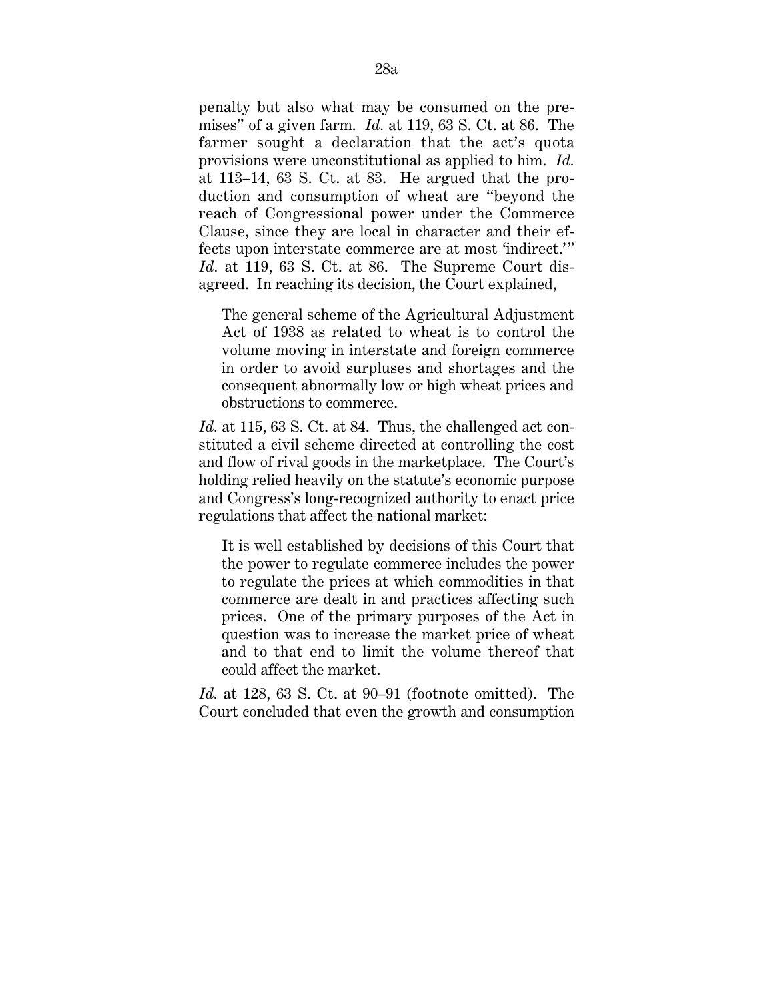penalty but also what may be consumed on the premises'' of a given farm. *Id.* at 119, 63 S. Ct. at 86. The farmer sought a declaration that the act's quota provisions were unconstitutional as applied to him. *Id.* at 113–14, 63 S. Ct. at 83. He argued that the production and consumption of wheat are ''beyond the reach of Congressional power under the Commerce Clause, since they are local in character and their effects upon interstate commerce are at most 'indirect.' " *Id.* at 119, 63 S. Ct. at 86. The Supreme Court disagreed. In reaching its decision, the Court explained,

The general scheme of the Agricultural Adjustment Act of 1938 as related to wheat is to control the volume moving in interstate and foreign commerce in order to avoid surpluses and shortages and the consequent abnormally low or high wheat prices and obstructions to commerce.

*Id.* at 115, 63 S. Ct. at 84. Thus, the challenged act constituted a civil scheme directed at controlling the cost and flow of rival goods in the marketplace. The Court's holding relied heavily on the statute's economic purpose and Congress's long-recognized authority to enact price regulations that affect the national market:

It is well established by decisions of this Court that the power to regulate commerce includes the power to regulate the prices at which commodities in that commerce are dealt in and practices affecting such prices. One of the primary purposes of the Act in question was to increase the market price of wheat and to that end to limit the volume thereof that could affect the market.

*Id.* at 128, 63 S. Ct. at 90–91 (footnote omitted). The Court concluded that even the growth and consumption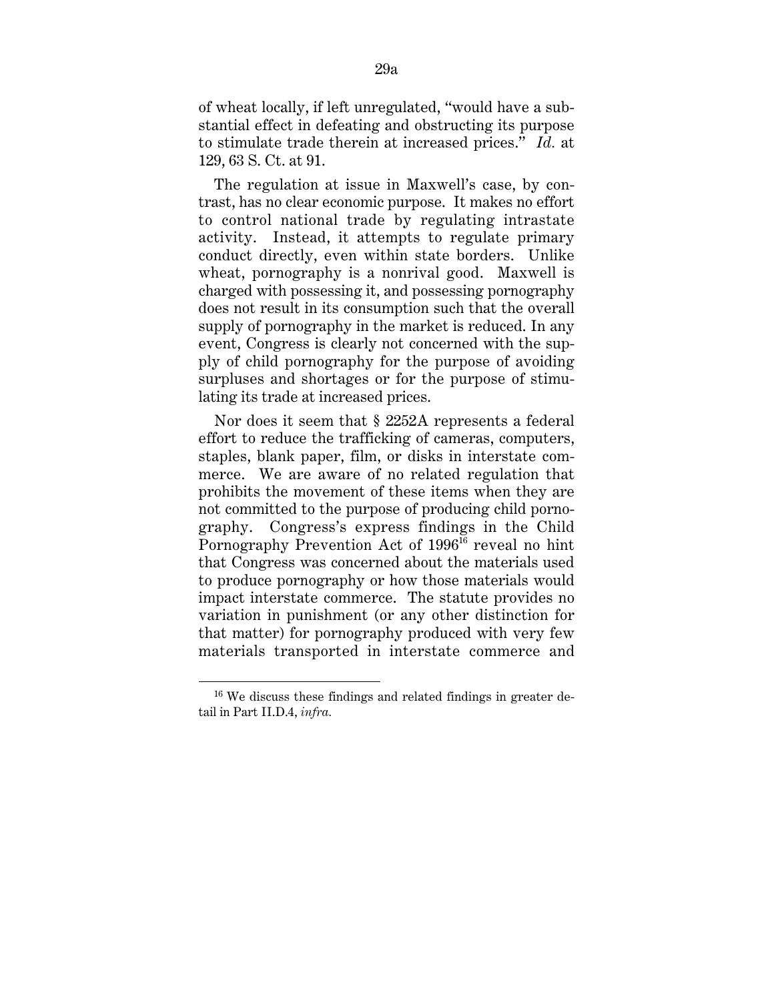of wheat locally, if left unregulated, ''would have a substantial effect in defeating and obstructing its purpose to stimulate trade therein at increased prices.'' *Id.* at 129, 63 S. Ct. at 91.

The regulation at issue in Maxwell's case, by contrast, has no clear economic purpose. It makes no effort to control national trade by regulating intrastate activity. Instead, it attempts to regulate primary conduct directly, even within state borders. Unlike wheat, pornography is a nonrival good. Maxwell is charged with possessing it, and possessing pornography does not result in its consumption such that the overall supply of pornography in the market is reduced. In any event, Congress is clearly not concerned with the supply of child pornography for the purpose of avoiding surpluses and shortages or for the purpose of stimulating its trade at increased prices.

Nor does it seem that § 2252A represents a federal effort to reduce the trafficking of cameras, computers, staples, blank paper, film, or disks in interstate commerce. We are aware of no related regulation that prohibits the movement of these items when they are not committed to the purpose of producing child pornography. Congress's express findings in the Child Pornography Prevention Act of 1996<sup>16</sup> reveal no hint that Congress was concerned about the materials used to produce pornography or how those materials would impact interstate commerce. The statute provides no variation in punishment (or any other distinction for that matter) for pornography produced with very few materials transported in interstate commerce and

<sup>&</sup>lt;sup>16</sup> We discuss these findings and related findings in greater detail in Part II.D.4, *infra.*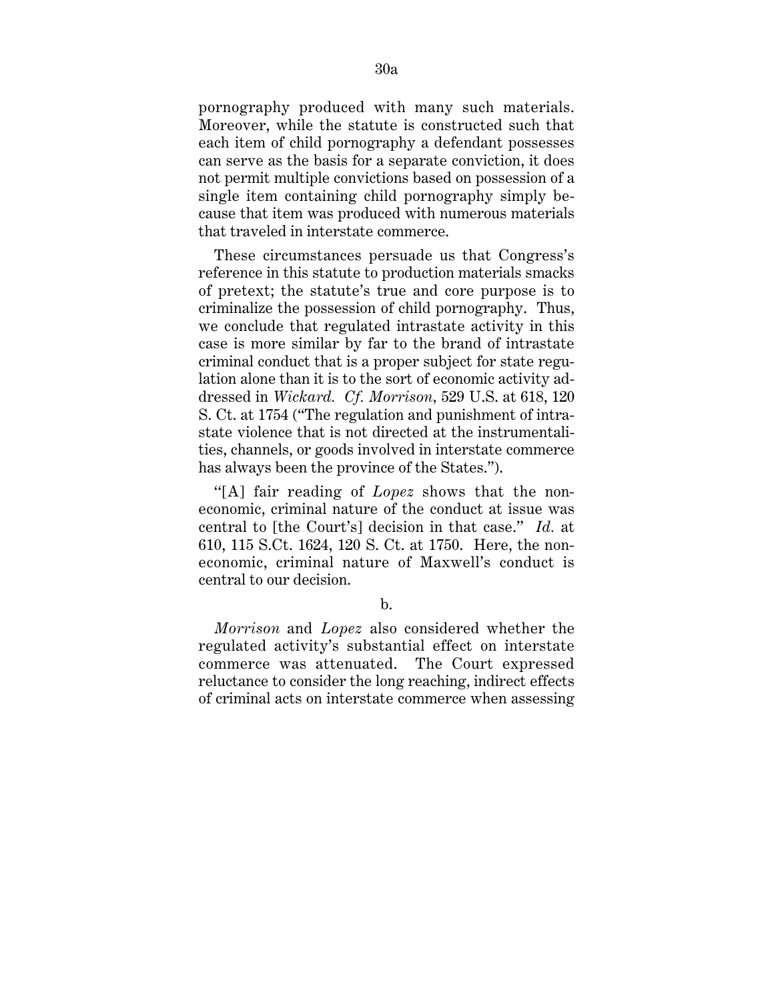pornography produced with many such materials. Moreover, while the statute is constructed such that each item of child pornography a defendant possesses can serve as the basis for a separate conviction, it does not permit multiple convictions based on possession of a single item containing child pornography simply because that item was produced with numerous materials that traveled in interstate commerce.

These circumstances persuade us that Congress's reference in this statute to production materials smacks of pretext; the statute's true and core purpose is to criminalize the possession of child pornography. Thus, we conclude that regulated intrastate activity in this case is more similar by far to the brand of intrastate criminal conduct that is a proper subject for state regulation alone than it is to the sort of economic activity addressed in *Wickard. Cf. Morrison,* 529 U.S. at 618, 120 S. Ct. at 1754 (''The regulation and punishment of intrastate violence that is not directed at the instrumentalities, channels, or goods involved in interstate commerce has always been the province of the States.'').

''[A] fair reading of *Lopez* shows that the noneconomic, criminal nature of the conduct at issue was central to [the Court's] decision in that case.'' *Id.* at 610, 115 S.Ct. 1624, 120 S. Ct. at 1750. Here, the noneconomic, criminal nature of Maxwell's conduct is central to our decision.

b.

*Morrison* and *Lopez* also considered whether the regulated activity's substantial effect on interstate commerce was attenuated. The Court expressed reluctance to consider the long reaching, indirect effects of criminal acts on interstate commerce when assessing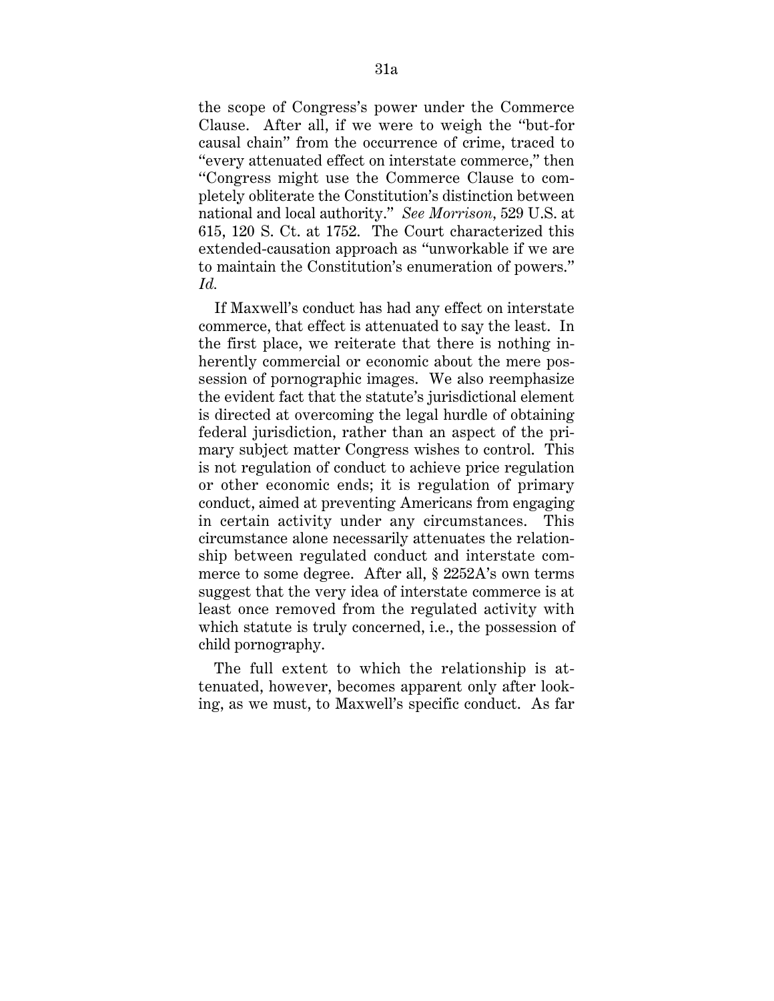the scope of Congress's power under the Commerce Clause. After all, if we were to weigh the ''but-for causal chain'' from the occurrence of crime, traced to ''every attenuated effect on interstate commerce,'' then ''Congress might use the Commerce Clause to completely obliterate the Constitution's distinction between national and local authority.'' *See Morrison,* 529 U.S. at 615, 120 S. Ct. at 1752. The Court characterized this extended-causation approach as ''unworkable if we are to maintain the Constitution's enumeration of powers.'' *Id.*

If Maxwell's conduct has had any effect on interstate commerce, that effect is attenuated to say the least. In the first place, we reiterate that there is nothing inherently commercial or economic about the mere possession of pornographic images. We also reemphasize the evident fact that the statute's jurisdictional element is directed at overcoming the legal hurdle of obtaining federal jurisdiction, rather than an aspect of the primary subject matter Congress wishes to control. This is not regulation of conduct to achieve price regulation or other economic ends; it is regulation of primary conduct, aimed at preventing Americans from engaging in certain activity under any circumstances. This circumstance alone necessarily attenuates the relationship between regulated conduct and interstate commerce to some degree. After all, § 2252A's own terms suggest that the very idea of interstate commerce is at least once removed from the regulated activity with which statute is truly concerned, i.e., the possession of child pornography.

The full extent to which the relationship is attenuated, however, becomes apparent only after looking, as we must, to Maxwell's specific conduct. As far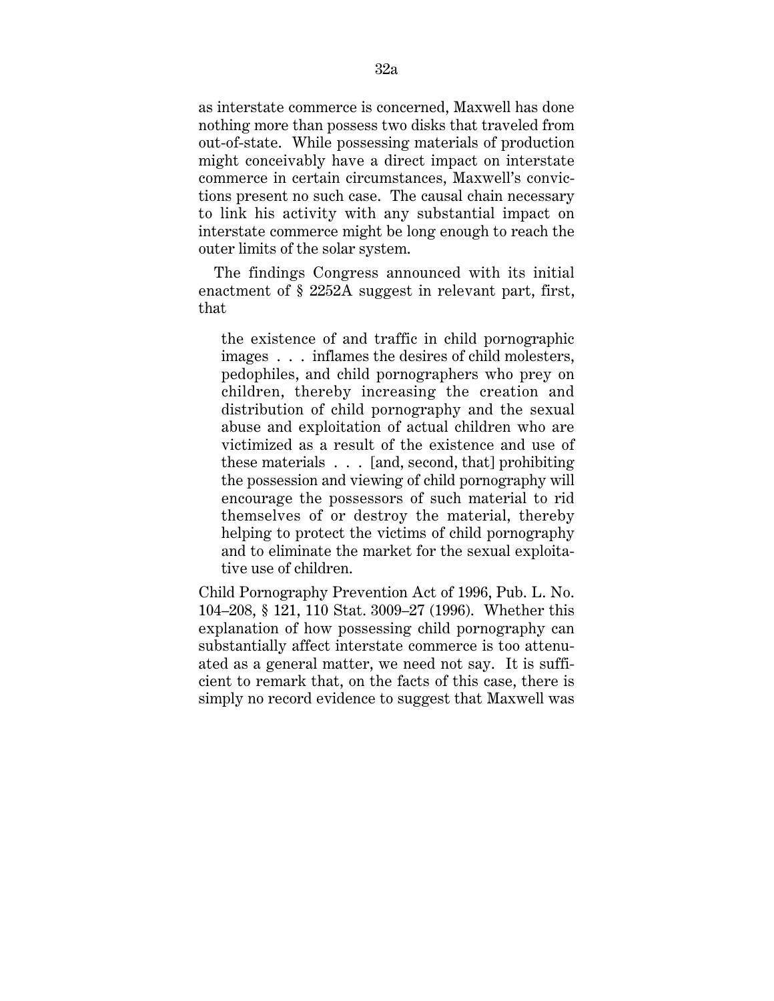as interstate commerce is concerned, Maxwell has done nothing more than possess two disks that traveled from out-of-state. While possessing materials of production might conceivably have a direct impact on interstate commerce in certain circumstances, Maxwell's convictions present no such case. The causal chain necessary to link his activity with any substantial impact on interstate commerce might be long enough to reach the outer limits of the solar system.

The findings Congress announced with its initial enactment of § 2252A suggest in relevant part, first, that

the existence of and traffic in child pornographic images . . . inflames the desires of child molesters, pedophiles, and child pornographers who prey on children, thereby increasing the creation and distribution of child pornography and the sexual abuse and exploitation of actual children who are victimized as a result of the existence and use of these materials . . . [and, second, that] prohibiting the possession and viewing of child pornography will encourage the possessors of such material to rid themselves of or destroy the material, thereby helping to protect the victims of child pornography and to eliminate the market for the sexual exploitative use of children.

Child Pornography Prevention Act of 1996, Pub. L. No. 104–208, § 121, 110 Stat. 3009–27 (1996). Whether this explanation of how possessing child pornography can substantially affect interstate commerce is too attenuated as a general matter, we need not say. It is sufficient to remark that, on the facts of this case, there is simply no record evidence to suggest that Maxwell was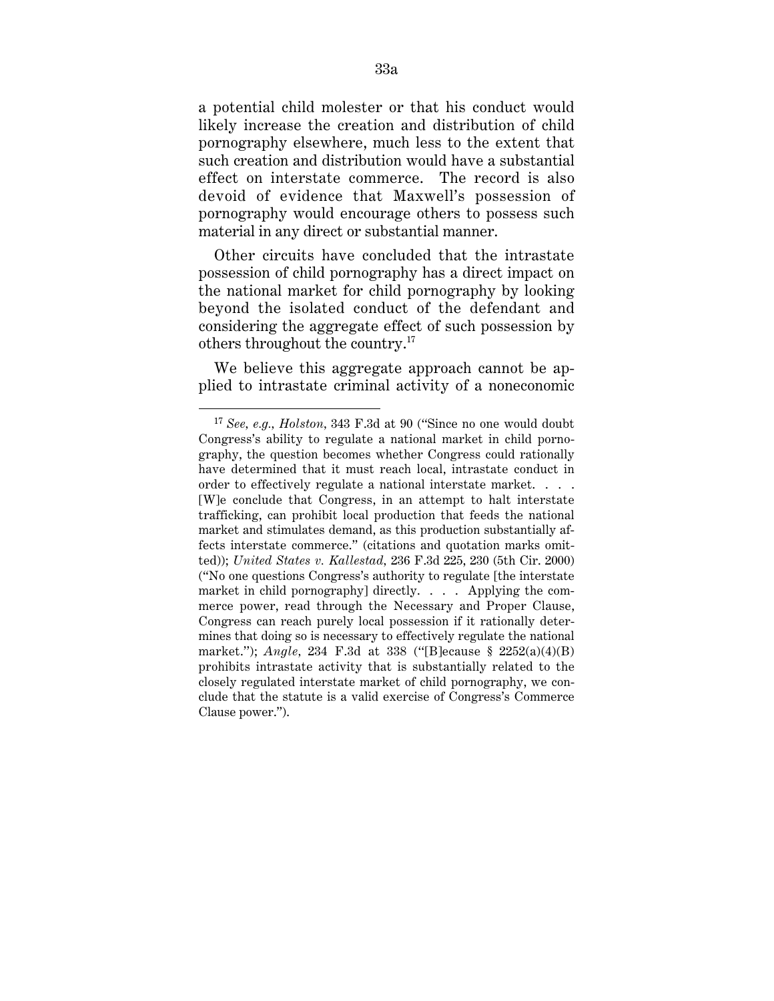a potential child molester or that his conduct would likely increase the creation and distribution of child pornography elsewhere, much less to the extent that such creation and distribution would have a substantial effect on interstate commerce. The record is also devoid of evidence that Maxwell's possession of pornography would encourage others to possess such material in any direct or substantial manner.

Other circuits have concluded that the intrastate possession of child pornography has a direct impact on the national market for child pornography by looking beyond the isolated conduct of the defendant and considering the aggregate effect of such possession by others throughout the country.17

We believe this aggregate approach cannot be applied to intrastate criminal activity of a noneconomic

<sup>17</sup> *See, e.g., Holston,* 343 F.3d at 90 (''Since no one would doubt Congress's ability to regulate a national market in child pornography, the question becomes whether Congress could rationally have determined that it must reach local, intrastate conduct in order to effectively regulate a national interstate market. . . . [W]e conclude that Congress, in an attempt to halt interstate trafficking, can prohibit local production that feeds the national market and stimulates demand, as this production substantially affects interstate commerce.'' (citations and quotation marks omitted)); *United States v. Kallestad,* 236 F.3d 225, 230 (5th Cir. 2000) (''No one questions Congress's authority to regulate [the interstate market in child pornography] directly. . . . Applying the commerce power, read through the Necessary and Proper Clause, Congress can reach purely local possession if it rationally determines that doing so is necessary to effectively regulate the national market.''); *Angle,* 234 F.3d at 338 (''[B]ecause § 2252(a)(4)(B) prohibits intrastate activity that is substantially related to the closely regulated interstate market of child pornography, we conclude that the statute is a valid exercise of Congress's Commerce Clause power.'').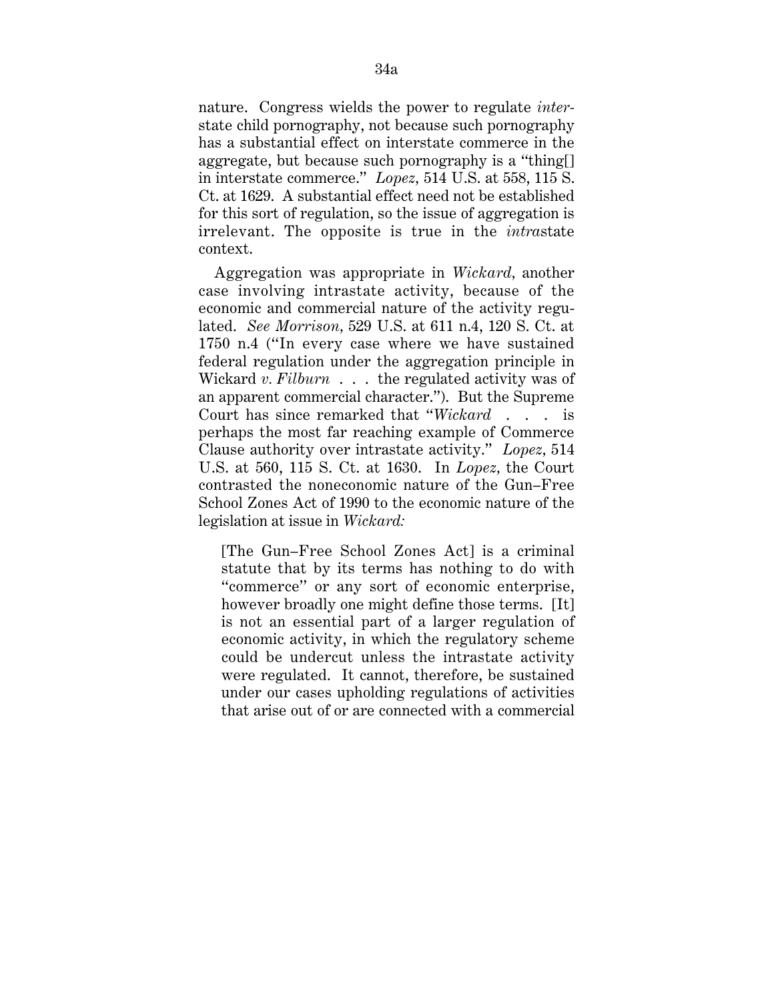nature. Congress wields the power to regulate *inter*state child pornography, not because such pornography has a substantial effect on interstate commerce in the aggregate, but because such pornography is a ''thing[] in interstate commerce.'' *Lopez,* 514 U.S. at 558, 115 S. Ct. at 1629. A substantial effect need not be established for this sort of regulation, so the issue of aggregation is irrelevant. The opposite is true in the *intra*state context.

Aggregation was appropriate in *Wickard,* another case involving intrastate activity, because of the economic and commercial nature of the activity regulated. *See Morrison,* 529 U.S. at 611 n.4, 120 S. Ct. at 1750 n.4 (''In every case where we have sustained federal regulation under the aggregation principle in Wickard *v. Filburn* . . . the regulated activity was of an apparent commercial character.''). But the Supreme Court has since remarked that ''*Wickard* . . . is perhaps the most far reaching example of Commerce Clause authority over intrastate activity.'' *Lopez,* 514 U.S. at 560, 115 S. Ct. at 1630. In *Lopez,* the Court contrasted the noneconomic nature of the Gun–Free School Zones Act of 1990 to the economic nature of the legislation at issue in *Wickard:*

[The Gun–Free School Zones Act] is a criminal statute that by its terms has nothing to do with ''commerce'' or any sort of economic enterprise, however broadly one might define those terms. [It] is not an essential part of a larger regulation of economic activity, in which the regulatory scheme could be undercut unless the intrastate activity were regulated. It cannot, therefore, be sustained under our cases upholding regulations of activities that arise out of or are connected with a commercial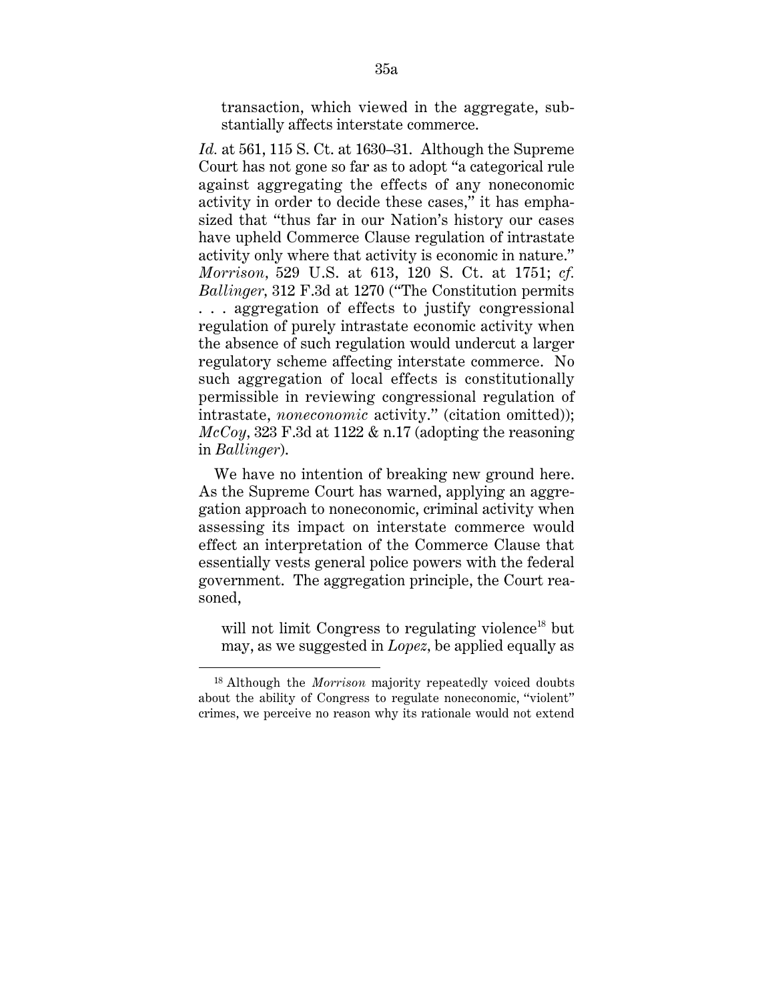transaction, which viewed in the aggregate, substantially affects interstate commerce.

*Id.* at 561, 115 S. Ct. at 1630–31. Although the Supreme Court has not gone so far as to adopt ''a categorical rule against aggregating the effects of any noneconomic activity in order to decide these cases,'' it has emphasized that ''thus far in our Nation's history our cases have upheld Commerce Clause regulation of intrastate activity only where that activity is economic in nature.'' *Morrison,* 529 U.S. at 613, 120 S. Ct. at 1751; *cf. Ballinger,* 312 F.3d at 1270 (''The Constitution permits . . . aggregation of effects to justify congressional regulation of purely intrastate economic activity when the absence of such regulation would undercut a larger regulatory scheme affecting interstate commerce. No such aggregation of local effects is constitutionally permissible in reviewing congressional regulation of intrastate, *noneconomic* activity.'' (citation omitted)); *McCoy,* 323 F.3d at 1122 & n.17 (adopting the reasoning in *Ballinger*).

We have no intention of breaking new ground here. As the Supreme Court has warned, applying an aggregation approach to noneconomic, criminal activity when assessing its impact on interstate commerce would effect an interpretation of the Commerce Clause that essentially vests general police powers with the federal government. The aggregation principle, the Court reasoned,

will not limit Congress to regulating violence<sup>18</sup> but may, as we suggested in *Lopez,* be applied equally as

 <sup>18</sup> Although the *Morrison* majority repeatedly voiced doubts about the ability of Congress to regulate noneconomic, ''violent'' crimes, we perceive no reason why its rationale would not extend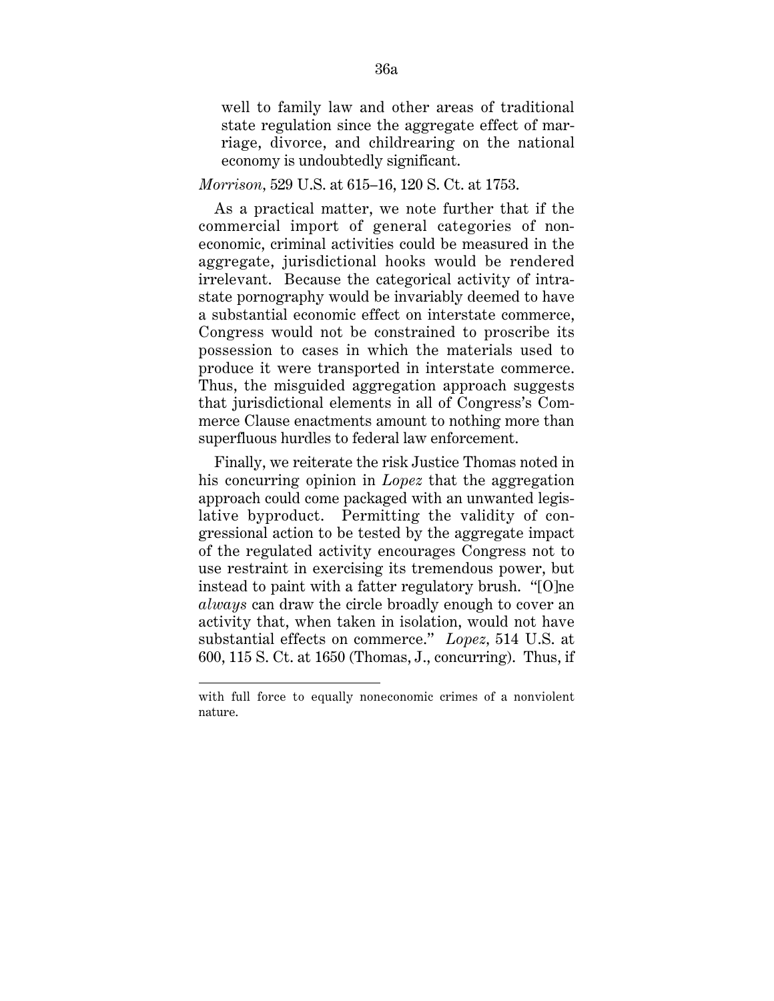well to family law and other areas of traditional state regulation since the aggregate effect of marriage, divorce, and childrearing on the national economy is undoubtedly significant.

## *Morrison,* 529 U.S. at 615–16, 120 S. Ct. at 1753.

As a practical matter, we note further that if the commercial import of general categories of noneconomic, criminal activities could be measured in the aggregate, jurisdictional hooks would be rendered irrelevant. Because the categorical activity of intrastate pornography would be invariably deemed to have a substantial economic effect on interstate commerce, Congress would not be constrained to proscribe its possession to cases in which the materials used to produce it were transported in interstate commerce. Thus, the misguided aggregation approach suggests that jurisdictional elements in all of Congress's Commerce Clause enactments amount to nothing more than superfluous hurdles to federal law enforcement.

Finally, we reiterate the risk Justice Thomas noted in his concurring opinion in *Lopez* that the aggregation approach could come packaged with an unwanted legislative byproduct. Permitting the validity of congressional action to be tested by the aggregate impact of the regulated activity encourages Congress not to use restraint in exercising its tremendous power, but instead to paint with a fatter regulatory brush. ''[O]ne *always* can draw the circle broadly enough to cover an activity that, when taken in isolation, would not have substantial effects on commerce.'' *Lopez,* 514 U.S. at 600, 115 S. Ct. at 1650 (Thomas, J., concurring). Thus, if

with full force to equally noneconomic crimes of a nonviolent nature.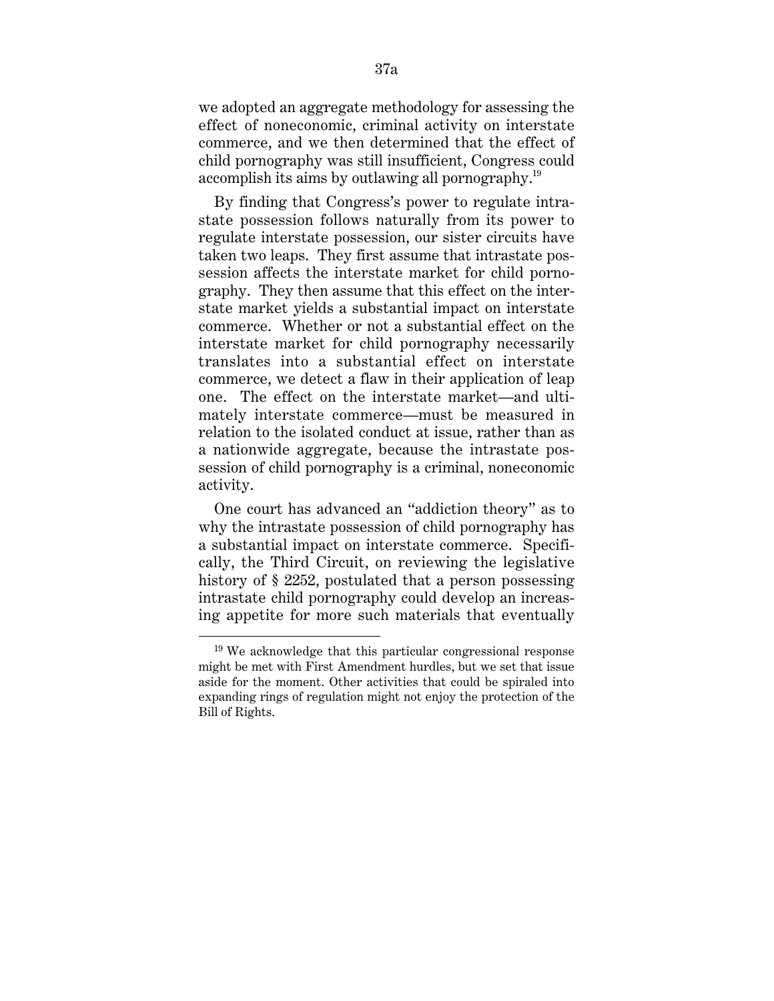we adopted an aggregate methodology for assessing the effect of noneconomic, criminal activity on interstate commerce, and we then determined that the effect of child pornography was still insufficient, Congress could accomplish its aims by outlawing all pornography.19

By finding that Congress's power to regulate intrastate possession follows naturally from its power to regulate interstate possession, our sister circuits have taken two leaps. They first assume that intrastate possession affects the interstate market for child pornography. They then assume that this effect on the interstate market yields a substantial impact on interstate commerce. Whether or not a substantial effect on the interstate market for child pornography necessarily translates into a substantial effect on interstate commerce, we detect a flaw in their application of leap one. The effect on the interstate market—and ultimately interstate commerce—must be measured in relation to the isolated conduct at issue, rather than as a nationwide aggregate, because the intrastate possession of child pornography is a criminal, noneconomic activity.

One court has advanced an ''addiction theory'' as to why the intrastate possession of child pornography has a substantial impact on interstate commerce. Specifically, the Third Circuit, on reviewing the legislative history of § 2252, postulated that a person possessing intrastate child pornography could develop an increasing appetite for more such materials that eventually

<sup>19</sup> We acknowledge that this particular congressional response might be met with First Amendment hurdles, but we set that issue aside for the moment. Other activities that could be spiraled into expanding rings of regulation might not enjoy the protection of the Bill of Rights.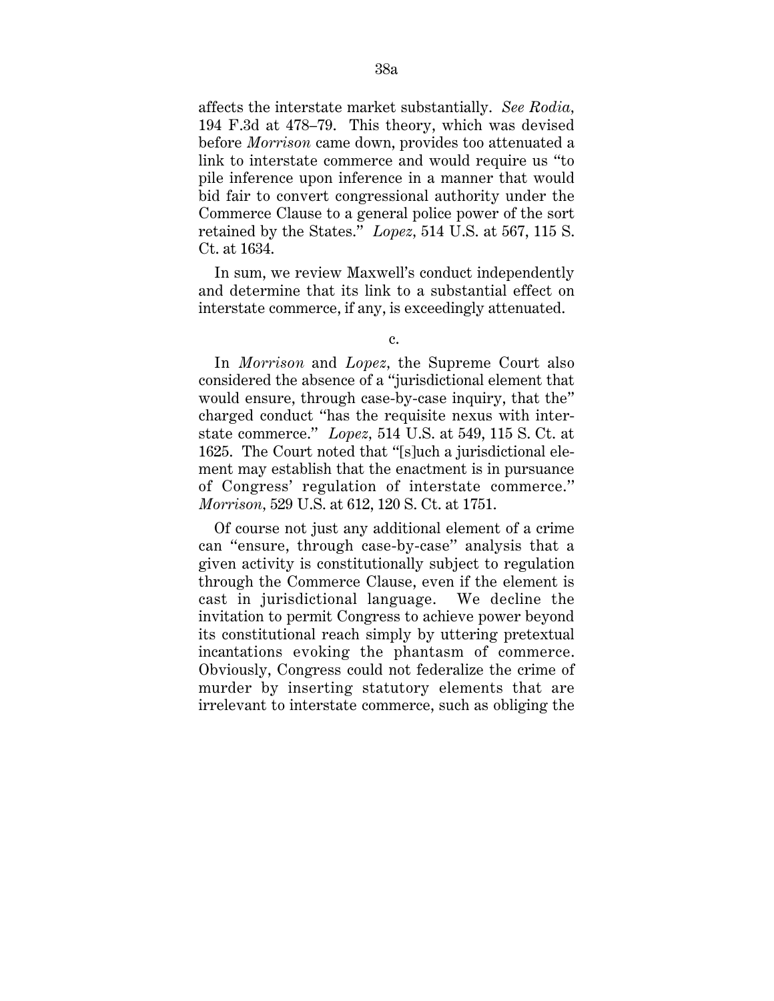affects the interstate market substantially. *See Rodia,* 194 F.3d at 478–79. This theory, which was devised before *Morrison* came down, provides too attenuated a link to interstate commerce and would require us ''to pile inference upon inference in a manner that would bid fair to convert congressional authority under the Commerce Clause to a general police power of the sort retained by the States.'' *Lopez,* 514 U.S. at 567, 115 S. Ct. at 1634.

In sum, we review Maxwell's conduct independently and determine that its link to a substantial effect on interstate commerce, if any, is exceedingly attenuated.

In *Morrison* and *Lopez,* the Supreme Court also considered the absence of a ''jurisdictional element that would ensure, through case-by-case inquiry, that the'' charged conduct ''has the requisite nexus with interstate commerce.'' *Lopez,* 514 U.S. at 549, 115 S. Ct. at 1625. The Court noted that ''[s]uch a jurisdictional element may establish that the enactment is in pursuance of Congress' regulation of interstate commerce.'' *Morrison,* 529 U.S. at 612, 120 S. Ct. at 1751.

Of course not just any additional element of a crime can ''ensure, through case-by-case'' analysis that a given activity is constitutionally subject to regulation through the Commerce Clause, even if the element is cast in jurisdictional language. We decline the invitation to permit Congress to achieve power beyond its constitutional reach simply by uttering pretextual incantations evoking the phantasm of commerce. Obviously, Congress could not federalize the crime of murder by inserting statutory elements that are irrelevant to interstate commerce, such as obliging the

c.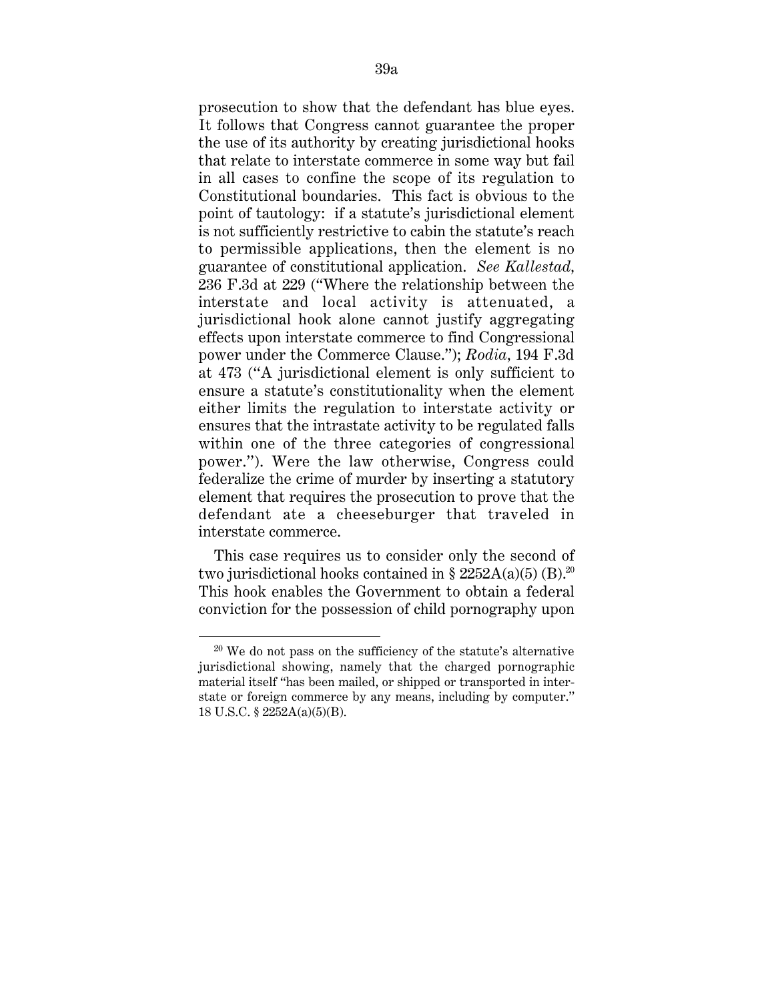prosecution to show that the defendant has blue eyes. It follows that Congress cannot guarantee the proper the use of its authority by creating jurisdictional hooks that relate to interstate commerce in some way but fail in all cases to confine the scope of its regulation to Constitutional boundaries. This fact is obvious to the point of tautology: if a statute's jurisdictional element is not sufficiently restrictive to cabin the statute's reach to permissible applications, then the element is no guarantee of constitutional application. *See Kallestad,* 236 F.3d at 229 (''Where the relationship between the interstate and local activity is attenuated, a jurisdictional hook alone cannot justify aggregating effects upon interstate commerce to find Congressional power under the Commerce Clause.''); *Rodia,* 194 F.3d at 473 (''A jurisdictional element is only sufficient to ensure a statute's constitutionality when the element either limits the regulation to interstate activity or ensures that the intrastate activity to be regulated falls within one of the three categories of congressional power.''). Were the law otherwise, Congress could federalize the crime of murder by inserting a statutory element that requires the prosecution to prove that the defendant ate a cheeseburger that traveled in interstate commerce.

This case requires us to consider only the second of two jurisdictional hooks contained in § 2252A(a)(5) (B).<sup>20</sup> This hook enables the Government to obtain a federal conviction for the possession of child pornography upon

 $20$  We do not pass on the sufficiency of the statute's alternative jurisdictional showing, namely that the charged pornographic material itself ''has been mailed, or shipped or transported in interstate or foreign commerce by any means, including by computer.'' 18 U.S.C. § 2252A(a)(5)(B).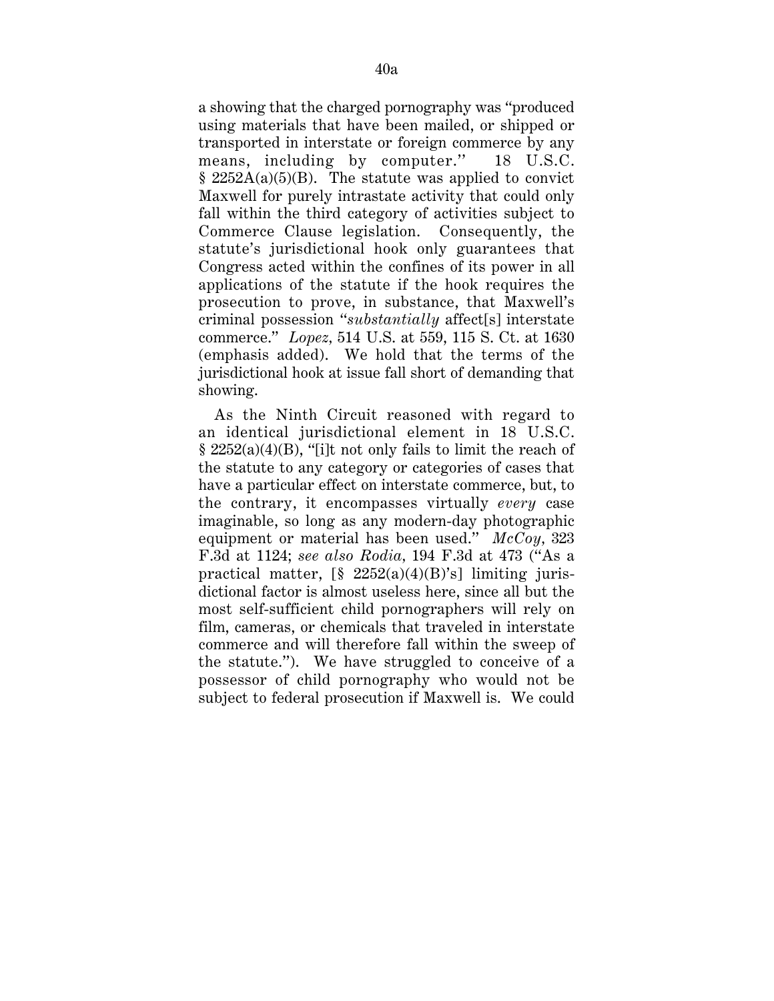a showing that the charged pornography was ''produced using materials that have been mailed, or shipped or transported in interstate or foreign commerce by any means, including by computer.'' 18 U.S.C.  $§ 2252A(a)(5)(B)$ . The statute was applied to convict Maxwell for purely intrastate activity that could only fall within the third category of activities subject to Commerce Clause legislation. Consequently, the statute's jurisdictional hook only guarantees that Congress acted within the confines of its power in all applications of the statute if the hook requires the prosecution to prove, in substance, that Maxwell's criminal possession ''*substantially* affect[s] interstate commerce.'' *Lopez,* 514 U.S. at 559, 115 S. Ct. at 1630 (emphasis added). We hold that the terms of the jurisdictional hook at issue fall short of demanding that showing.

As the Ninth Circuit reasoned with regard to an identical jurisdictional element in 18 U.S.C.  $\S 2252(a)(4)(B)$ , "[i]t not only fails to limit the reach of the statute to any category or categories of cases that have a particular effect on interstate commerce, but, to the contrary, it encompasses virtually *every* case imaginable, so long as any modern-day photographic equipment or material has been used.'' *McCoy,* 323 F.3d at 1124; *see also Rodia,* 194 F.3d at 473 (''As a practical matter,  $\lceil \frac{6}{5} \cdot \frac{2252(a)(4)(B)^{s}}{B} \rceil$  limiting jurisdictional factor is almost useless here, since all but the most self-sufficient child pornographers will rely on film, cameras, or chemicals that traveled in interstate commerce and will therefore fall within the sweep of the statute.''). We have struggled to conceive of a possessor of child pornography who would not be subject to federal prosecution if Maxwell is. We could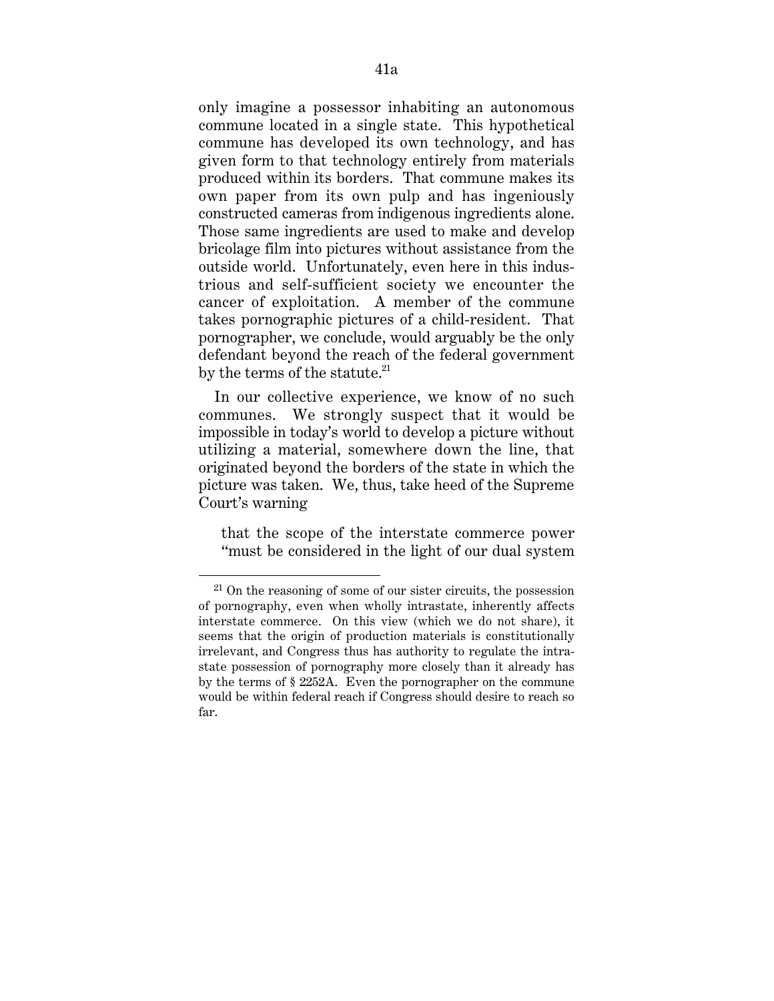only imagine a possessor inhabiting an autonomous commune located in a single state. This hypothetical commune has developed its own technology, and has given form to that technology entirely from materials produced within its borders. That commune makes its own paper from its own pulp and has ingeniously constructed cameras from indigenous ingredients alone. Those same ingredients are used to make and develop bricolage film into pictures without assistance from the outside world. Unfortunately, even here in this industrious and self-sufficient society we encounter the cancer of exploitation. A member of the commune takes pornographic pictures of a child-resident. That pornographer, we conclude, would arguably be the only defendant beyond the reach of the federal government by the terms of the statute. $21$ 

In our collective experience, we know of no such communes. We strongly suspect that it would be impossible in today's world to develop a picture without utilizing a material, somewhere down the line, that originated beyond the borders of the state in which the picture was taken. We, thus, take heed of the Supreme Court's warning

that the scope of the interstate commerce power ''must be considered in the light of our dual system

 $21$  On the reasoning of some of our sister circuits, the possession of pornography, even when wholly intrastate, inherently affects interstate commerce. On this view (which we do not share), it seems that the origin of production materials is constitutionally irrelevant, and Congress thus has authority to regulate the intrastate possession of pornography more closely than it already has by the terms of § 2252A. Even the pornographer on the commune would be within federal reach if Congress should desire to reach so far.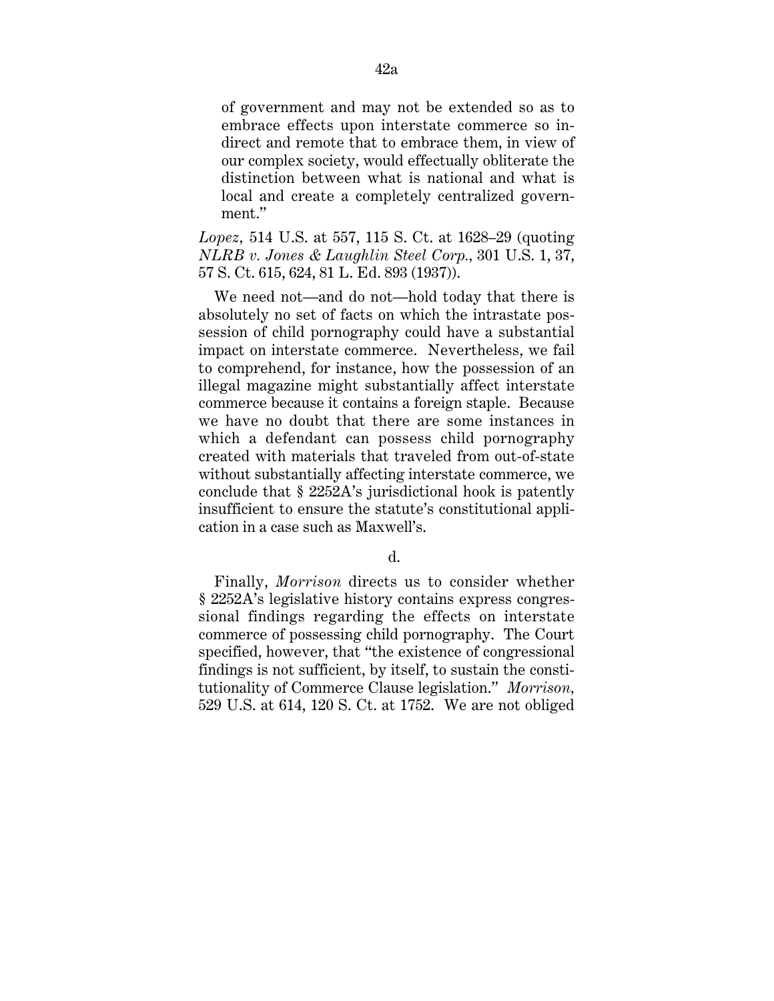of government and may not be extended so as to embrace effects upon interstate commerce so indirect and remote that to embrace them, in view of our complex society, would effectually obliterate the distinction between what is national and what is local and create a completely centralized government.''

*Lopez,* 514 U.S. at 557, 115 S. Ct. at 1628–29 (quoting *NLRB v. Jones & Laughlin Steel Corp.,* 301 U.S. 1, 37, 57 S. Ct. 615, 624, 81 L. Ed. 893 (1937)).

We need not—and do not—hold today that there is absolutely no set of facts on which the intrastate possession of child pornography could have a substantial impact on interstate commerce. Nevertheless, we fail to comprehend, for instance, how the possession of an illegal magazine might substantially affect interstate commerce because it contains a foreign staple. Because we have no doubt that there are some instances in which a defendant can possess child pornography created with materials that traveled from out-of-state without substantially affecting interstate commerce, we conclude that § 2252A's jurisdictional hook is patently insufficient to ensure the statute's constitutional application in a case such as Maxwell's.

d.

Finally, *Morrison* directs us to consider whether § 2252A's legislative history contains express congressional findings regarding the effects on interstate commerce of possessing child pornography. The Court specified, however, that "the existence of congressional" findings is not sufficient, by itself, to sustain the constitutionality of Commerce Clause legislation.'' *Morrison,* 529 U.S. at 614, 120 S. Ct. at 1752. We are not obliged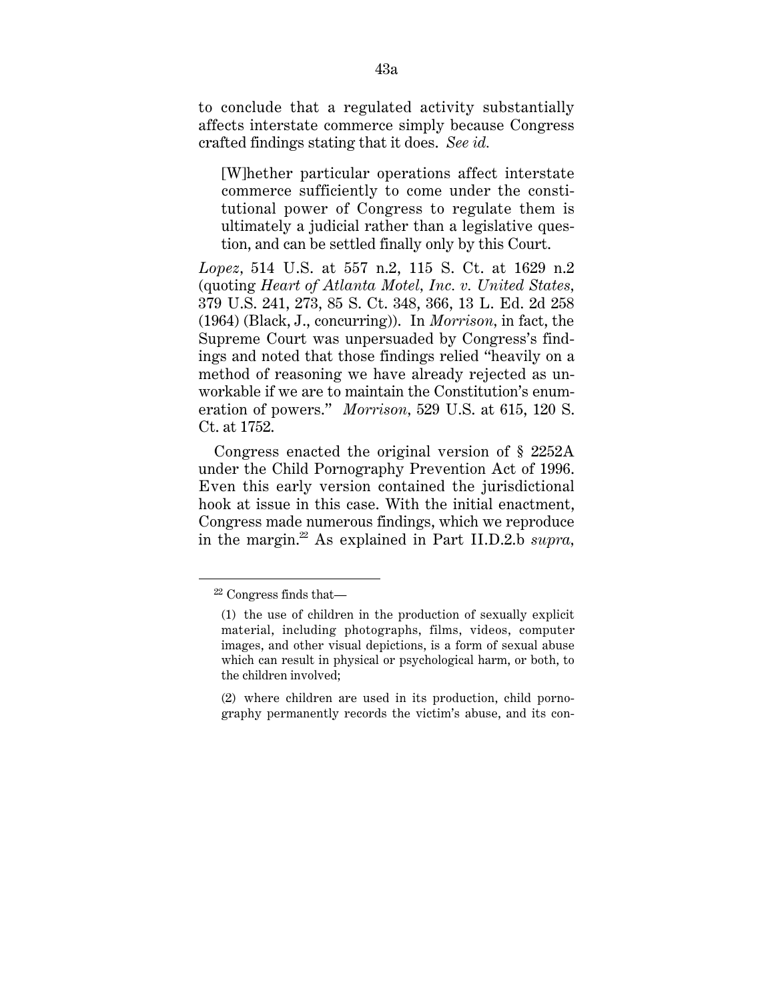to conclude that a regulated activity substantially affects interstate commerce simply because Congress crafted findings stating that it does. *See id.*

[W]hether particular operations affect interstate commerce sufficiently to come under the constitutional power of Congress to regulate them is ultimately a judicial rather than a legislative question, and can be settled finally only by this Court.

*Lopez,* 514 U.S. at 557 n.2, 115 S. Ct. at 1629 n.2 (quoting *Heart of Atlanta Motel, Inc. v. United States,* 379 U.S. 241, 273, 85 S. Ct. 348, 366, 13 L. Ed. 2d 258 (1964) (Black, J., concurring)). In *Morrison,* in fact, the Supreme Court was unpersuaded by Congress's findings and noted that those findings relied ''heavily on a method of reasoning we have already rejected as unworkable if we are to maintain the Constitution's enumeration of powers.'' *Morrison,* 529 U.S. at 615, 120 S. Ct. at 1752.

Congress enacted the original version of § 2252A under the Child Pornography Prevention Act of 1996. Even this early version contained the jurisdictional hook at issue in this case. With the initial enactment, Congress made numerous findings, which we reproduce in the margin.22 As explained in Part II.D.2.b *supra,*

<sup>22</sup> Congress finds that—

<sup>(1)</sup> the use of children in the production of sexually explicit material, including photographs, films, videos, computer images, and other visual depictions, is a form of sexual abuse which can result in physical or psychological harm, or both, to the children involved;

<sup>(2)</sup> where children are used in its production, child pornography permanently records the victim's abuse, and its con-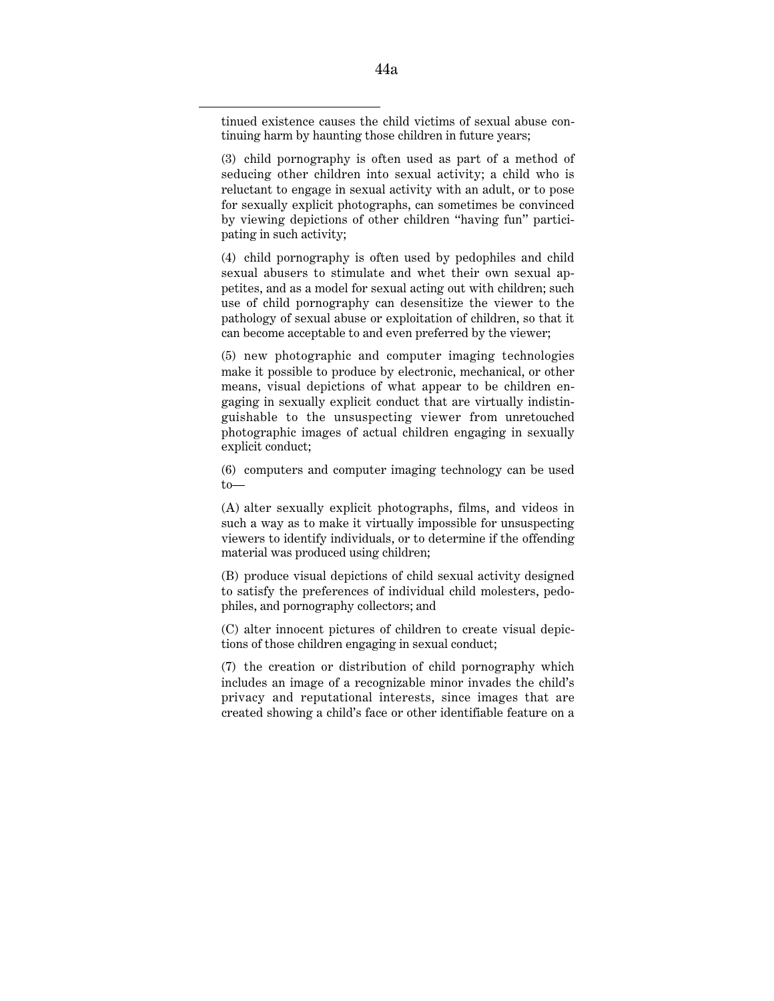tinued existence causes the child victims of sexual abuse continuing harm by haunting those children in future years;

(3) child pornography is often used as part of a method of seducing other children into sexual activity; a child who is reluctant to engage in sexual activity with an adult, or to pose for sexually explicit photographs, can sometimes be convinced by viewing depictions of other children ''having fun'' participating in such activity;

(4) child pornography is often used by pedophiles and child sexual abusers to stimulate and whet their own sexual appetites, and as a model for sexual acting out with children; such use of child pornography can desensitize the viewer to the pathology of sexual abuse or exploitation of children, so that it can become acceptable to and even preferred by the viewer;

(5) new photographic and computer imaging technologies make it possible to produce by electronic, mechanical, or other means, visual depictions of what appear to be children engaging in sexually explicit conduct that are virtually indistinguishable to the unsuspecting viewer from unretouched photographic images of actual children engaging in sexually explicit conduct;

(6) computers and computer imaging technology can be used to—

(A) alter sexually explicit photographs, films, and videos in such a way as to make it virtually impossible for unsuspecting viewers to identify individuals, or to determine if the offending material was produced using children;

(B) produce visual depictions of child sexual activity designed to satisfy the preferences of individual child molesters, pedophiles, and pornography collectors; and

(C) alter innocent pictures of children to create visual depictions of those children engaging in sexual conduct;

(7) the creation or distribution of child pornography which includes an image of a recognizable minor invades the child's privacy and reputational interests, since images that are created showing a child's face or other identifiable feature on a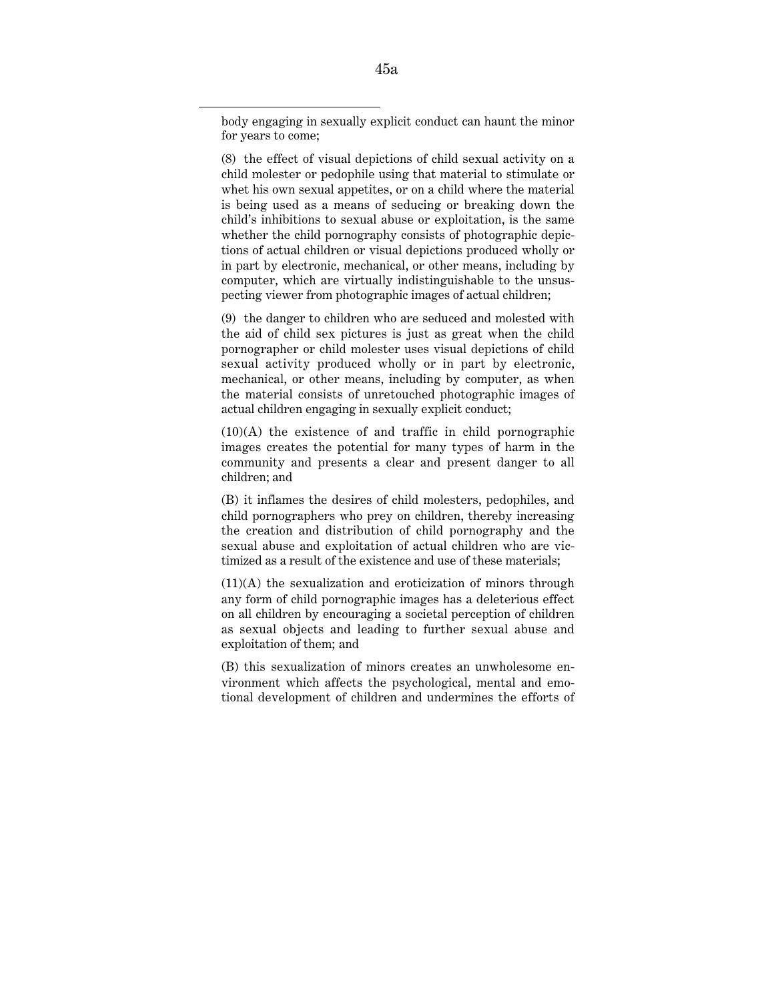body engaging in sexually explicit conduct can haunt the minor for years to come;

(8) the effect of visual depictions of child sexual activity on a child molester or pedophile using that material to stimulate or whet his own sexual appetites, or on a child where the material is being used as a means of seducing or breaking down the child's inhibitions to sexual abuse or exploitation, is the same whether the child pornography consists of photographic depictions of actual children or visual depictions produced wholly or in part by electronic, mechanical, or other means, including by computer, which are virtually indistinguishable to the unsuspecting viewer from photographic images of actual children;

(9) the danger to children who are seduced and molested with the aid of child sex pictures is just as great when the child pornographer or child molester uses visual depictions of child sexual activity produced wholly or in part by electronic, mechanical, or other means, including by computer, as when the material consists of unretouched photographic images of actual children engaging in sexually explicit conduct;

(10)(A) the existence of and traffic in child pornographic images creates the potential for many types of harm in the community and presents a clear and present danger to all children; and

(B) it inflames the desires of child molesters, pedophiles, and child pornographers who prey on children, thereby increasing the creation and distribution of child pornography and the sexual abuse and exploitation of actual children who are victimized as a result of the existence and use of these materials;

(11)(A) the sexualization and eroticization of minors through any form of child pornographic images has a deleterious effect on all children by encouraging a societal perception of children as sexual objects and leading to further sexual abuse and exploitation of them; and

(B) this sexualization of minors creates an unwholesome environment which affects the psychological, mental and emotional development of children and undermines the efforts of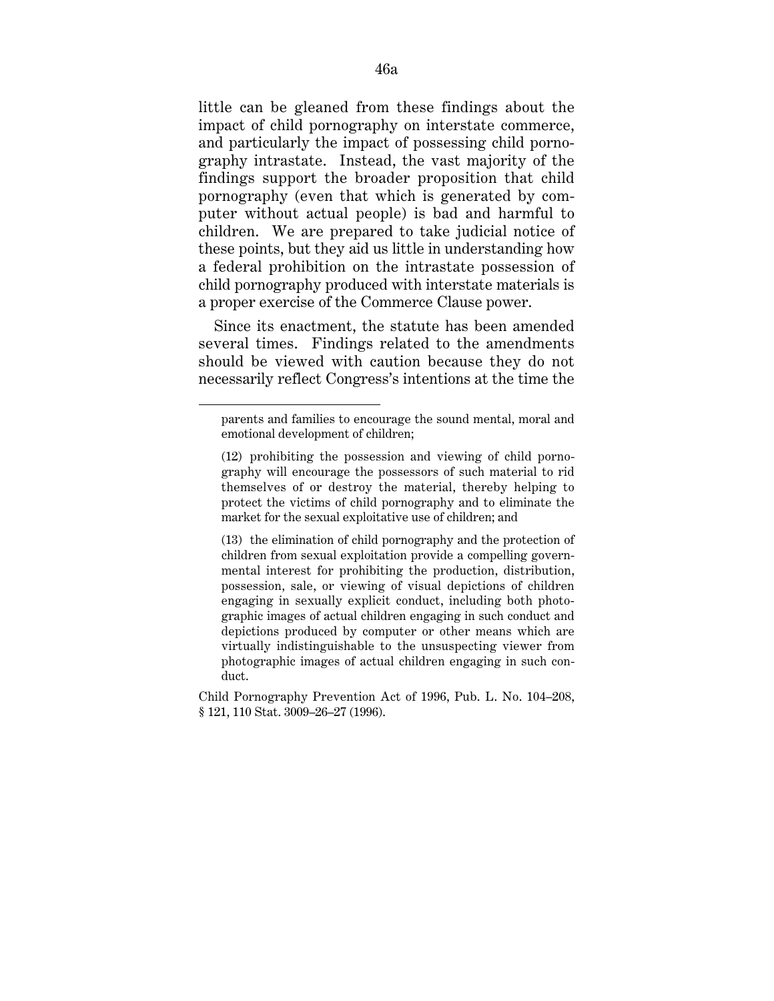little can be gleaned from these findings about the impact of child pornography on interstate commerce, and particularly the impact of possessing child pornography intrastate. Instead, the vast majority of the findings support the broader proposition that child pornography (even that which is generated by computer without actual people) is bad and harmful to children. We are prepared to take judicial notice of these points, but they aid us little in understanding how a federal prohibition on the intrastate possession of child pornography produced with interstate materials is a proper exercise of the Commerce Clause power.

Since its enactment, the statute has been amended several times. Findings related to the amendments should be viewed with caution because they do not necessarily reflect Congress's intentions at the time the

parents and families to encourage the sound mental, moral and emotional development of children;

<sup>(12)</sup> prohibiting the possession and viewing of child pornography will encourage the possessors of such material to rid themselves of or destroy the material, thereby helping to protect the victims of child pornography and to eliminate the market for the sexual exploitative use of children; and

<sup>(13)</sup> the elimination of child pornography and the protection of children from sexual exploitation provide a compelling governmental interest for prohibiting the production, distribution, possession, sale, or viewing of visual depictions of children engaging in sexually explicit conduct, including both photographic images of actual children engaging in such conduct and depictions produced by computer or other means which are virtually indistinguishable to the unsuspecting viewer from photographic images of actual children engaging in such conduct.

Child Pornography Prevention Act of 1996, Pub. L. No. 104–208, § 121, 110 Stat. 3009–26–27 (1996).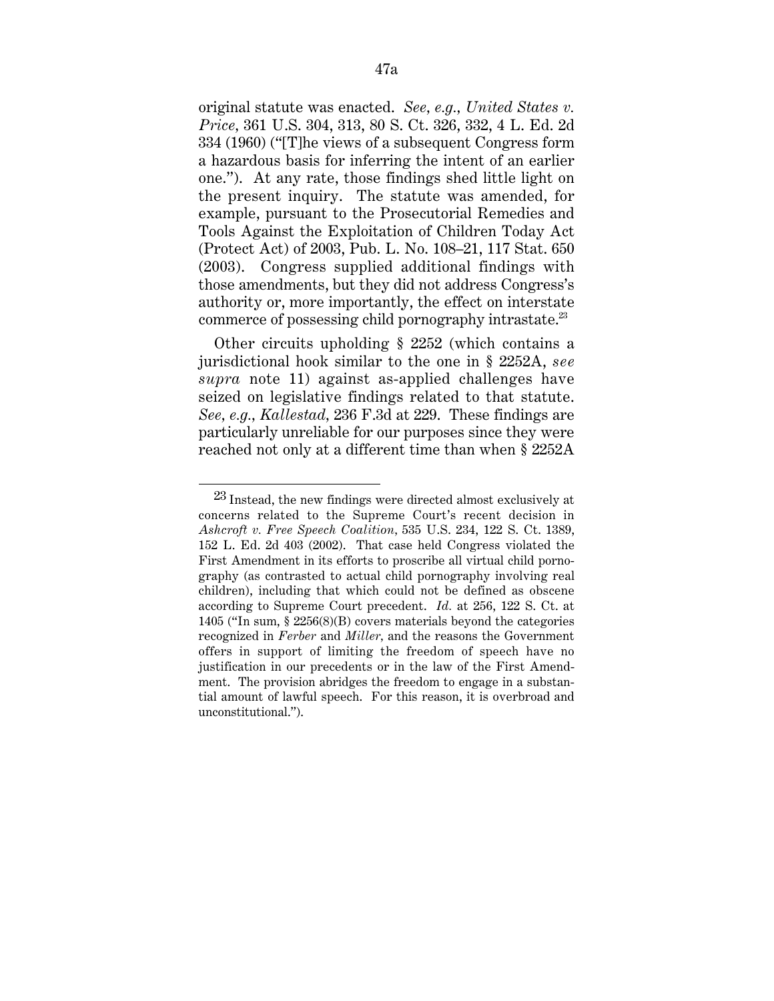original statute was enacted. *See, e.g., United States v. Price,* 361 U.S. 304, 313, 80 S. Ct. 326, 332, 4 L. Ed. 2d 334 (1960) (''[T]he views of a subsequent Congress form a hazardous basis for inferring the intent of an earlier one.''). At any rate, those findings shed little light on the present inquiry. The statute was amended, for example, pursuant to the Prosecutorial Remedies and Tools Against the Exploitation of Children Today Act (Protect Act) of 2003, Pub. L. No. 108–21, 117 Stat. 650 (2003). Congress supplied additional findings with those amendments, but they did not address Congress's authority or, more importantly, the effect on interstate commerce of possessing child pornography intrastate.<sup>23</sup>

Other circuits upholding § 2252 (which contains a jurisdictional hook similar to the one in § 2252A, *see supra* note 11) against as-applied challenges have seized on legislative findings related to that statute. *See, e.g., Kallestad,* 236 F.3d at 229. These findings are particularly unreliable for our purposes since they were reached not only at a different time than when § 2252A

 $^{23}$  Instead, the new findings were directed almost exclusively at concerns related to the Supreme Court's recent decision in *Ashcroft v. Free Speech Coalition,* 535 U.S. 234, 122 S. Ct. 1389, 152 L. Ed. 2d 403 (2002). That case held Congress violated the First Amendment in its efforts to proscribe all virtual child pornography (as contrasted to actual child pornography involving real children), including that which could not be defined as obscene according to Supreme Court precedent. *Id.* at 256, 122 S. Ct. at 1405 (''In sum, § 2256(8)(B) covers materials beyond the categories recognized in *Ferber* and *Miller,* and the reasons the Government offers in support of limiting the freedom of speech have no justification in our precedents or in the law of the First Amendment. The provision abridges the freedom to engage in a substantial amount of lawful speech. For this reason, it is overbroad and unconstitutional.'').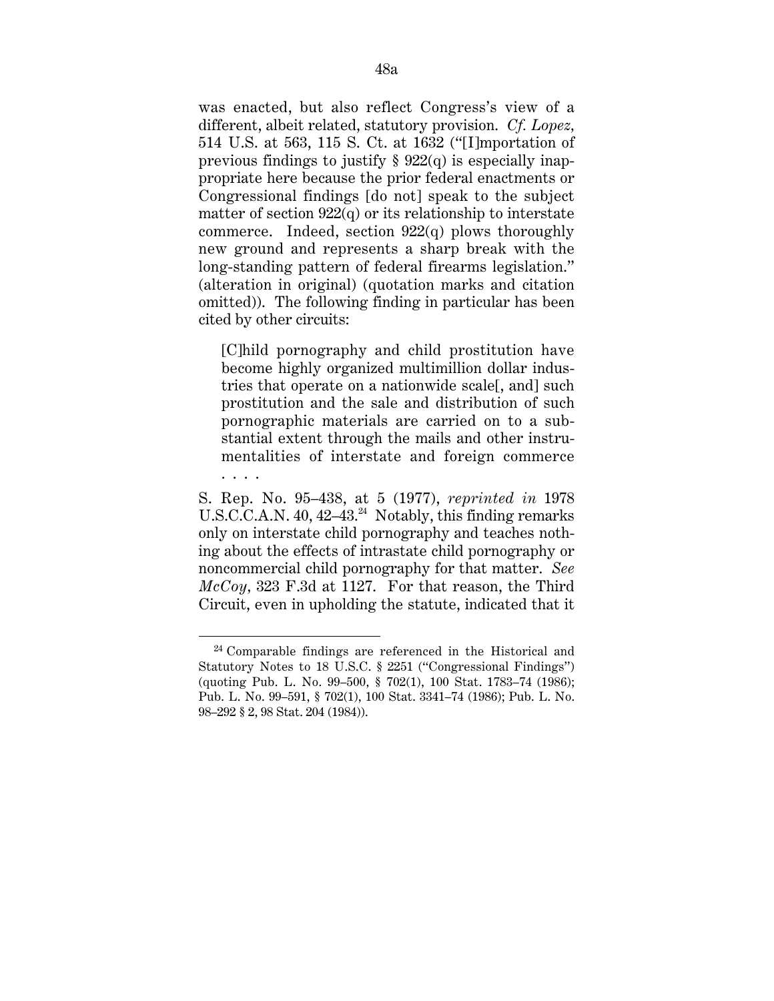was enacted, but also reflect Congress's view of a different, albeit related, statutory provision. *Cf. Lopez,* 514 U.S. at 563, 115 S. Ct. at 1632 (''[I]mportation of previous findings to justify  $\S 922(q)$  is especially inappropriate here because the prior federal enactments or Congressional findings [do not] speak to the subject matter of section  $922(q)$  or its relationship to interstate commerce. Indeed, section  $922(q)$  plows thoroughly new ground and represents a sharp break with the long-standing pattern of federal firearms legislation.'' (alteration in original) (quotation marks and citation omitted)). The following finding in particular has been cited by other circuits:

[C]hild pornography and child prostitution have become highly organized multimillion dollar industries that operate on a nationwide scale[, and] such prostitution and the sale and distribution of such pornographic materials are carried on to a substantial extent through the mails and other instrumentalities of interstate and foreign commerce . . . .

S. Rep. No. 95–438, at 5 (1977), *reprinted in* 1978 U.S.C.C.A.N. 40,  $42-43.^{24}$  Notably, this finding remarks only on interstate child pornography and teaches nothing about the effects of intrastate child pornography or noncommercial child pornography for that matter. *See McCoy,* 323 F.3d at 1127. For that reason, the Third Circuit, even in upholding the statute, indicated that it

<sup>24</sup> Comparable findings are referenced in the Historical and Statutory Notes to 18 U.S.C. § 2251 ("Congressional Findings") (quoting Pub. L. No. 99–500, § 702(1), 100 Stat. 1783–74 (1986); Pub. L. No. 99–591, § 702(1), 100 Stat. 3341–74 (1986); Pub. L. No. 98–292 § 2, 98 Stat. 204 (1984)).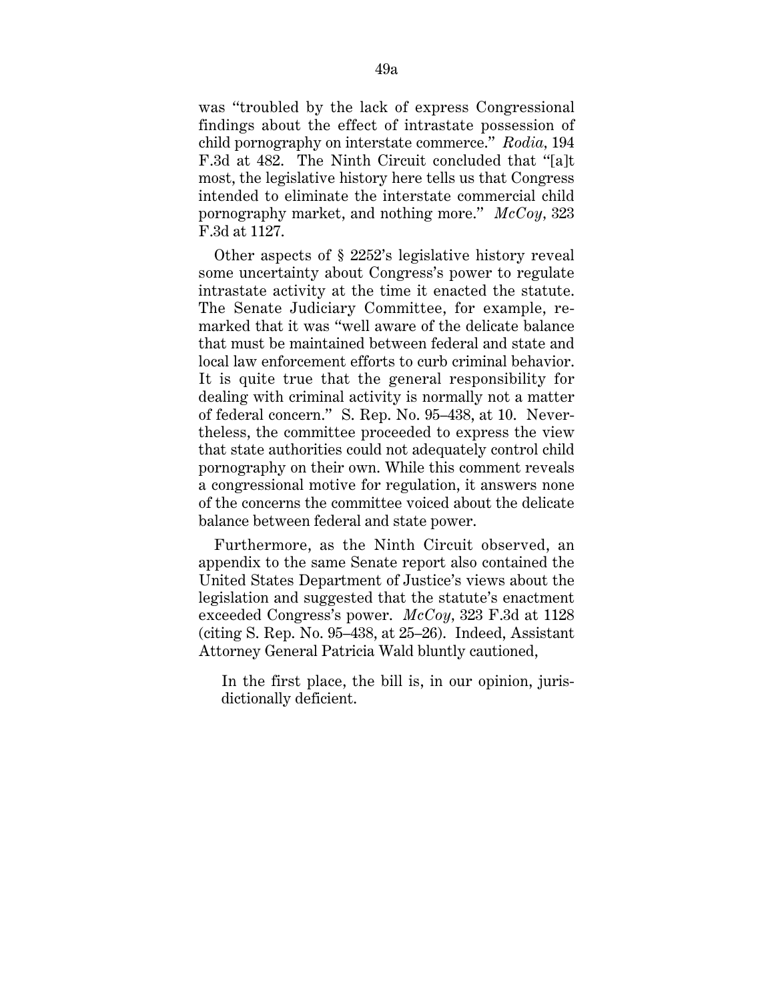was ''troubled by the lack of express Congressional findings about the effect of intrastate possession of child pornography on interstate commerce.'' *Rodia,* 194 F.3d at 482. The Ninth Circuit concluded that "[a]t most, the legislative history here tells us that Congress intended to eliminate the interstate commercial child pornography market, and nothing more.'' *McCoy,* 323 F.3d at 1127.

Other aspects of § 2252's legislative history reveal some uncertainty about Congress's power to regulate intrastate activity at the time it enacted the statute. The Senate Judiciary Committee, for example, remarked that it was ''well aware of the delicate balance that must be maintained between federal and state and local law enforcement efforts to curb criminal behavior. It is quite true that the general responsibility for dealing with criminal activity is normally not a matter of federal concern.'' S. Rep. No. 95–438, at 10. Nevertheless, the committee proceeded to express the view that state authorities could not adequately control child pornography on their own. While this comment reveals a congressional motive for regulation, it answers none of the concerns the committee voiced about the delicate balance between federal and state power.

Furthermore, as the Ninth Circuit observed, an appendix to the same Senate report also contained the United States Department of Justice's views about the legislation and suggested that the statute's enactment exceeded Congress's power. *McCoy,* 323 F.3d at 1128 (citing S. Rep. No. 95–438, at 25–26). Indeed, Assistant Attorney General Patricia Wald bluntly cautioned,

In the first place, the bill is, in our opinion, jurisdictionally deficient.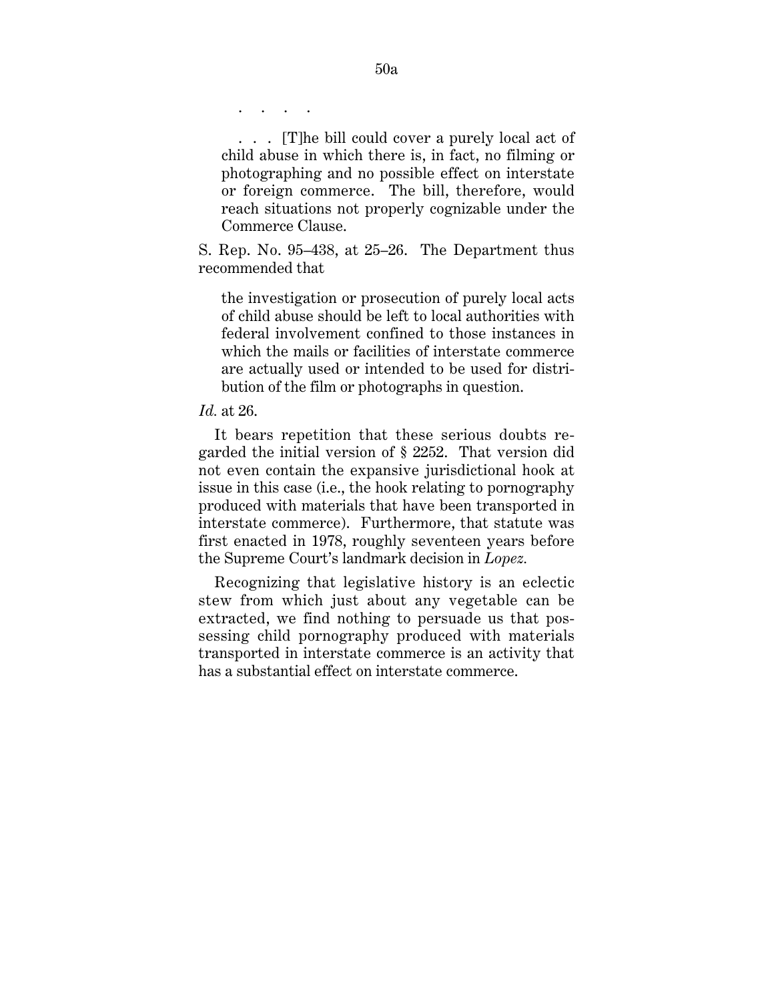. . . .

. . . [T]he bill could cover a purely local act of child abuse in which there is, in fact, no filming or photographing and no possible effect on interstate or foreign commerce. The bill, therefore, would reach situations not properly cognizable under the Commerce Clause.

S. Rep. No. 95–438, at 25–26. The Department thus recommended that

the investigation or prosecution of purely local acts of child abuse should be left to local authorities with federal involvement confined to those instances in which the mails or facilities of interstate commerce are actually used or intended to be used for distribution of the film or photographs in question.

*Id.* at 26.

It bears repetition that these serious doubts regarded the initial version of § 2252. That version did not even contain the expansive jurisdictional hook at issue in this case (i.e., the hook relating to pornography produced with materials that have been transported in interstate commerce). Furthermore, that statute was first enacted in 1978, roughly seventeen years before the Supreme Court's landmark decision in *Lopez.*

Recognizing that legislative history is an eclectic stew from which just about any vegetable can be extracted, we find nothing to persuade us that possessing child pornography produced with materials transported in interstate commerce is an activity that has a substantial effect on interstate commerce.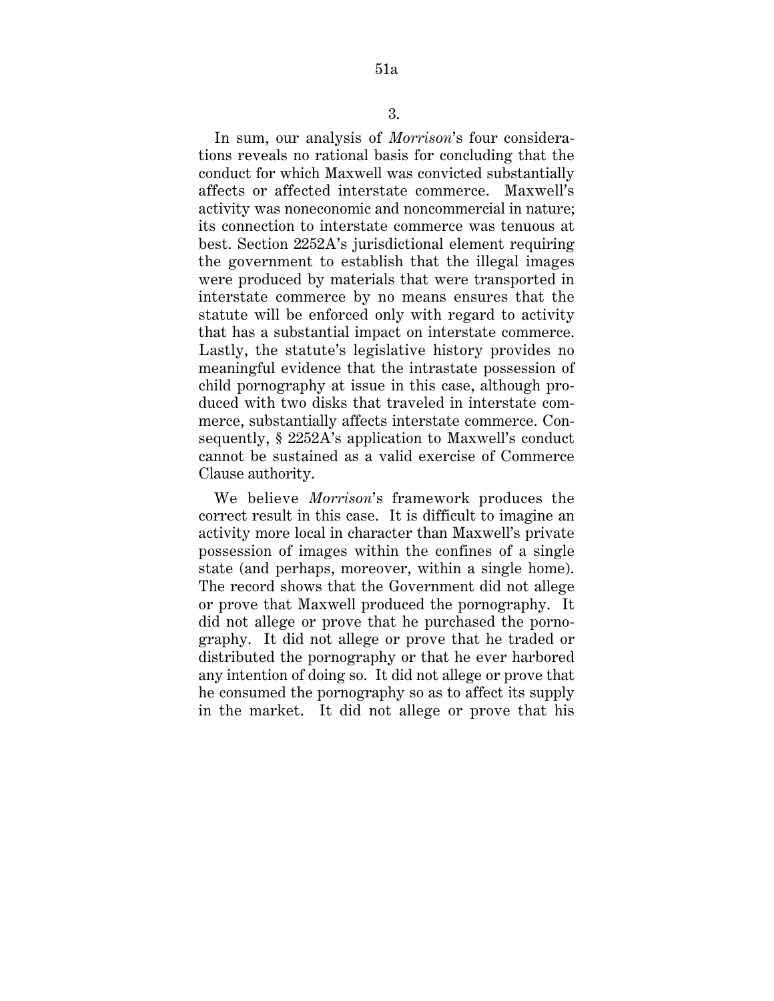In sum, our analysis of *Morrison*'s four considerations reveals no rational basis for concluding that the conduct for which Maxwell was convicted substantially affects or affected interstate commerce. Maxwell's activity was noneconomic and noncommercial in nature; its connection to interstate commerce was tenuous at best. Section 2252A's jurisdictional element requiring the government to establish that the illegal images were produced by materials that were transported in interstate commerce by no means ensures that the statute will be enforced only with regard to activity that has a substantial impact on interstate commerce. Lastly, the statute's legislative history provides no meaningful evidence that the intrastate possession of child pornography at issue in this case, although produced with two disks that traveled in interstate commerce, substantially affects interstate commerce. Consequently, § 2252A's application to Maxwell's conduct cannot be sustained as a valid exercise of Commerce Clause authority.

We believe *Morrison*'s framework produces the correct result in this case. It is difficult to imagine an activity more local in character than Maxwell's private possession of images within the confines of a single state (and perhaps, moreover, within a single home). The record shows that the Government did not allege or prove that Maxwell produced the pornography. It did not allege or prove that he purchased the pornography. It did not allege or prove that he traded or distributed the pornography or that he ever harbored any intention of doing so. It did not allege or prove that he consumed the pornography so as to affect its supply in the market. It did not allege or prove that his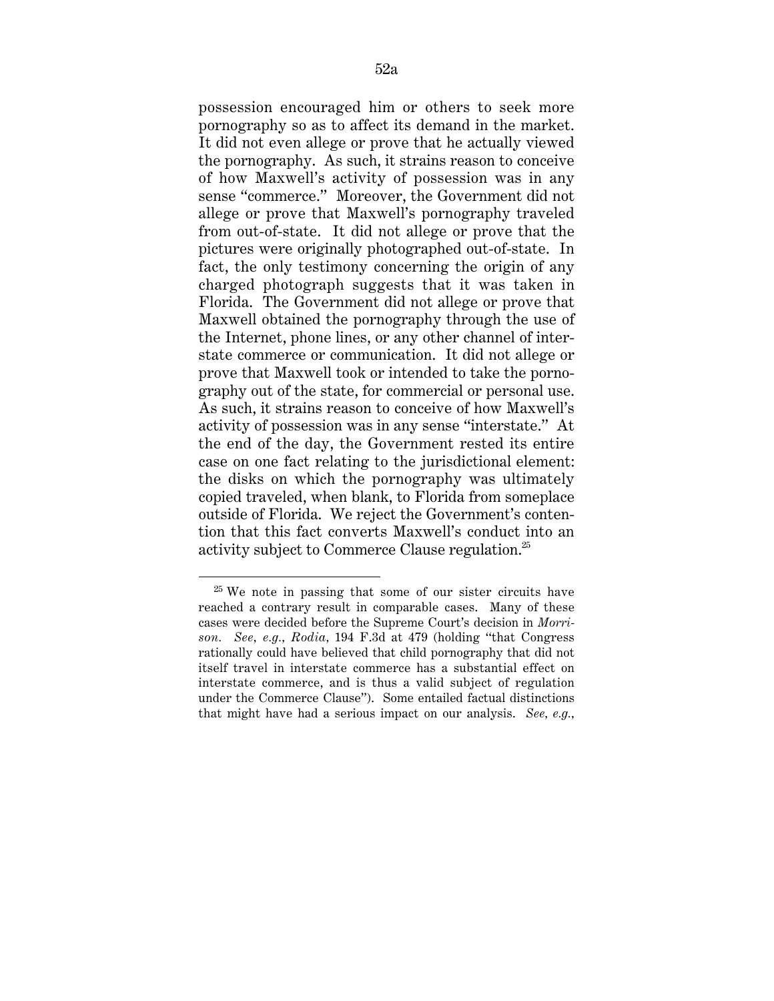possession encouraged him or others to seek more pornography so as to affect its demand in the market. It did not even allege or prove that he actually viewed the pornography. As such, it strains reason to conceive of how Maxwell's activity of possession was in any sense "commerce." Moreover, the Government did not allege or prove that Maxwell's pornography traveled from out-of-state. It did not allege or prove that the pictures were originally photographed out-of-state. In fact, the only testimony concerning the origin of any charged photograph suggests that it was taken in Florida. The Government did not allege or prove that Maxwell obtained the pornography through the use of the Internet, phone lines, or any other channel of interstate commerce or communication. It did not allege or prove that Maxwell took or intended to take the pornography out of the state, for commercial or personal use. As such, it strains reason to conceive of how Maxwell's activity of possession was in any sense ''interstate.'' At the end of the day, the Government rested its entire case on one fact relating to the jurisdictional element: the disks on which the pornography was ultimately copied traveled, when blank, to Florida from someplace outside of Florida. We reject the Government's contention that this fact converts Maxwell's conduct into an activity subject to Commerce Clause regulation.<sup>25</sup>

 <sup>25</sup> We note in passing that some of our sister circuits have reached a contrary result in comparable cases. Many of these cases were decided before the Supreme Court's decision in *Morrison. See, e.g., Rodia,* 194 F.3d at 479 (holding ''that Congress rationally could have believed that child pornography that did not itself travel in interstate commerce has a substantial effect on interstate commerce, and is thus a valid subject of regulation under the Commerce Clause''). Some entailed factual distinctions that might have had a serious impact on our analysis. *See, e.g.,*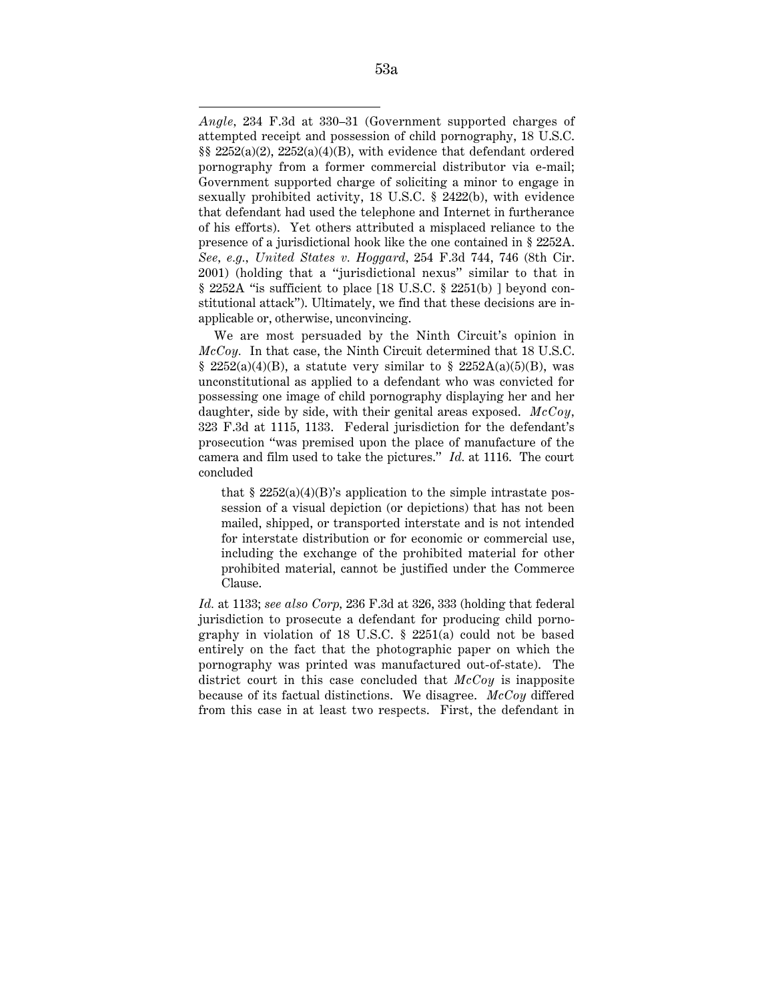We are most persuaded by the Ninth Circuit's opinion in *McCoy.* In that case, the Ninth Circuit determined that 18 U.S.C. § 2252(a)(4)(B), a statute very similar to § 2252A(a)(5)(B), was unconstitutional as applied to a defendant who was convicted for possessing one image of child pornography displaying her and her daughter, side by side, with their genital areas exposed. *McCoy,* 323 F.3d at 1115, 1133. Federal jurisdiction for the defendant's prosecution ''was premised upon the place of manufacture of the camera and film used to take the pictures.'' *Id.* at 1116. The court concluded

that  $\S 2252(a)(4)(B)$ 's application to the simple intrastate possession of a visual depiction (or depictions) that has not been mailed, shipped, or transported interstate and is not intended for interstate distribution or for economic or commercial use, including the exchange of the prohibited material for other prohibited material, cannot be justified under the Commerce Clause.

*Id.* at 1133; *see also Corp,* 236 F.3d at 326, 333 (holding that federal jurisdiction to prosecute a defendant for producing child pornography in violation of 18 U.S.C. § 2251(a) could not be based entirely on the fact that the photographic paper on which the pornography was printed was manufactured out-of-state). The district court in this case concluded that *McCoy* is inapposite because of its factual distinctions. We disagree. *McCoy* differed from this case in at least two respects. First, the defendant in

 $\overline{a}$ *Angle,* 234 F.3d at 330–31 (Government supported charges of attempted receipt and possession of child pornography, 18 U.S.C. §§ 2252(a)(2), 2252(a)(4)(B), with evidence that defendant ordered pornography from a former commercial distributor via e-mail; Government supported charge of soliciting a minor to engage in sexually prohibited activity, 18 U.S.C. § 2422(b), with evidence that defendant had used the telephone and Internet in furtherance of his efforts). Yet others attributed a misplaced reliance to the presence of a jurisdictional hook like the one contained in § 2252A. *See, e.g., United States v. Hoggard,* 254 F.3d 744, 746 (8th Cir. 2001) (holding that a ''jurisdictional nexus'' similar to that in § 2252A ''is sufficient to place [18 U.S.C. § 2251(b) ] beyond constitutional attack''). Ultimately, we find that these decisions are inapplicable or, otherwise, unconvincing.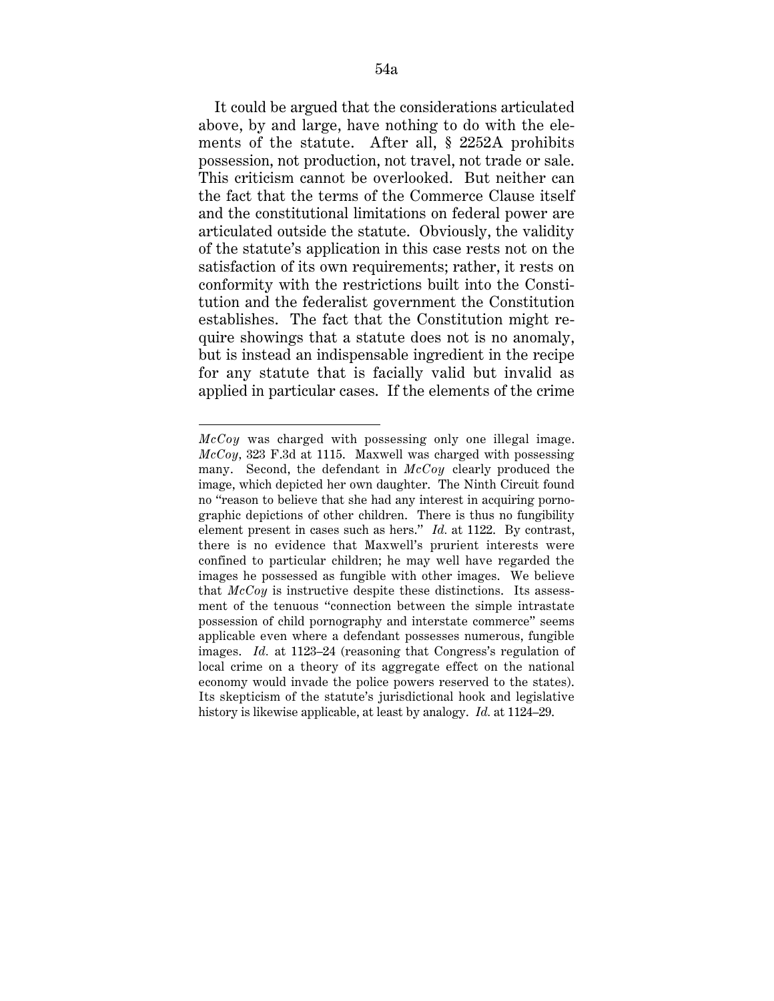It could be argued that the considerations articulated above, by and large, have nothing to do with the elements of the statute. After all, § 2252A prohibits possession, not production, not travel, not trade or sale. This criticism cannot be overlooked. But neither can the fact that the terms of the Commerce Clause itself and the constitutional limitations on federal power are articulated outside the statute. Obviously, the validity of the statute's application in this case rests not on the satisfaction of its own requirements; rather, it rests on conformity with the restrictions built into the Constitution and the federalist government the Constitution establishes. The fact that the Constitution might require showings that a statute does not is no anomaly, but is instead an indispensable ingredient in the recipe for any statute that is facially valid but invalid as applied in particular cases. If the elements of the crime

 $\overline{a}$ 

*McCoy* was charged with possessing only one illegal image. *McCoy,* 323 F.3d at 1115. Maxwell was charged with possessing many. Second, the defendant in *McCoy* clearly produced the image, which depicted her own daughter. The Ninth Circuit found no ''reason to believe that she had any interest in acquiring pornographic depictions of other children. There is thus no fungibility element present in cases such as hers." *Id.* at 1122. By contrast, there is no evidence that Maxwell's prurient interests were confined to particular children; he may well have regarded the images he possessed as fungible with other images. We believe that *McCoy* is instructive despite these distinctions. Its assessment of the tenuous ''connection between the simple intrastate possession of child pornography and interstate commerce'' seems applicable even where a defendant possesses numerous, fungible images. *Id.* at 1123–24 (reasoning that Congress's regulation of local crime on a theory of its aggregate effect on the national economy would invade the police powers reserved to the states). Its skepticism of the statute's jurisdictional hook and legislative history is likewise applicable, at least by analogy. *Id.* at 1124–29.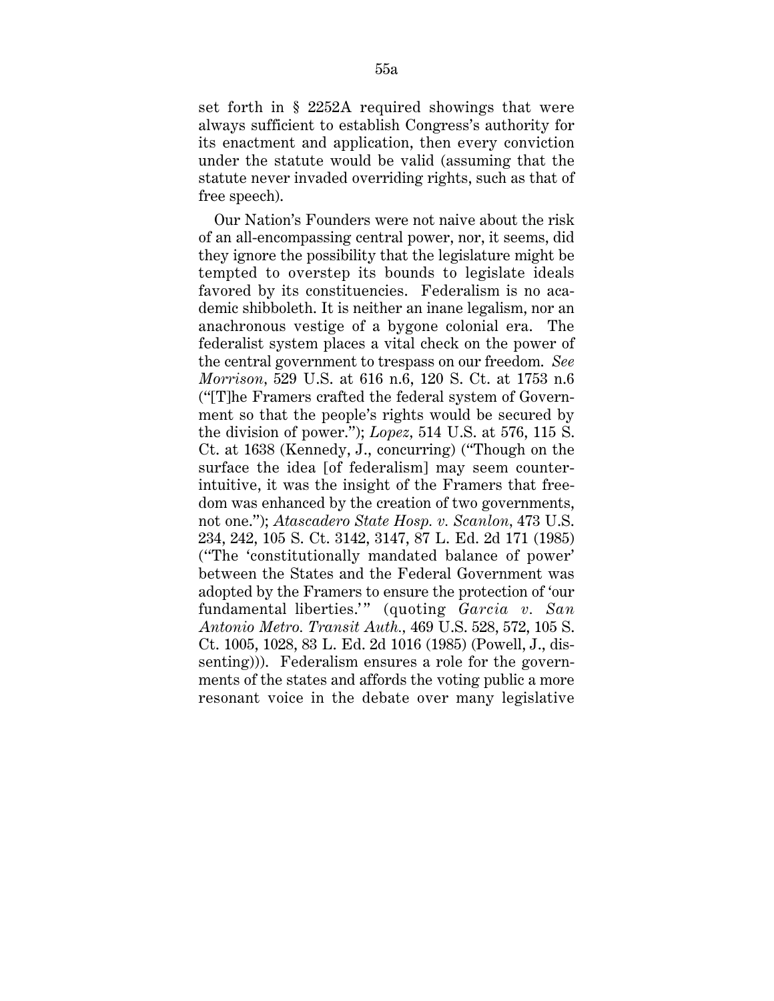set forth in § 2252A required showings that were always sufficient to establish Congress's authority for its enactment and application, then every conviction under the statute would be valid (assuming that the statute never invaded overriding rights, such as that of free speech).

Our Nation's Founders were not naive about the risk of an all-encompassing central power, nor, it seems, did they ignore the possibility that the legislature might be tempted to overstep its bounds to legislate ideals favored by its constituencies. Federalism is no academic shibboleth. It is neither an inane legalism, nor an anachronous vestige of a bygone colonial era. The federalist system places a vital check on the power of the central government to trespass on our freedom. *See Morrison,* 529 U.S. at 616 n.6, 120 S. Ct. at 1753 n.6 (''[T]he Framers crafted the federal system of Government so that the people's rights would be secured by the division of power.''); *Lopez,* 514 U.S. at 576, 115 S. Ct. at 1638 (Kennedy, J., concurring) (''Though on the surface the idea [of federalism] may seem counterintuitive, it was the insight of the Framers that freedom was enhanced by the creation of two governments, not one.''); *Atascadero State Hosp. v. Scanlon,* 473 U.S. 234, 242, 105 S. Ct. 3142, 3147, 87 L. Ed. 2d 171 (1985) (''The 'constitutionally mandated balance of power' between the States and the Federal Government was adopted by the Framers to ensure the protection of 'our fundamental liberties.'" (quoting *Garcia v. San Antonio Metro. Transit Auth.,* 469 U.S. 528, 572, 105 S. Ct. 1005, 1028, 83 L. Ed. 2d 1016 (1985) (Powell, J., dissenting))). Federalism ensures a role for the governments of the states and affords the voting public a more resonant voice in the debate over many legislative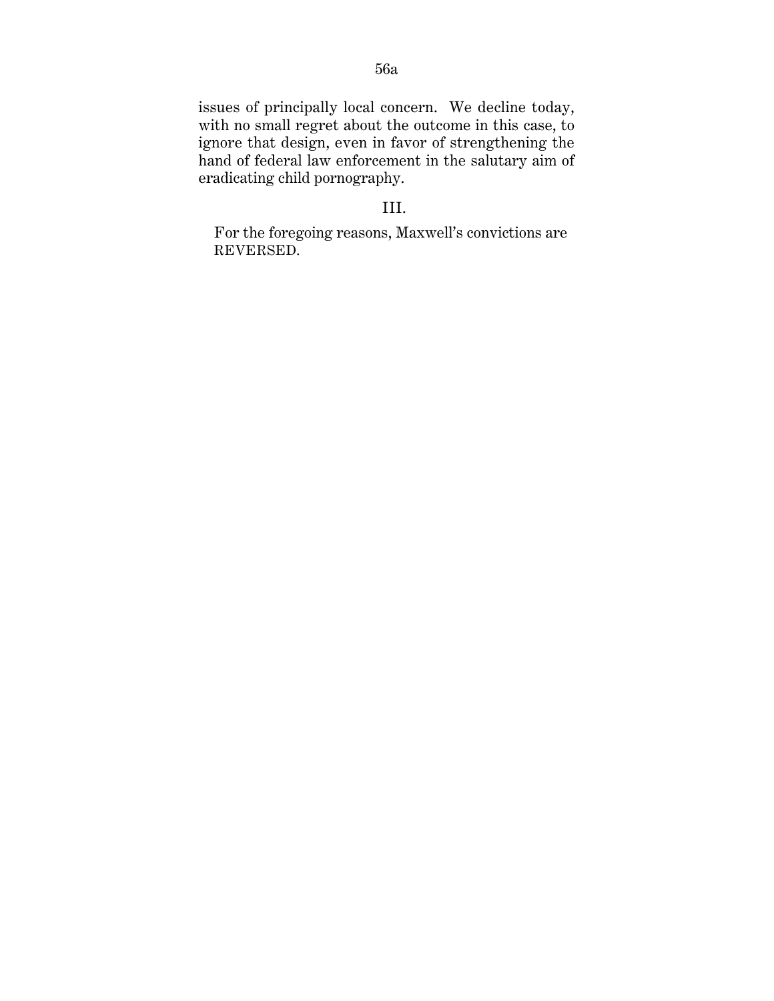issues of principally local concern. We decline today, with no small regret about the outcome in this case, to ignore that design, even in favor of strengthening the hand of federal law enforcement in the salutary aim of eradicating child pornography.

## III.

For the foregoing reasons, Maxwell's convictions are REVERSED.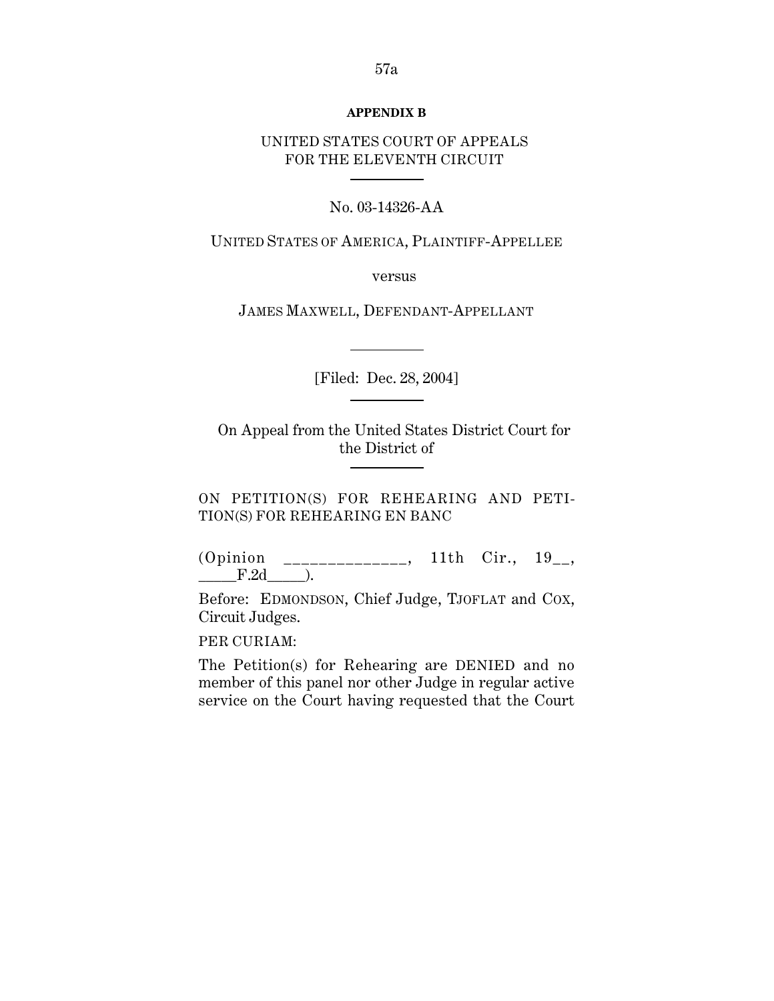## **APPENDIX B**

## UNITED STATES COURT OF APPEALS FOR THE ELEVENTH CIRCUIT

## No. 03-14326-AA

UNITED STATES OF AMERICA, PLAINTIFF-APPELLEE

versus

JAMES MAXWELL, DEFENDANT-APPELLANT

[Filed: Dec. 28, 2004] <u>and the state of the state</u>

On Appeal from the United States District Court for the District of

ON PETITION(S) FOR REHEARING AND PETI-TION(S) FOR REHEARING EN BANC

(Opinion \_\_\_\_\_\_\_\_\_\_\_\_\_\_, 11th Cir., 19\_\_,  $-F.2d$   $\qquad$ .

Before: EDMONDSON, Chief Judge, TJOFLAT and COX, Circuit Judges.

PER CURIAM:

The Petition(s) for Rehearing are DENIED and no member of this panel nor other Judge in regular active service on the Court having requested that the Court